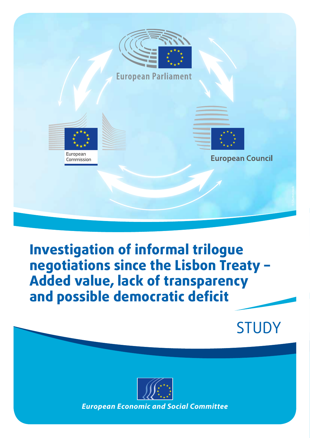

# **Investigation of informal trilogue negotiations since the Lisbon Treaty – Added value, lack of transparency and possible democratic deficit**

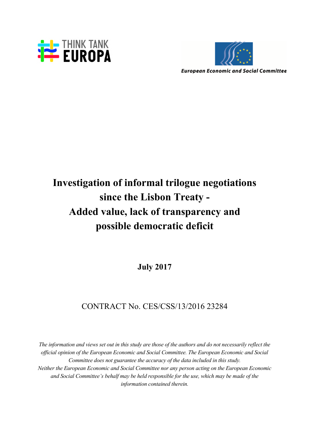



**European Economic and Social Committee** 

## **Investigation of informal trilogue negotiations since the Lisbon Treaty - Added value, lack of transparency and possible democratic deficit**

**July 2017**

## CONTRACT No. CES/CSS/13/2016 23284

*The information and views set out in this study are those of the authors and do not necessarily reflect the official opinion of the European Economic and Social Committee. The European Economic and Social Committee does not guarantee the accuracy of the data included in this study. Neither the European Economic and Social Committee nor any person acting on the European Economic and Social Committee's behalf may be held responsible for the use, which may be made of the information contained therein.*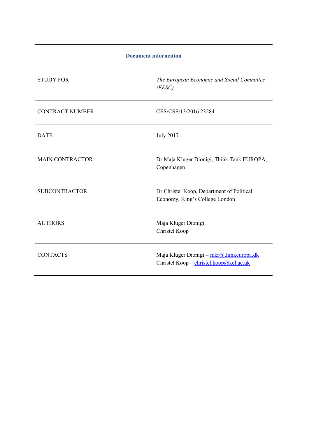| <b>Document information</b> |                                                                                     |
|-----------------------------|-------------------------------------------------------------------------------------|
| <b>STUDY FOR</b>            | The European Economic and Social Committee<br>(EESC)                                |
| <b>CONTRACT NUMBER</b>      | CES/CSS/13/2016 23284                                                               |
| <b>DATE</b>                 | <b>July 2017</b>                                                                    |
| <b>MAIN CONTRACTOR</b>      | Dr Maja Kluger Dionigi, Think Tank EUROPA,<br>Copenhagen                            |
| <b>SUBCONTRACTOR</b>        | Dr Christel Koop, Department of Political<br>Economy, King's College London         |
| <b>AUTHORS</b>              | Maja Kluger Dionigi<br>Christel Koop                                                |
| <b>CONTACTS</b>             | Maja Kluger Dionigi - mkr@thinkeuropa.dk<br>Christel Koop - christel.koop@kcl.ac.uk |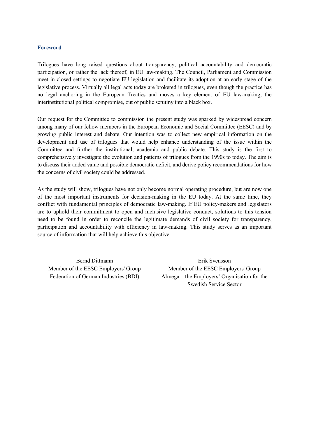### **Foreword**

Trilogues have long raised questions about transparency, political accountability and democratic participation, or rather the lack thereof, in EU law-making. The Council, Parliament and Commission meet in closed settings to negotiate EU legislation and facilitate its adoption at an early stage of the legislative process. Virtually all legal acts today are brokered in trilogues, even though the practice has no legal anchoring in the European Treaties and moves a key element of EU law-making, the interinstitutional political compromise, out of public scrutiny into a black box.

Our request for the Committee to commission the present study was sparked by widespread concern among many of our fellow members in the European Economic and Social Committee (EESC) and by growing public interest and debate. Our intention was to collect new empirical information on the development and use of trilogues that would help enhance understanding of the issue within the Committee and further the institutional, academic and public debate. This study is the first to comprehensively investigate the evolution and patterns of trilogues from the 1990s to today. The aim is to discuss their added value and possible democratic deficit, and derive policy recommendations for how the concerns of civil society could be addressed.

As the study will show, trilogues have not only become normal operating procedure, but are now one of the most important instruments for decision-making in the EU today. At the same time, they conflict with fundamental principles of democratic law-making. If EU policy-makers and legislators are to uphold their commitment to open and inclusive legislative conduct, solutions to this tension need to be found in order to reconcile the legitimate demands of civil society for transparency, participation and accountability with efficiency in law-making. This study serves as an important source of information that will help achieve this objective.

Bernd Dittmann Erik Svensson Member of the EESC Employers' Group Member of the EESC Employers' Group Federation of German Industries (BDI) Almega – the Employers' Organisation for the Swedish Service Sector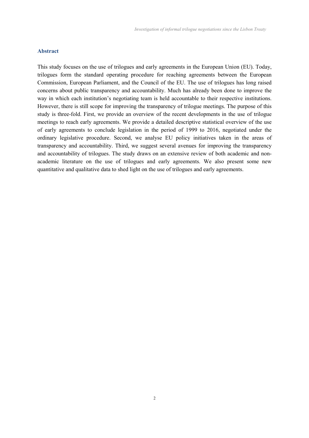#### **Abstract**

This study focuses on the use of trilogues and early agreements in the European Union (EU). Today, trilogues form the standard operating procedure for reaching agreements between the European Commission, European Parliament, and the Council of the EU. The use of trilogues has long raised concerns about public transparency and accountability. Much has already been done to improve the way in which each institution's negotiating team is held accountable to their respective institutions. However, there is still scope for improving the transparency of trilogue meetings. The purpose of this study is three-fold. First, we provide an overview of the recent developments in the use of trilogue meetings to reach early agreements. We provide a detailed descriptive statistical overview of the use of early agreements to conclude legislation in the period of 1999 to 2016, negotiated under the ordinary legislative procedure. Second, we analyse EU policy initiatives taken in the areas of transparency and accountability. Third, we suggest several avenues for improving the transparency and accountability of trilogues. The study draws on an extensive review of both academic and nonacademic literature on the use of trilogues and early agreements. We also present some new quantitative and qualitative data to shed light on the use of trilogues and early agreements.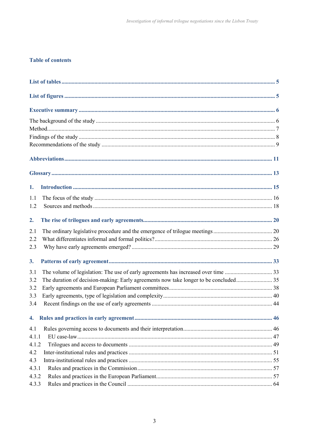## **Table of contents**

| 1.                                                                                          |  |
|---------------------------------------------------------------------------------------------|--|
| 1.1                                                                                         |  |
| 1.2                                                                                         |  |
| 2.                                                                                          |  |
| 2.1                                                                                         |  |
| 2.2                                                                                         |  |
| 2.3                                                                                         |  |
| 3.                                                                                          |  |
| 3.1                                                                                         |  |
| The duration of decision-making: Early agreements now take longer to be concluded 35<br>3.2 |  |
| 3.2                                                                                         |  |
| 3.3                                                                                         |  |
| 3.4                                                                                         |  |
|                                                                                             |  |
| 4.1                                                                                         |  |
| 4.1.1                                                                                       |  |
| 4.1.2                                                                                       |  |
| 4.2                                                                                         |  |
| 4.3                                                                                         |  |
| 4.3.1                                                                                       |  |
| 4.3.2                                                                                       |  |
| 4.3.3                                                                                       |  |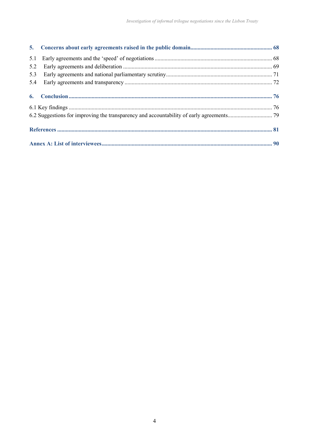| 5.1 |  |
|-----|--|
| 5.2 |  |
| 5.3 |  |
| 5.4 |  |
|     |  |
|     |  |
|     |  |
|     |  |
|     |  |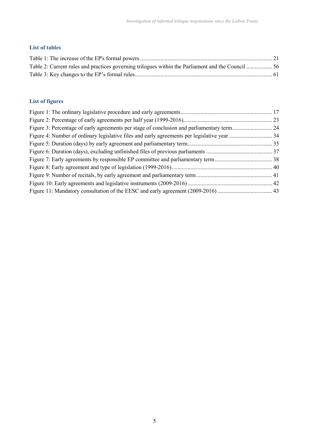## **List of tables**

## **List of figures**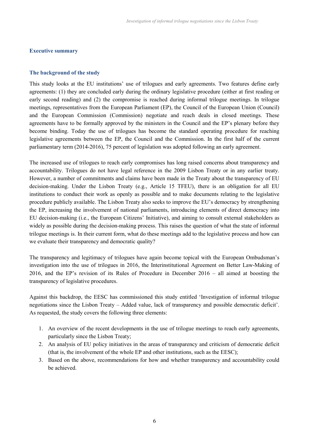## **Executive summary**

### **The background of the study**

This study looks at the EU institutions' use of trilogues and early agreements. Two features define early agreements: (1) they are concluded early during the ordinary legislative procedure (either at first reading or early second reading) and (2) the compromise is reached during informal trilogue meetings. In trilogue meetings, representatives from the European Parliament (EP), the Council of the European Union (Council) and the European Commission (Commission) negotiate and reach deals in closed meetings. These agreements have to be formally approved by the ministers in the Council and the EP's plenary before they become binding. Today the use of trilogues has become the standard operating procedure for reaching legislative agreements between the EP, the Council and the Commission. In the first half of the current parliamentary term (2014-2016), 75 percent of legislation was adopted following an early agreement.

The increased use of trilogues to reach early compromises has long raised concerns about transparency and accountability. Trilogues do not have legal reference in the 2009 Lisbon Treaty or in any earlier treaty. However, a number of commitments and claims have been made in the Treaty about the transparency of EU decision-making. Under the Lisbon Treaty (e.g., Article 15 TFEU), there is an obligation for all EU institutions to conduct their work as openly as possible and to make documents relating to the legislative procedure publicly available. The Lisbon Treaty also seeks to improve the EU's democracy by strengthening the EP, increasing the involvement of national parliaments, introducing elements of direct democracy into EU decision-making (i.e., the European Citizens' Initiative), and aiming to consult external stakeholders as widely as possible during the decision-making process. This raises the question of what the state of informal trilogue meetings is. In their current form, what do these meetings add to the legislative process and how can we evaluate their transparency and democratic quality?

The transparency and legitimacy of trilogues have again become topical with the European Ombudsman's investigation into the use of trilogues in 2016, the Interinstitutional Agreement on Better Law-Making of 2016, and the EP's revision of its Rules of Procedure in December 2016 – all aimed at boosting the transparency of legislative procedures.

Against this backdrop, the EESC has commissioned this study entitled 'Investigation of informal trilogue negotiations since the Lisbon Treaty – Added value, lack of transparency and possible democratic deficit'. As requested, the study covers the following three elements:

- 1. An overview of the recent developments in the use of trilogue meetings to reach early agreements, particularly since the Lisbon Treaty;
- 2. An analysis of EU policy initiatives in the areas of transparency and criticism of democratic deficit (that is, the involvement of the whole EP and other institutions, such as the EESC);
- 3. Based on the above, recommendations for how and whether transparency and accountability could be achieved.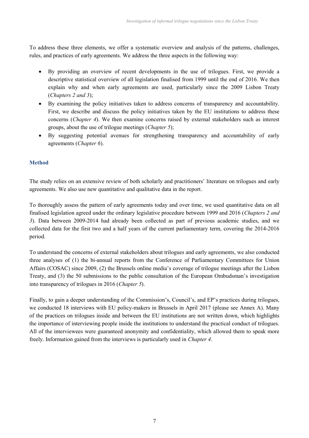To address these three elements, we offer a systematic overview and analysis of the patterns, challenges, rules, and practices of early agreements. We address the three aspects in the following way:

- By providing an overview of recent developments in the use of trilogues. First, we provide a descriptive statistical overview of all legislation finalised from 1999 until the end of 2016. We then explain why and when early agreements are used, particularly since the 2009 Lisbon Treaty (*Chapters 2 and 3*);
- By examining the policy initiatives taken to address concerns of transparency and accountability. First, we describe and discuss the policy initiatives taken by the EU institutions to address these concerns (*Chapter 4*). We then examine concerns raised by external stakeholders such as interest groups, about the use of trilogue meetings (*Chapter 5*);
- By suggesting potential avenues for strengthening transparency and accountability of early agreements (*Chapter 6*).

## **Method**

The study relies on an extensive review of both scholarly and practitioners' literature on trilogues and early agreements. We also use new quantitative and qualitative data in the report.

To thoroughly assess the pattern of early agreements today and over time, we used quantitative data on all finalised legislation agreed under the ordinary legislative procedure between 1999 and 2016 (*Chapters 2 and 3*). Data between 2009-2014 had already been collected as part of previous academic studies, and we collected data for the first two and a half years of the current parliamentary term, covering the 2014-2016 period.

To understand the concerns of external stakeholders about trilogues and early agreements, we also conducted three analyses of (1) the bi-annual reports from the Conference of Parliamentary Committees for Union Affairs (COSAC) since 2009, (2) the Brussels online media's coverage of trilogue meetings after the Lisbon Treaty, and (3) the 50 submissions to the public consultation of the European Ombudsman's investigation into transparency of trilogues in 2016 (*Chapter 5*).

Finally, to gain a deeper understanding of the Commission's, Council's, and EP's practices during trilogues, we conducted 18 interviews with EU policy-makers in Brussels in April 2017 (please see Annex A). Many of the practices on trilogues inside and between the EU institutions are not written down, which highlights the importance of interviewing people inside the institutions to understand the practical conduct of trilogues. All of the interviewees were guaranteed anonymity and confidentiality, which allowed them to speak more freely. Information gained from the interviews is particularly used in *Chapter 4*.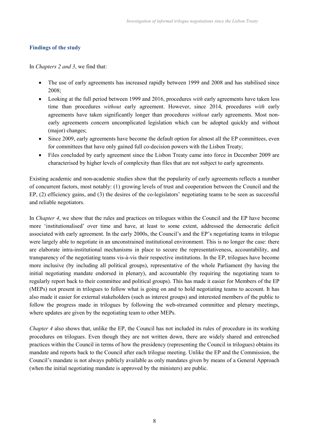## **Findings of the study**

In *Chapters 2 and 3*, we find that:

- The use of early agreements has increased rapidly between 1999 and 2008 and has stabilised since 2008;
- Looking at the full period between 1999 and 2016, procedures *with* early agreements have taken less time than procedures *without* early agreement. However, since 2014, procedures *with* early agreements have taken significantly longer than procedures *without* early agreements. Most nonearly agreements concern uncomplicated legislation which can be adopted quickly and without (major) changes;
- Since 2009, early agreements have become the default option for almost all the EP committees, even for committees that have only gained full co-decision powers with the Lisbon Treaty;
- Files concluded by early agreement since the Lisbon Treaty came into force in December 2009 are characterised by higher levels of complexity than files that are not subject to early agreements.

Existing academic and non-academic studies show that the popularity of early agreements reflects a number of concurrent factors, most notably: (1) growing levels of trust and cooperation between the Council and the EP, (2) efficiency gains, and (3) the desires of the co-legislators' negotiating teams to be seen as successful and reliable negotiators.

In *Chapter 4*, we show that the rules and practices on trilogues within the Council and the EP have become more 'institutionalised' over time and have, at least to some extent, addressed the democratic deficit associated with early agreement. In the early 2000s, the Council's and the EP's negotiating teams in trilogue were largely able to negotiate in an unconstrained institutional environment. This is no longer the case: there are elaborate intra-institutional mechanisms in place to secure the representativeness, accountability, and transparency of the negotiating teams vis-à-vis their respective institutions. In the EP, trilogues have become more inclusive (by including all political groups), representative of the whole Parliament (by having the initial negotiating mandate endorsed in plenary), and accountable (by requiring the negotiating team to regularly report back to their committee and political groups). This has made it easier for Members of the EP (MEPs) not present in trilogues to follow what is going on and to hold negotiating teams to account. It has also made it easier for external stakeholders (such as interest groups) and interested members of the public to follow the progress made in trilogues by following the web-streamed committee and plenary meetings, where updates are given by the negotiating team to other MEPs.

*Chapter 4* also shows that, unlike the EP, the Council has not included its rules of procedure in its working procedures on trilogues. Even though they are not written down, there are widely shared and entrenched practices within the Council in terms of how the presidency (representing the Council in trilogues) obtains its mandate and reports back to the Council after each trilogue meeting. Unlike the EP and the Commission, the Council's mandate is not always publicly available as only mandates given by means of a General Approach (when the initial negotiating mandate is approved by the ministers) are public.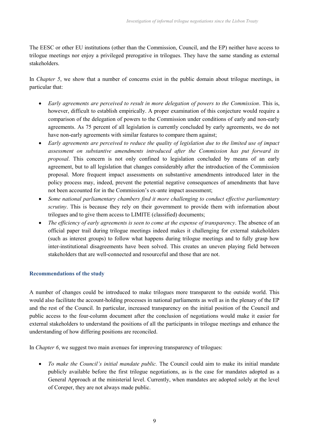The EESC or other EU institutions (other than the Commission, Council, and the EP) neither have access to trilogue meetings nor enjoy a privileged prerogative in trilogues. They have the same standing as external stakeholders.

In *Chapter 5*, we show that a number of concerns exist in the public domain about trilogue meetings, in particular that:

- *Early agreements are perceived to result in more delegation of powers to the Commission*. This is, however, difficult to establish empirically. A proper examination of this conjecture would require a comparison of the delegation of powers to the Commission under conditions of early and non-early agreements. As 75 percent of all legislation is currently concluded by early agreements, we do not have non-early agreements with similar features to compare them against;
- *Early agreements are perceived to reduce the quality of legislation due to the limited use of impact assessment on substantive amendments introduced after the Commission has put forward its proposal*. This concern is not only confined to legislation concluded by means of an early agreement, but to all legislation that changes considerably after the introduction of the Commission proposal. More frequent impact assessments on substantive amendments introduced later in the policy process may, indeed, prevent the potential negative consequences of amendments that have not been accounted for in the Commission's ex-ante impact assessment;
- *Some national parliamentary chambers find it more challenging to conduct effective parliamentary scrutiny*. This is because they rely on their government to provide them with information about trilogues and to give them access to LIMITE (classified) documents;
- *The efficiency of early agreements is seen to come at the expense of transparency*. The absence of an official paper trail during trilogue meetings indeed makes it challenging for external stakeholders (such as interest groups) to follow what happens during trilogue meetings and to fully grasp how inter-institutional disagreements have been solved. This creates an uneven playing field between stakeholders that are well-connected and resourceful and those that are not.

## **Recommendations of the study**

A number of changes could be introduced to make trilogues more transparent to the outside world. This would also facilitate the account-holding processes in national parliaments as well as in the plenary of the EP and the rest of the Council. In particular, increased transparency on the initial position of the Council and public access to the four-column document after the conclusion of negotiations would make it easier for external stakeholders to understand the positions of all the participants in trilogue meetings and enhance the understanding of how differing positions are reconciled.

In *Chapter 6*, we suggest two main avenues for improving transparency of trilogues:

 *To make the Council's initial mandate public.* The Council could aim to make its initial mandate publicly available before the first trilogue negotiations, as is the case for mandates adopted as a General Approach at the ministerial level. Currently, when mandates are adopted solely at the level of Coreper, they are not always made public.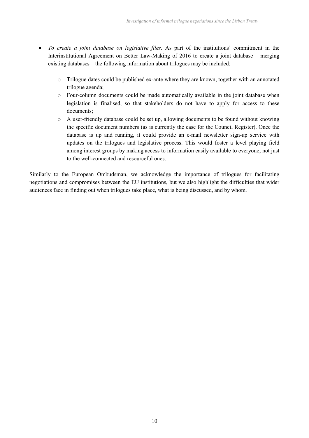- *To create a joint database on legislative files*. As part of the institutions' commitment in the Interinstitutional Agreement on Better Law-Making of 2016 to create a joint database – merging existing databases – the following information about trilogues may be included:
	- o Trilogue dates could be published ex-ante where they are known, together with an annotated trilogue agenda;
	- o Four-column documents could be made automatically available in the joint database when legislation is finalised, so that stakeholders do not have to apply for access to these documents;
	- o A user-friendly database could be set up, allowing documents to be found without knowing the specific document numbers (as is currently the case for the Council Register). Once the database is up and running, it could provide an e-mail newsletter sign-up service with updates on the trilogues and legislative process. This would foster a level playing field among interest groups by making access to information easily available to everyone; not just to the well-connected and resourceful ones.

Similarly to the European Ombudsman, we acknowledge the importance of trilogues for facilitating negotiations and compromises between the EU institutions, but we also highlight the difficulties that wider audiences face in finding out when trilogues take place, what is being discussed, and by whom.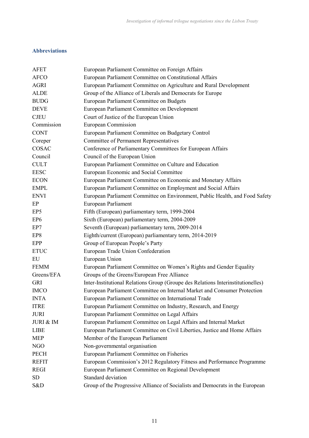## **Abbreviations**

| <b>AFET</b>     | European Parliament Committee on Foreign Affairs                                 |
|-----------------|----------------------------------------------------------------------------------|
| <b>AFCO</b>     | European Parliament Committee on Constitutional Affairs                          |
| <b>AGRI</b>     | European Parliament Committee on Agriculture and Rural Development               |
| <b>ALDE</b>     | Group of the Alliance of Liberals and Democrats for Europe                       |
| <b>BUDG</b>     | European Parliament Committee on Budgets                                         |
| <b>DEVE</b>     | European Parliament Committee on Development                                     |
| <b>CJEU</b>     | Court of Justice of the European Union                                           |
| Commission      | <b>European Commission</b>                                                       |
| <b>CONT</b>     | European Parliament Committee on Budgetary Control                               |
| Coreper         | <b>Committee of Permanent Representatives</b>                                    |
| COSAC           | Conference of Parliamentary Committees for European Affairs                      |
| Council         | Council of the European Union                                                    |
| <b>CULT</b>     | European Parliament Committee on Culture and Education                           |
| <b>EESC</b>     | European Economic and Social Committee                                           |
| <b>ECON</b>     | European Parliament Committee on Economic and Monetary Affairs                   |
| <b>EMPL</b>     | European Parliament Committee on Employment and Social Affairs                   |
| <b>ENVI</b>     | European Parliament Committee on Environment, Public Health, and Food Safety     |
| EP              | European Parliament                                                              |
| EP <sub>5</sub> | Fifth (European) parliamentary term, 1999-2004                                   |
| EP <sub>6</sub> | Sixth (European) parliamentary term, 2004-2009                                   |
| EP7             | Seventh (European) parliamentary term, 2009-2014                                 |
| EP8             | Eighth/current (European) parliamentary term, 2014-2019                          |
| EPP             | Group of European People's Party                                                 |
| <b>ETUC</b>     | European Trade Union Confederation                                               |
| EU              | European Union                                                                   |
| <b>FEMM</b>     | European Parliament Committee on Women's Rights and Gender Equality              |
| Greens/EFA      | Groups of the Greens/European Free Alliance                                      |
| <b>GRI</b>      | Inter-Institutional Relations Group (Groupe des Relations Interinstitutionelles) |
| <b>IMCO</b>     | European Parliament Committee on Internal Market and Consumer Protection         |
| <b>INTA</b>     | European Parliament Committee on International Trade                             |
| <b>ITRE</b>     | European Parliament Committee on Industry, Research, and Energy                  |
| <b>JURI</b>     | European Parliament Committee on Legal Affairs                                   |
| JURI & IM       | European Parliament Committee on Legal Affairs and Internal Market               |
| <b>LIBE</b>     | European Parliament Committee on Civil Liberties, Justice and Home Affairs       |
| <b>MEP</b>      | Member of the European Parliament                                                |
| NGO             | Non-governmental organisation                                                    |
| <b>PECH</b>     | European Parliament Committee on Fisheries                                       |
| <b>REFIT</b>    | European Commission's 2012 Regulatory Fitness and Performance Programme          |
| <b>REGI</b>     | European Parliament Committee on Regional Development                            |
| SD              | Standard deviation                                                               |
| S&D             | Group of the Progressive Alliance of Socialists and Democrats in the European    |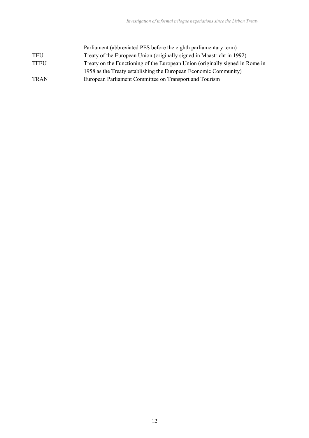| Parliament (abbreviated PES before the eighth parliamentary term)             |
|-------------------------------------------------------------------------------|
| Treaty of the European Union (originally signed in Maastricht in 1992)        |
| Treaty on the Functioning of the European Union (originally signed in Rome in |
| 1958 as the Treaty establishing the European Economic Community)              |
| European Parliament Committee on Transport and Tourism                        |
|                                                                               |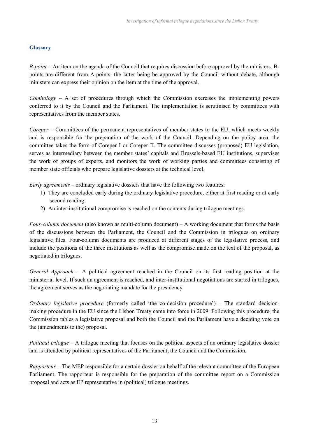## **Glossary**

*B-point* – An item on the agenda of the Council that requires discussion before approval by the ministers. Bpoints are different from A-points, the latter being be approved by the Council without debate, although ministers can express their opinion on the item at the time of the approval.

*Comitology* – A set of procedures through which the Commission exercises the implementing powers conferred to it by the Council and the Parliament. The implementation is scrutinised by committees with representatives from the member states.

*Coreper* – Committees of the permanent representatives of member states to the EU, which meets weekly and is responsible for the preparation of the work of the Council. Depending on the policy area, the committee takes the form of Coreper I or Coreper II. The committee discusses (proposed) EU legislation, serves as intermediary between the member states' capitals and Brussels-based EU institutions, supervises the work of groups of experts, and monitors the work of working parties and committees consisting of member state officials who prepare legislative dossiers at the technical level.

*Early agreements* – ordinary legislative dossiers that have the following two features:

- 1) They are concluded early during the ordinary legislative procedure, either at first reading or at early second reading;
- 2) An inter-institutional compromise is reached on the contents during trilogue meetings.

*Four-column document* (also known as multi-column document) – A working document that forms the basis of the discussions between the Parliament, the Council and the Commission in trilogues on ordinary legislative files. Four-column documents are produced at different stages of the legislative process, and include the positions of the three institutions as well as the compromise made on the text of the proposal, as negotiated in trilogues.

*General Approach* – A political agreement reached in the Council on its first reading position at the ministerial level. If such an agreement is reached, and inter-institutional negotiations are started in trilogues, the agreement serves as the negotiating mandate for the presidency.

*Ordinary legislative procedure* (formerly called 'the co-decision procedure') – The standard decisionmaking procedure in the EU since the Lisbon Treaty came into force in 2009. Following this procedure, the Commission tables a legislative proposal and both the Council and the Parliament have a deciding vote on the (amendments to the) proposal.

*Political trilogue* – A trilogue meeting that focuses on the political aspects of an ordinary legislative dossier and is attended by political representatives of the Parliament, the Council and the Commission.

*Rapporteur* – The MEP responsible for a certain dossier on behalf of the relevant committee of the European Parliament. The rapporteur is responsible for the preparation of the committee report on a Commission proposal and acts as EP representative in (political) trilogue meetings.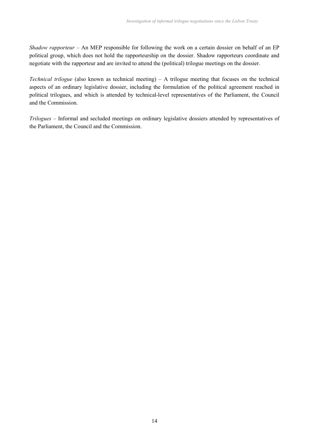*Shadow rapporteur* – An MEP responsible for following the work on a certain dossier on behalf of an EP political group, which does not hold the rapporteurship on the dossier. Shadow rapporteurs coordinate and negotiate with the rapporteur and are invited to attend the (political) trilogue meetings on the dossier.

*Technical trilogue* (also known as technical meeting) – A trilogue meeting that focuses on the technical aspects of an ordinary legislative dossier, including the formulation of the political agreement reached in political trilogues, and which is attended by technical-level representatives of the Parliament, the Council and the Commission.

*Trilogues* – Informal and secluded meetings on ordinary legislative dossiers attended by representatives of the Parliament, the Council and the Commission.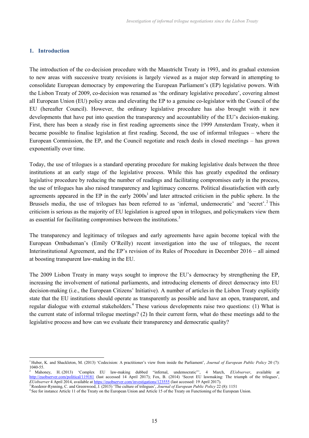## **1. Introduction**

The introduction of the co-decision procedure with the Maastricht Treaty in 1993, and its gradual extension to new areas with successive treaty revisions is largely viewed as a major step forward in attempting to consolidate European democracy by empowering the European Parliament's (EP) legislative powers. With the Lisbon Treaty of 2009, co-decision was renamed as 'the ordinary legislative procedure', covering almost all European Union (EU) policy areas and elevating the EP to a genuine co-legislator with the Council of the EU (hereafter Council). However, the ordinary legislative procedure has also brought with it new developments that have put into question the transparency and accountability of the EU's decision-making. First, there has been a steady rise in first reading agreements since the 1999 Amsterdam Treaty, when it became possible to finalise legislation at first reading. Second, the use of informal trilogues – where the European Commission, the EP, and the Council negotiate and reach deals in closed meetings – has grown exponentially over time.

Today, the use of trilogues is a standard operating procedure for making legislative deals between the three institutions at an early stage of the legislative process. While this has greatly expedited the ordinary legislative procedure by reducing the number of readings and facilitating compromises early in the process, the use of trilogues has also raised transparency and legitimacy concerns. Political dissatisfaction with early agreements appeared in the EP in the early  $2000s<sup>1</sup>$  and later attracted criticism in the public sphere. In the Brussels media, the use of trilogues has been referred to as 'infernal, undemocratic' and 'secret'.<sup>2</sup> This criticism is serious as the majority of EU legislation is agreed upon in trilogues, and policymakers view them as essential for facilitating compromises between the institutions.<sup>3</sup>

The transparency and legitimacy of trilogues and early agreements have again become topical with the European Ombudsman's (Emily O'Reilly) recent investigation into the use of trilogues, the recent Interinstitutional Agreement, and the EP's revision of its Rules of Procedure in December 2016 – all aimed at boosting transparent law-making in the EU.

The 2009 Lisbon Treaty in many ways sought to improve the EU's democracy by strengthening the EP, increasing the involvement of national parliaments, and introducing elements of direct democracy into EU decision-making (i.e., the European Citizens' Initiative). A number of articles in the Lisbon Treaty explicitly state that the EU institutions should operate as transparently as possible and have an open, transparent, and regular dialogue with external stakeholders.<sup>4</sup> These various developments raise two questions: (1) What is the current state of informal trilogue meetings? (2) In their current form, what do these meetings add to the legislative process and how can we evaluate their transparency and democratic quality?

<sup>1</sup> Huber, K. and Shackleton, M. (2013) 'Codecision: A practitioner's view from inside the Parliament', *Journal of European Public Policy* 20 (7):  $1040-55$ .<br><sup>2</sup> Mahoney,

<sup>2</sup> Mahoney, H. (2013) 'Complex EU law-making dubbed "infernal, undemocratic"', 4 March, *EUobserver*, available at http://euobserver.com/political/119181 (last accessed 14 April 2017); Fox, B. (2014) 'Secret EU lawmaking: The triumph of the trilogues', *EUobserver* 4 April 2014, available at https://euobserver.com/investigations/123555 (last accessed: 19 April 2017).

<sup>3</sup>Roederer-Rynning, C. and Greenwood, J. (2015) 'The culture of trilogues', *Journal of European Public Policy* 22 (8): 1151

<sup>4</sup> See for instance Article 11 of the Treaty on the European Union and Article 15 of the Treaty on Functioning of the European Union.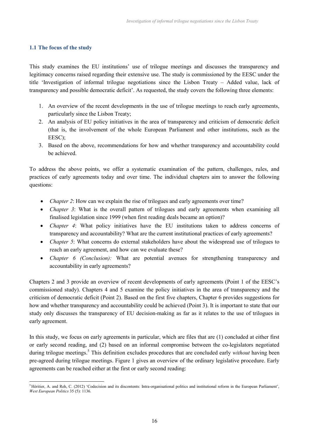## **1.1 The focus of the study**

This study examines the EU institutions' use of trilogue meetings and discusses the transparency and legitimacy concerns raised regarding their extensive use. The study is commissioned by the EESC under the title 'Investigation of informal trilogue negotiations since the Lisbon Treaty – Added value, lack of transparency and possible democratic deficit'. As requested, the study covers the following three elements:

- 1. An overview of the recent developments in the use of trilogue meetings to reach early agreements, particularly since the Lisbon Treaty;
- 2. An analysis of EU policy initiatives in the area of transparency and criticism of democratic deficit (that is, the involvement of the whole European Parliament and other institutions, such as the EESC);
- 3. Based on the above, recommendations for how and whether transparency and accountability could be achieved.

To address the above points, we offer a systematic examination of the pattern, challenges, rules, and practices of early agreements today and over time. The individual chapters aim to answer the following questions:

- *Chapter 2*: How can we explain the rise of trilogues and early agreements over time?
- *Chapter 3*: What is the overall pattern of trilogues and early agreements when examining all finalised legislation since 1999 (when first reading deals became an option)?
- *Chapter 4*: What policy initiatives have the EU institutions taken to address concerns of transparency and accountability? What are the current institutional practices of early agreements?
- *Chapter 5*: What concerns do external stakeholders have about the widespread use of trilogues to reach an early agreement, and how can we evaluate these?
- *Chapter 6 (Conclusion):* What are potential avenues for strengthening transparency and accountability in early agreements?

Chapters 2 and 3 provide an overview of recent developments of early agreements (Point 1 of the EESC's commissioned study). Chapters 4 and 5 examine the policy initiatives in the area of transparency and the criticism of democratic deficit (Point 2). Based on the first five chapters, Chapter 6 provides suggestions for how and whether transparency and accountability could be achieved (Point 3). It is important to state that our study only discusses the transparency of EU decision-making as far as it relates to the use of trilogues in early agreement.

In this study, we focus on early agreements in particular, which are files that are (1) concluded at either first or early second reading, and (2) based on an informal compromise between the co-legislators negotiated during trilogue meetings.<sup>5</sup> This definition excludes procedures that are concluded early *without* having been pre-agreed during trilogue meetings. Figure 1 gives an overview of the ordinary legislative procedure. Early agreements can be reached either at the first or early second reading:

<sup>&</sup>lt;sup>5</sup> Héritier, A. and Reh, C. (2012) 'Codecision and its discontents: Intra-organisational politics and institutional reform in the European Parliament', *West European Politics* 35 (5): 1136.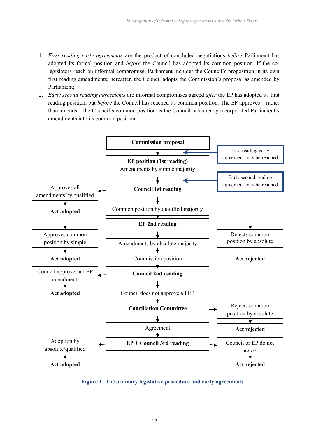- 1. *First reading early agreements* are the product of concluded negotiations *before* Parliament has adopted its formal position and *before* the Council has adopted its common position. If the colegislators reach an informal compromise, Parliament includes the Council's proposition in its own first reading amendments; hereafter, the Council adopts the Commission's proposal as amended by Parliament;
- 2. *Early second reading agreements* are informal compromises agreed *after* the EP has adopted its first reading position, but *before* the Council has reached its common position. The EP approves – rather than amends – the Council's common position as the Council has already incorporated Parliament's amendments into its common position.



**Figure 1: The ordinary legislative procedure and early agreements**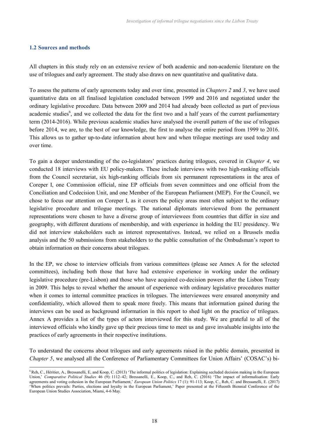## **1.2 Sources and methods**

All chapters in this study rely on an extensive review of both academic and non-academic literature on the use of trilogues and early agreement. The study also draws on new quantitative and qualitative data.

To assess the patterns of early agreements today and over time, presented in *Chapters 2* and *3*, we have used quantitative data on all finalised legislation concluded between 1999 and 2016 and negotiated under the ordinary legislative procedure. Data between 2009 and 2014 had already been collected as part of previous academic studies<sup>6</sup>, and we collected the data for the first two and a half years of the current parliamentary term (2014-2016). While previous academic studies have analysed the overall pattern of the use of trilogues before 2014, we are, to the best of our knowledge, the first to analyse the entire period from 1999 to 2016. This allows us to gather up-to-date information about how and when trilogue meetings are used today and over time.

To gain a deeper understanding of the co-legislators' practices during trilogues, covered in *Chapter 4*, we conducted 18 interviews with EU policy-makers. These include interviews with two high-ranking officials from the Council secretariat, six high-ranking officials from six permanent representations in the area of Coreper I, one Commission official, nine EP officials from seven committees and one official from the Conciliation and Codecision Unit, and one Member of the European Parliament (MEP). For the Council, we chose to focus our attention on Coreper I, as it covers the policy areas most often subject to the ordinary legislative procedure and trilogue meetings. The national diplomats interviewed from the permanent representations were chosen to have a diverse group of interviewees from countries that differ in size and geography, with different durations of membership, and with experience in holding the EU presidency. We did not interview stakeholders such as interest representatives. Instead, we relied on a Brussels media analysis and the 50 submissions from stakeholders to the public consultation of the Ombudsman's report to obtain information on their concerns about trilogues.

In the EP, we chose to interview officials from various committees (please see Annex A for the selected committees), including both those that have had extensive experience in working under the ordinary legislative procedure (pre-Lisbon) and those who have acquired co-decision powers after the Lisbon Treaty in 2009. This helps to reveal whether the amount of experience with ordinary legislative procedures matter when it comes to internal committee practices in trilogues. The interviewees were ensured anonymity and confidentiality, which allowed them to speak more freely. This means that information gained during the interviews can be used as background information in this report to shed light on the practice of trilogues. Annex A provides a list of the types of actors interviewed for this study. We are grateful to all of the interviewed officials who kindly gave up their precious time to meet us and gave invaluable insights into the practices of early agreements in their respective institutions.

To understand the concerns about trilogues and early agreements raised in the public domain, presented in *Chapter 5*, we analysed all the Conference of Parliamentary Committees for Union Affairs' (COSAC's) bi-

<sup>&</sup>lt;sup>6</sup>Reh, C., Héritier, A., Bressanelli, E, and Koop, C. (2013) 'The informal politics of legislation: Explaining secluded decision making in the European Union,' *Comparative Political Studies* 46 (9): 1112–42; Bressanelli, E., Koop, C., and Reh, C. (2016) 'The impact of informalisation: Early agreements and voting cohesion in the European Parliament,' *European Union Politics* 17 (1): 91-113; Koop, C., Reh, C. and Bressanelli, E. (2017) 'When politics prevails: Parties, elections and loyalty in the European Parliament,' Paper presented at the Fifteenth Biennial Conference of the European Union Studies Association, Miami, 4-6 May.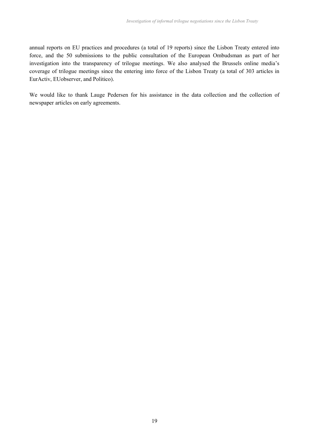annual reports on EU practices and procedures (a total of 19 reports) since the Lisbon Treaty entered into force, and the 50 submissions to the public consultation of the European Ombudsman as part of her investigation into the transparency of trilogue meetings. We also analysed the Brussels online media's coverage of trilogue meetings since the entering into force of the Lisbon Treaty (a total of 303 articles in EurActiv, EUobserver, and Politico).

We would like to thank Lauge Pedersen for his assistance in the data collection and the collection of newspaper articles on early agreements.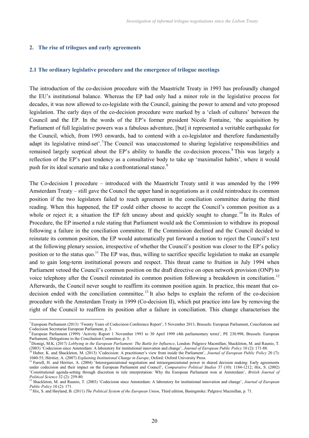#### **2. The rise of trilogues and early agreements**

### **2.1 The ordinary legislative procedure and the emergence of trilogue meetings**

The introduction of the co-decision procedure with the Maastricht Treaty in 1993 has profoundly changed the EU's institutional balance. Whereas the EP had only had a minor role in the legislative process for decades, it was now allowed to co-legislate with the Council, gaining the power to amend and veto proposed legislation. The early days of the co-decision procedure were marked by a 'clash of cultures' between the Council and the EP. In the words of the EP's former president Nicole Fontaine, 'the acquisition by Parliament of full legislative powers was a fabulous adventure, [but] it represented a veritable earthquake for the Council, which, from 1993 onwards, had to contend with a co-legislator and therefore fundamentally adapt its legislative mind-set<sup>'</sup>.<sup>7</sup>The Council was unaccustomed to sharing legislative responsibilities and remained largely sceptical about the EP's ability to handle the co-decision process.<sup>8</sup> This was largely a reflection of the EP's past tendency as a consultative body to take up 'maximalist habits', where it would push for its ideal scenario and take a confrontational stance.<sup>9</sup>

The Co-decision I procedure – introduced with the Maastricht Treaty until it was amended by the 1999 Amsterdam Treaty – still gave the Council the upper hand in negotiations as it could reintroduce its common position if the two legislators failed to reach agreement in the conciliation committee during the third reading. When this happened, the EP could either choose to accept the Council's common position as a whole or reject it; a situation the EP felt uneasy about and quickly sought to change.<sup>10</sup> In its Rules of Procedure, the EP inserted a rule stating that Parliament would ask the Commission to withdraw its proposal following a failure in the conciliation committee. If the Commission declined and the Council decided to reinstate its common position, the EP would automatically put forward a motion to reject the Council's text at the following plenary session, irrespective of whether the Council's position was closer to the EP's policy position or to the status quo.<sup>11</sup> The EP was, thus, willing to sacrifice specific legislation to make an example and to gain long-term institutional powers and respect. This threat came to fruition in July 1994 when Parliament vetoed the Council's common position on the draft directive on open network provision (ONP) to voice telephony after the Council reinstated its common position following a breakdown in conciliation.<sup>12</sup> Afterwards, the Council never sought to reaffirm its common position again. In practice, this meant that codecision ended with the conciliation committee.<sup>13</sup> It also helps to explain the reform of the co-decision procedure with the Amsterdam Treaty in 1999 (Co-decision II), which put practice into law by removing the right of the Council to reaffirm its position after a failure in conciliation. This change characterises the

<sup>7</sup> European Parliament (2013) 'Twenty Years of Codecision Conference Report', 5 November 2013, Brussels: European Parliament, Conciliations and Codecision Secretariat European Parliament, p. 3.

<sup>8</sup> European Parliament (1999) 'Activity Report 1 November 1993 to 30 April 1999 (4th parliamentary term)', PE 230.998, Brussels: European Parliament, Delegations to the Conciliation Committee, p. 5.

<sup>9</sup> Dionigi, M.K. (2017*) Lobbying in the European Parliament: The Battle for Influence*, London: Palgrave Macmillan; Shackleton, M. and Raunio, T. (2003) 'Codecision since Amsterdam: A laboratory for institutional innovation and change', *Journal of European Public Policy* 10 (2): 171-88.

<sup>10</sup> Huber, K. and Shackleton, M. (2013) 'Codecision: A practitioner's view from inside the Parliament', *Journal of European Public Policy* 20 (7): 1040-55; Héritier, A. (2007) *Explaining Institutional Change in Europe*, Oxford: Oxford University Press.

<sup>&</sup>lt;sup>11</sup> Farrell, H. and Héritier, A. (2004) 'Interorganizational negotiation and intraorganizational power in shared decision making: Early agreements under codecision and their impact on the European Parliament and Council', *Comparative Political Studies* 37 (10): 1184-1212; Hix, S. (2002) 'Constitutional agenda-setting through discretion in rule interpretation: Why the European Parliament won at Amsterdam', *British Journal of Political Science* 32 (2): 259-80.

<sup>&</sup>lt;sup>12</sup> Shackleton, M. and Raunio, T. (2003) 'Codecision since Amsterdam: A laboratory for institutional innovation and change', *Journal of European Public Policy* 10 (2): 171.

<sup>13</sup> Hix, S. and Høyland, B. (2011) *The Political System of the European Union*, Third edition, Basingstoke: Palgrave Macmillan, p. 71.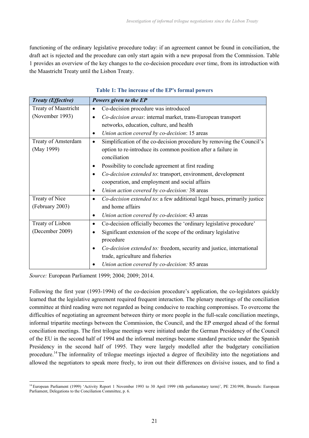functioning of the ordinary legislative procedure today: if an agreement cannot be found in conciliation, the draft act is rejected and the procedure can only start again with a new proposal from the Commission. Table 1 provides an overview of the key changes to the co-decision procedure over time, from its introduction with the Maastricht Treaty until the Lisbon Treaty.

| <b>Treaty (Effective)</b> | Powers given to the EP                                                                |
|---------------------------|---------------------------------------------------------------------------------------|
| Treaty of Maastricht      | Co-decision procedure was introduced<br>$\bullet$                                     |
| (November 1993)           | Co-decision areas: internal market, trans-European transport                          |
|                           | networks, education, culture, and health                                              |
|                           | Union action covered by co-decision: 15 areas<br>٠                                    |
| Treaty of Amsterdam       | Simplification of the co-decision procedure by removing the Council's<br>$\bullet$    |
| (May 1999)                | option to re-introduce its common position after a failure in                         |
|                           | conciliation                                                                          |
|                           | Possibility to conclude agreement at first reading<br>٠                               |
|                           | Co-decision extended to: transport, environment, development<br>٠                     |
|                           | cooperation, and employment and social affairs                                        |
|                           | Union action covered by co-decision: 38 areas<br>$\bullet$                            |
| Treaty of Nice            | Co-decision extended to: a few additional legal bases, primarily justice<br>$\bullet$ |
| (February 2003)           | and home affairs                                                                      |
|                           | Union action covered by co-decision: 43 areas<br>٠                                    |
| Treaty of Lisbon          | Co-decision officially becomes the 'ordinary legislative procedure'<br>$\bullet$      |
| (December 2009)           | Significant extension of the scope of the ordinary legislative                        |
|                           | procedure                                                                             |
|                           | Co-decision extended to: freedom, security and justice, international<br>٠            |
|                           | trade, agriculture and fisheries                                                      |
|                           | Union action covered by co-decision: 85 areas                                         |

## **Table 1: The increase of the EP's formal powers**

*Source:* European Parliament 1999; 2004; 2009; 2014.

Following the first year (1993-1994) of the co-decision procedure's application, the co-legislators quickly learned that the legislative agreement required frequent interaction. The plenary meetings of the conciliation committee at third reading were not regarded as being conducive to reaching compromises. To overcome the difficulties of negotiating an agreement between thirty or more people in the full-scale conciliation meetings, informal tripartite meetings between the Commission, the Council, and the EP emerged ahead of the formal conciliation meetings. The first trilogue meetings were initiated under the German Presidency of the Council of the EU in the second half of 1994 and the informal meetings became standard practice under the Spanish Presidency in the second half of 1995. They were largely modelled after the budgetary conciliation procedure.<sup>14</sup> The informality of trilogue meetings injected a degree of flexibility into the negotiations and allowed the negotiators to speak more freely, to iron out their differences on divisive issues, and to find a

<sup>&</sup>lt;sup>14</sup> European Parliament (1999) 'Activity Report 1 November 1993 to 30 April 1999 (4th parliamentary term)', PE 230.998, Brussels: European Parliament, Delegations to the Conciliation Committee, p. 6.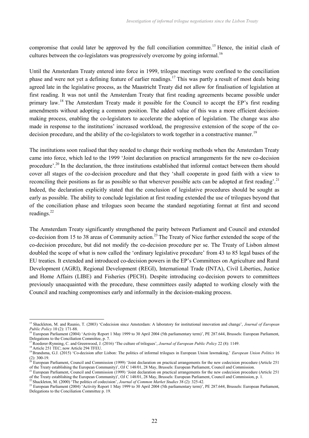compromise that could later be approved by the full conciliation committee.<sup>15</sup> Hence, the initial clash of cultures between the co-legislators was progressively overcome by going informal.<sup>16</sup>

Until the Amsterdam Treaty entered into force in 1999, trilogue meetings were confined to the conciliation phase and were not yet a defining feature of earlier readings.<sup>17</sup> This was partly a result of most deals being agreed late in the legislative process, as the Maastricht Treaty did not allow for finalisation of legislation at first reading. It was not until the Amsterdam Treaty that first reading agreements became possible under primary law.<sup>18</sup> The Amsterdam Treaty made it possible for the Council to accept the EP's first reading amendments without adopting a common position. The added value of this was a more efficient decisionmaking process, enabling the co-legislators to accelerate the adoption of legislation. The change was also made in response to the institutions' increased workload, the progressive extension of the scope of the codecision procedure, and the ability of the co-legislators to work together in a constructive manner.<sup>19</sup>

The institutions soon realised that they needed to change their working methods when the Amsterdam Treaty came into force, which led to the 1999 'Joint declaration on practical arrangements for the new co-decision procedure'.<sup>20</sup> In the declaration, the three institutions established that informal contact between them should cover all stages of the co-decision procedure and that they 'shall cooperate in good faith with a view to reconciling their positions as far as possible so that wherever possible acts can be adopted at first reading'.<sup>21</sup> Indeed, the declaration explicitly stated that the conclusion of legislative procedures should be sought as early as possible. The ability to conclude legislation at first reading extended the use of trilogues beyond that of the conciliation phase and trilogues soon became the standard negotiating format at first and second readings.<sup>22</sup>

The Amsterdam Treaty significantly strengthened the parity between Parliament and Council and extended co-decision from 15 to 38 areas of Community action.<sup>23</sup> The Treaty of Nice further extended the scope of the co-decision procedure, but did not modify the co-decision procedure per se. The Treaty of Lisbon almost doubled the scope of what is now called the 'ordinary legislative procedure' from 43 to 85 legal bases of the EU treaties. It extended and introduced co-decision powers in the EP's Committees on Agriculture and Rural Development (AGRI), Regional Development (REGI), International Trade (INTA), Civil Liberties, Justice and Home Affairs (LIBE) and Fisheries (PECH). Despite introducing co-decision powers to committees previously unacquainted with the procedure, these committees easily adapted to working closely with the Council and reaching compromises early and informally in the decision-making process.

<sup>15</sup> Shackleton, M. and Raunio, T. (2003) 'Codecision since Amsterdam: A laboratory for institutional innovation and change', *Journal of European Public Policy* 10 (2): 171-88.

<sup>&</sup>lt;sup>16</sup> European Parliament (2004) 'Activity Report 1 May 1999 to 30 April 2004 (5th parliamentary term)', PE 287.644, Brussels: European Parliament, Delegations to the Conciliation Committee, p. 7.

<sup>17</sup>Roederer-Rynning, C. and Greenwood, J. (2016) 'The culture of trilogues', *Journal of European Public Policy* 22 (8): 1149.

<sup>&</sup>lt;sup>18</sup> Article 251 TEC; now Article 294 TFEU.

<sup>&</sup>lt;sup>19</sup>Brandsma, G.J. (2015) 'Co-decision after Lisbon: The politics of informal trilogues in European Union lawmaking,' *European Union Politics* 16 (2): 300-19.

<sup>&</sup>lt;sup>20</sup> European Parliament, Council and Commission (1999) 'Joint declaration on practical arrangements for the new codecision procedure (Article 251 of the Treaty establishing the European Community)', OJ C 148/01, 28 May, Brussels: European Parliament, Council and Commission.

<sup>&</sup>lt;sup>21</sup> European Parliament, Council and Commission (1999) 'Joint declaration on practical arrangements for the new codecision procedure (Article 251 of the Treaty establishing the European Community)', OJ C 148/01, 28 May, Brussels: European Parliament, Council and Commission, p. 1.

<sup>22</sup> Shackleton, M. (2000) 'The politics of codecision', *Journal of Common Market Studies* 38 (2): 325-42.

<sup>&</sup>lt;sup>23</sup> European Parliament (2004) 'Activity Report 1 May 1999 to 30 April 2004 (5th parliamentary term)', PE 287.644, Brussels: European Parliament, Delegations to the Conciliation Committee p. 19.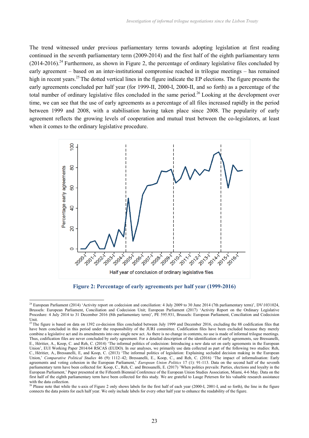The trend witnessed under previous parliamentary terms towards adopting legislation at first reading continued in the seventh parliamentary term (2009-2014) and the first half of the eighth parliamentary term  $(2014-2016).$ <sup>24</sup> Furthermore, as shown in Figure 2, the percentage of ordinary legislative files concluded by early agreement – based on an inter-institutional compromise reached in trilogue meetings – has remained high in recent years.<sup>25</sup> The dotted vertical lines in the figure indicate the EP elections. The figure presents the early agreements concluded per half year (for 1999-II, 2000-I, 2000-II, and so forth) as a percentage of the total number of ordinary legislative files concluded in the same period.<sup>26</sup> Looking at the development over time, we can see that the use of early agreements as a percentage of all files increased rapidly in the period between 1999 and 2008, with a stabilisation having taken place since 2008. The popularity of early agreement reflects the growing levels of cooperation and mutual trust between the co-legislators, at least when it comes to the ordinary legislative procedure.



**Figure 2: Percentage of early agreements per half year (1999-2016)**

<sup>&</sup>lt;sup>24</sup> European Parliament (2014) 'Activity report on codecision and conciliation: 4 July 2009 to 30 June 2014 (7th parliamentary term)', DV\1031024, Brussels: European Parliament, Conciliation and Codecision Unit; European Parliament (2017) 'Activity Report on the Ordinary Legislative Procedure: 4 July 2014 to 31 December 2016 (8th parliamentary term)', PE 595.931, Brussels: European Parliament, Conciliation and Codecision Unit.

<sup>&</sup>lt;sup>25</sup> The figure is based on data on 1392 co-decision files concluded between July 1999 and December 2016, excluding the 88 codification files that have been concluded in this period under the responsibility of the JURI committee. Codification files have been excluded because they merely combine a legislative act and its amendments into one single new act. As there is no change in contents, no use is made of informal trilogue meetings. Thus, codification files are never concluded by early agreement. For a detailed description of the identification of early agreements, see Bressanelli, E., Héritier, A., Koop, C. and Reh, C. (2014) 'The informal politics of codecision: Introducing a new data set on early agreements in the European Union', EUI Working Paper 2014/64 RSCAS (EUDO). In our analyses, we primarily use data collected as part of the following two studies: Reh, C., Héritier, A., Bressanelli, E, and Koop, C. (2013) 'The informal politics of legislation: Explaining secluded decision making in the European Union,' *Comparative Political Studies* 46 (9): 1112–42; Bressanelli, E., Koop, C., and Reh, C. (2016) 'The impact of informalisation: Early agreements and voting cohesion in the European Parliament,' *European Union Politics* 17 (1): 91-113. Data on the second half of the seventh parliamentary term have been collected for: Koop, C., Reh, C. and Bressanelli, E. (2017) 'When politics prevails: Parties, elections and loyalty in the European Parliament,' Paper presented at the Fifteenth Biennial Conference of the European Union Studies Association, Miami, 4-6 May. Data on the first half of the eighth parliamentary term have been collected for this study. We are grateful to Lauge Petersen for his valuable research assistance with the data collection.

<sup>&</sup>lt;sup>26</sup> Please note that while the x-axis of Figure 2 only shows labels for the first half of each year (2000-I, 2001-I, and so forth), the line in the figure connects the data points for each half year. We only include labels for every other half year to enhance the readability of the figure.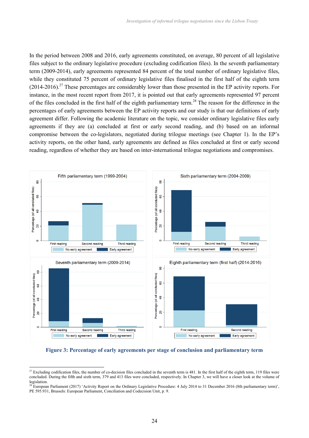In the period between 2008 and 2016, early agreements constituted, on average, 80 percent of all legislative files subject to the ordinary legislative procedure (excluding codification files). In the seventh parliamentary term (2009-2014), early agreements represented 84 percent of the total number of ordinary legislative files, while they constituted 75 percent of ordinary legislative files finalised in the first half of the eighth term  $(2014-2016).$ <sup>27</sup> These percentages are considerably lower than those presented in the EP activity reports. For instance, in the most recent report from 2017, it is pointed out that early agreements represented 97 percent of the files concluded in the first half of the eighth parliamentary term.<sup>28</sup> The reason for the difference in the percentages of early agreements between the EP activity reports and our study is that our definitions of early agreement differ. Following the academic literature on the topic, we consider ordinary legislative files early agreements if they are (a) concluded at first or early second reading, and (b) based on an informal compromise between the co-legislators, negotiated during trilogue meetings (see Chapter 1). In the EP's activity reports, on the other hand, early agreements are defined as files concluded at first or early second reading, regardless of whether they are based on inter-international trilogue negotiations and compromises.



**Figure 3: Percentage of early agreements per stage of conclusion and parliamentary term**

 $27$  Excluding codification files, the number of co-decision files concluded in the seventh term is 481. In the first half of the eighth term, 119 files were concluded. During the fifth and sixth term, 379 and 413 files were concluded, respectively. In Chapter 3, we will have a closer look at the volume of **legislation** 

<sup>&</sup>lt;sup>28</sup> European Parliament (2017) 'Activity Report on the Ordinary Legislative Procedure: 4 July 2014 to 31 December 2016 (8th parliamentary term)', PE 595.931, Brussels: European Parliament, Conciliation and Codecision Unit, p. 9.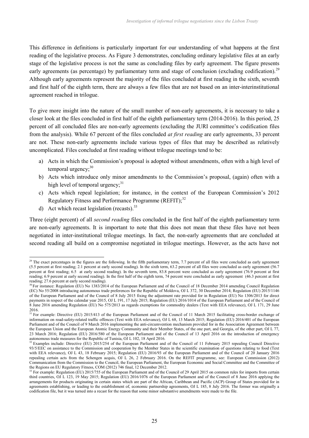This difference in definitions is particularly important for our understanding of what happens at the first reading of the legislative process. As Figure 3 demonstrates, concluding ordinary legislative files at an early stage of the legislative process is not the same as concluding files by early agreement. The figure presents early agreements (as percentage) by parliamentary term and stage of conclusion (excluding codification).<sup>29</sup> Although early agreements represent the majority of the files concluded at first reading in the sixth, seventh and first half of the eighth term, there are always a few files that are not based on an inter-interinstitutional agreement reached in trilogue.

To give more insight into the nature of the small number of non-early agreements, it is necessary to take a closer look at the files concluded in first half of the eighth parliamentary term (2014-2016). In this period, 25 percent of all concluded files are non-early agreements (excluding the JURI committee's codification files from the analysis). While 67 percent of the files concluded *at first reading* are early agreements, 33 percent are not. These non-early agreements include various types of files that may be described as relatively uncomplicated. Files concluded at first reading without trilogue meetings tend to be:

- a) Acts in which the Commission's proposal is adopted without amendments, often with a high level of temporal urgency; $30$
- b) Acts which introduce only minor amendments to the Commission's proposal, (again) often with a high level of temporal urgency; $31$
- c) Acts which repeal legislation; for instance, in the context of the European Commission's 2012 Regulatory Fitness and Performance Programme (REFIT);<sup>32</sup>
- d) Act which recast legislation (recasts). $33$

Three (eight percent) of all *second reading* files concluded in the first half of the eighth parliamentary term are non-early agreements. It is important to note that this does not mean that these files have not been negotiated in inter-institutional trilogue meetings. In fact, the non-early agreements that are concluded at second reading all build on a compromise negotiated in trilogue meetings. However, as the acts have not

 $29$  The exact percentages in the figures are the following. In the fifth parliamentary term, 7.7 percent of all files were concluded as early agreement (5.5 percent at first reading; 2.1 percent at early second reading). In the sixth term, 63.2 percent of all files were concluded as early agreement (56.7 percent at first reading; 6.5 at early second reading). In the seventh term, 83.8 percent were concluded as early agreement (76.9 percent at first reading; 6.9 percent at early second reading). In the first half of the eighth term, 74 percent were concluded as early agreement (46.3 percent at first reading; 27.6 percent at early second reading).

 ${}^{0}$  For instance: Regulation (EU) No 1383/2014 of the European Parliament and of the Council of 18 December 2014 amending Council Regulation (EC) No 55/2008 introducing autonomous trade preferences for the Republic of Moldova, OJ L 372, 30 December 2014; Regulation (EU) 2015/1146 of the European Parliament and of the Council of 8 July 2015 fixing the adjustment rate provided for in Regulation (EU) No 1306/2013 for direct payments in respect of the calendar year 2015, OJ L 191, 17 July 2015; Regulation (EU) 2016/1014 of the European Parliament and of the Council of 8 June 2016 amending Regulation (EU) No 575/2013 as regards exemptions for commodity dealers (Text with EEA relevance), OJ L 171, 29 June 2016.

<sup>&</sup>lt;sup>31</sup> For example: Directive (EU) 2015/413 of the European Parliament and of the Council of 11 March 2015 facilitating cross-border exchange of information on road-safety-related traffic offences (Text with EEA relevance), OJ L 68, 13 March 2015; Regulation (EU) 2016/401 of the European Parliament and of the Council of 9 March 2016 implementing the anti-circumvention mechanism provided for in the Association Agreement between the European Union and the European Atomic Energy Community and their Member States, of the one part, and Georgia, of the other part, OJ L 77, 23 March 2016; Regulation (EU) 2016/580 of the European Parliament and of the Council of 13 April 2016 on the introduction of emergency autonomous trade measures for the Republic of Tunisia, OJ L 102, 18 April 2016.

<sup>&</sup>lt;sup>32</sup> Examples include: Directive (EU) 2015/254 of the European Parliament and of the Council of 11 February 2015 repealing Council Directive 93/5/EEC on assistance to the Commission and cooperation by the Member States in the scientific examination of questions relating to food (Text with EEA relevance), OJ L 43, 18 February 2015; Regulation (EU) 2016/93 of the European Parliament and of the Council of 20 January 2016 repealing certain acts from the Schengen acquis, OJ L 26, 2 February 2016. On the REFIT programme, see: European Commission (2012) Communication from the Commission to the Council, the European Parliament, the European Economic and Social Committee and the Committee of the Regions on EU Regulatory Fitness, COM (2012) 746 final, 12 December 2012.

<sup>&</sup>lt;sup>33</sup> For example: Regulation (EU) 2015/755 of the European Parliament and of the Council of 29 April 2015 on common rules for imports from certain third countries, OJ L 123, 19 May 2015; Regulation (EU) 2016/1076 of the European Parliament and of the Council of 8 June 2016 applying the arrangements for products originating in certain states which are part of the African, Caribbean and Pacific (ACP) Group of States provided for in agreements establishing, or leading to the establishment of, economic partnership agreements, OJ L 185, 8 July 2016. The former was originally a codification file, but it was turned into a recast for the reason that some minor substantive amendments were made to the file.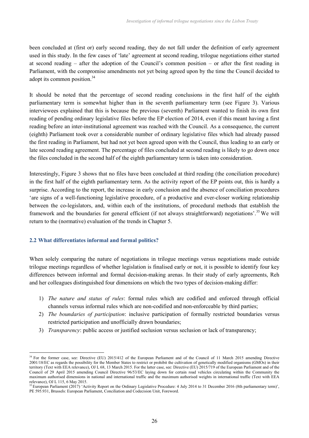been concluded at (first or) early second reading, they do not fall under the definition of early agreement used in this study. In the few cases of 'late' agreement at second reading, trilogue negotiations either started at second reading – after the adoption of the Council's common position – or after the first reading in Parliament, with the compromise amendments not yet being agreed upon by the time the Council decided to adopt its common position.<sup>34</sup>

It should be noted that the percentage of second reading conclusions in the first half of the eighth parliamentary term is somewhat higher than in the seventh parliamentary term (see Figure 3). Various interviewees explained that this is because the previous (seventh) Parliament wanted to finish its own first reading of pending ordinary legislative files before the EP election of 2014, even if this meant having a first reading before an inter-institutional agreement was reached with the Council. As a consequence, the current (eighth) Parliament took over a considerable number of ordinary legislative files which had already passed the first reading in Parliament, but had not yet been agreed upon with the Council, thus leading to an early or late second reading agreement. The percentage of files concluded at second reading is likely to go down once the files concluded in the second half of the eighth parliamentary term is taken into consideration.

Interestingly, Figure 3 shows that no files have been concluded at third reading (the conciliation procedure) in the first half of the eighth parliamentary term. As the activity report of the EP points out, this is hardly a surprise. According to the report, the increase in early conclusion and the absence of conciliation procedures 'are signs of a well-functioning legislative procedure, of a productive and ever-closer working relationship between the co-legislators, and, within each of the institutions, of procedural methods that establish the framework and the boundaries for general efficient (if not always straightforward) negotiations'.<sup>35</sup> We will return to the (normative) evaluation of the trends in Chapter 5.

## **2.2 What differentiates informal and formal politics?**

When solely comparing the nature of negotiations in trilogue meetings versus negotiations made outside trilogue meetings regardless of whether legislation is finalised early or not, it is possible to identify four key differences between informal and formal decision-making arenas. In their study of early agreements, Reh and her colleagues distinguished four dimensions on which the two types of decision-making differ:

- 1) *The nature and status of rules*: formal rules which are codified and enforced through official channels versus informal rules which are non-codified and non-enforceable by third parties;
- 2) *The boundaries of participation*: inclusive participation of formally restricted boundaries versus restricted participation and unofficially drawn boundaries;
- 3) *Transparency*: public access or justified seclusion versus seclusion or lack of transparency;

<sup>&</sup>lt;sup>34</sup> For the former case, see: Directive (EU) 2015/412 of the European Parliament and of the Council of 11 March 2015 amending Directive 2001/18/EC as regards the possibility for the Member States to restrict or prohibit the cultivation of genetically modified organisms (GMOs) in their territory (Text with EEA relevance), OJ L 68, 13 March 2015. For the latter case, see: Directive (EU) 2015/719 of the European Parliament and of the Council of 29 April 2015 amending Council Directive 96/53/EC laying down for certain road vehicles circulating within the Community the maximum authorised dimensions in national and international traffic and the maximum authorised weights in international traffic (Text with EEA relevance), OJ L 115, 6 May 2015.

<sup>&</sup>lt;sup>35</sup> European Parliament (2017) 'Activity Report on the Ordinary Legislative Procedure: 4 July 2014 to 31 December 2016 (8th parliamentary term)', PE 595.931, Brussels: European Parliament, Conciliation and Codecision Unit, Foreword.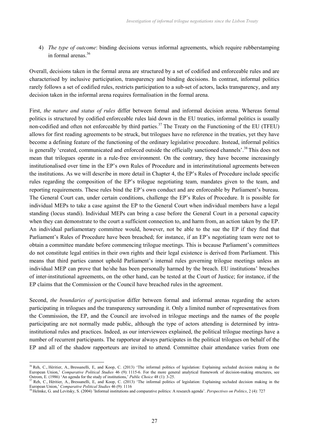4) *The type of outcome*: binding decisions versus informal agreements, which require rubberstamping in formal arenas $36$ 

Overall, decisions taken in the formal arena are structured by a set of codified and enforceable rules and are characterised by inclusive participation, transparency and binding decisions. In contrast, informal politics rarely follows a set of codified rules, restricts participation to a sub-set of actors, lacks transparency, and any decision taken in the informal arena requires formalisation in the formal arena.

First, *the nature and status of rules* differ between formal and informal decision arena. Whereas formal politics is structured by codified enforceable rules laid down in the EU treaties, informal politics is usually non-codified and often not enforceable by third parties.<sup>37</sup> The Treaty on the Functioning of the EU (TFEU) allows for first reading agreements to be struck, but trilogues have no reference in the treaties, yet they have become a defining feature of the functioning of the ordinary legislative procedure. Instead, informal politics is generally 'created, communicated and enforced outside the officially sanctioned channels'.<sup>38</sup>This does not mean that trilogues operate in a rule-free environment. On the contrary, they have become increasingly institutionalised over time in the EP's own Rules of Procedure and in interinstitutional agreements between the institutions. As we will describe in more detail in Chapter 4, the EP's Rules of Procedure include specific rules regarding the composition of the EP's trilogue negotiating team, mandates given to the team, and reporting requirements. These rules bind the EP's own conduct and are enforceable by Parliament's bureau. The General Court can, under certain conditions, challenge the EP's Rules of Procedure. It is possible for individual MEPs to take a case against the EP to the General Court when individual members have a legal standing (locus standi). Individual MEPs can bring a case before the General Court in a personal capacity when they can demonstrate to the court a sufficient connection to, and harm from, an action taken by the EP. An individual parliamentary committee would, however, not be able to the sue the EP if they find that Parliament's Rules of Procedure have been breached; for instance, if an EP's negotiating team were not to obtain a committee mandate before commencing trilogue meetings. This is because Parliament's committees do not constitute legal entities in their own rights and their legal existence is derived from Parliament. This means that third parties cannot uphold Parliament's internal rules governing trilogue meetings unless an individual MEP can prove that he/she has been personally harmed by the breach. EU institutions' breaches of inter-institutional agreements, on the other hand, can be tested at the Court of Justice; for instance, if the EP claims that the Commission or the Council have breached rules in the agreement.

Second, *the boundaries of participation* differ between formal and informal arenas regarding the actors participating in trilogues and the transparency surrounding it. Only a limited number of representatives from the Commission, the EP, and the Council are involved in trilogue meetings and the names of the people participating are not normally made public, although the type of actors attending is determined by intrainstitutional rules and practices. Indeed, as our interviewees explained, the political trilogue meetings have a number of recurrent participants. The rapporteur always participates in the political trilogues on behalf of the EP and all of the shadow rapporteurs are invited to attend. Committee chair attendance varies from one

<sup>&</sup>lt;sup>36</sup> Reh, C., Héritier, A., Bressanelli, E, and Koop, C. (2013) 'The informal politics of legislation: Explaining secluded decision making in the European Union,' *Comparative Political Studies* 46 (9): 1115-6. For the more general analytical framework of decision-making structures, see Ostrom, E. (1986) 'An agenda for the study of institutions,' *Public Choice* 48 (1): 3-25.

 $\frac{37}{37}$  Reh, C., Héritier, A., Bressanelli, E., and Koop, C. (2013) 'The informal politics of legislation: Explaining secluded decision making in the European Union,' *Comparative Political Studies* 46 (9): 1116

<sup>38</sup> Helmke, G. and Levitsky, S. (2004) 'Informal institutions and comparative politics: A research agenda'. *Perspectives on Politics*, 2 (4): 727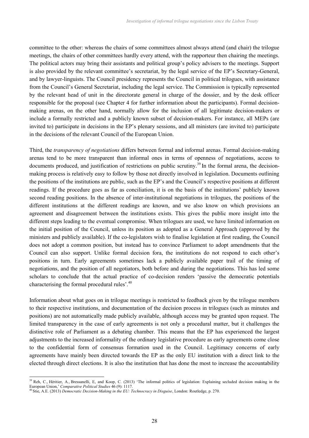committee to the other: whereas the chairs of some committees almost always attend (and chair) the trilogue meetings, the chairs of other committees hardly every attend, with the rapporteur then chairing the meetings. The political actors may bring their assistants and political group's policy advisers to the meetings. Support is also provided by the relevant committee's secretariat, by the legal service of the EP's Secretary-General, and by lawyer-linguists. The Council presidency represents the Council in political trilogues, with assistance from the Council's General Secretariat, including the legal service. The Commission is typically represented by the relevant head of unit in the directorate general in charge of the dossier, and by the desk officer responsible for the proposal (see Chapter 4 for further information about the participants). Formal decisionmaking arenas, on the other hand, normally allow for the inclusion of all legitimate decision-makers or include a formally restricted and a publicly known subset of decision-makers. For instance, all MEPs (are invited to) participate in decisions in the EP's plenary sessions, and all ministers (are invited to) participate in the decisions of the relevant Council of the European Union.

Third, the *transparency of negotiations* differs between formal and informal arenas. Formal decision-making arenas tend to be more transparent than informal ones in terms of openness of negotiations, access to documents produced, and justification of restrictions on public scrutiny.<sup>39</sup> In the formal arena, the decisionmaking process is relatively easy to follow by those not directly involved in legislation. Documents outlining the positions of the institutions are public, such as the EP's and the Council's respective positions at different readings. If the procedure goes as far as conciliation, it is on the basis of the institutions' publicly known second reading positions. In the absence of inter-institutional negotiations in trilogues, the positions of the different institutions at the different readings are known, and we also know on which provisions an agreement and disagreement between the institutions exists. This gives the public more insight into the different steps leading to the eventual compromise. When trilogues are used, we have limited information on the initial position of the Council, unless its position as adopted as a General Approach (approved by the ministers and publicly available). If the co-legislators wish to finalise legislation at first reading, the Council does not adopt a common position, but instead has to convince Parliament to adopt amendments that the Council can also support. Unlike formal decision fora, the institutions do not respond to each other's positions in turn. Early agreements sometimes lack a publicly available paper trail of the timing of negotiations, and the position of all negotiators, both before and during the negotiations. This has led some scholars to conclude that the actual practice of co-decision renders 'passive the democratic potentials characterising the formal procedural rules'.<sup>40</sup>

Information about what goes on in trilogue meetings is restricted to feedback given by the trilogue members to their respective institutions, and documentation of the decision process in trilogues (such as minutes and positions) are not automatically made publicly available, although access may be granted upon request. The limited transparency in the case of early agreements is not only a procedural matter, but it challenges the distinctive role of Parliament as a debating chamber. This means that the EP has experienced the largest adjustments to the increased informality of the ordinary legislative procedure as early agreements come close to the confidential form of consensus formation used in the Council. Legitimacy concerns of early agreements have mainly been directed towards the EP as the only EU institution with a direct link to the elected through direct elections. It is also the institution that has done the most to increase the accountability

<sup>&</sup>lt;sup>39</sup> Reh, C., Héritier, A., Bressanelli, E., and Koop, C. (2013) 'The informal politics of legislation: Explaining secluded decision making in the European Union,' *Comparative Political Studies* 46 (9): 1117.

<sup>40</sup> Stie, A.E. (2013) *Democratic Decision-Making in the EU: Technocracy in Disguise*, London: Routledge, p. 270.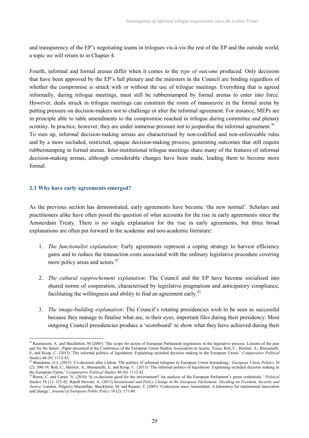and transparency of the EP's negotiating teams in trilogues vis-à-vis the rest of the EP and the outside world, a topic we will return to in Chapter 4.

Fourth, informal and formal arenas differ when it comes to the *type of outcome* produced. Only decisions that have been approved by the EP's full plenary and the ministers in the Council are binding regardless of whether the compromise is struck with or without the use of trilogue meetings. Everything that is agreed informally, during trilogue meetings, must still be rubberstamped by formal arenas to enter into force. However, deals struck in trilogue meetings can constrain the room of manoeuvre in the formal arena by putting pressure on decision-makers not to challenge or alter the informal agreement. For instance, MEPs are in principle able to table amendments to the compromise reached in trilogue during committee and plenary scrutiny. In practice, however, they are under immense pressure not to jeopardise the informal agreement.<sup>41</sup> To sum up, informal decision-making arenas are characterised by non-codified and non-enforceable rules and by a more secluded, restricted, opaque decision-making process, generating outcomes that still require rubberstamping in formal arenas. Inter-institutional trilogue meetings share many of the features of informal decision-making arenas, although considerable changes have been made, leading them to become more formal.

## **2.3 Why have early agreements emerged?**

As the previous section has demonstrated, early agreements have become 'the new normal'. Scholars and practitioners alike have often posed the question of what accounts for the rise in early agreements since the Amsterdam Treaty. There is no single explanation for the rise in early agreements, but three broad explanations are often put forward in the academic and non-academic literature:

- 1. *The functionalist explanation*: Early agreements represent a coping strategy to harvest efficiency gains and to reduce the transaction costs associated with the ordinary legislative procedure covering more policy areas and actors.<sup>42</sup>
- 2. *The cultural rapprochement explanation*: The Council and the EP have become socialised into shared norms of cooperation, characterised by legislative pragmatism and anticipatory compliance, facilitating the willingness and ability to find an agreement early.<sup>43</sup>
- 3. *The image-building explanation*: The Council's rotating presidencies wish to be seen as successful because they manage to finalise what are, in their eyes, important files during their presidency. Most outgoing Council presidencies produce a 'scoreboard' to show what they have achieved during their

<sup>&</sup>lt;sup>41</sup> Rasmussen, A. and Shackleton, M (2005) 'The scope for action of European Parliament negotiators in the legislative process: Lessons of the past and for the future', Paper presented at the Conference of the European Union Studies Association in Austin, Texas; Reh, C., Héritier, A., Bressanelli, E, and Koop, C. (2013) 'The informal politics of legislation: Explaining secluded decision making in the European Union,' *Comparative Political Studies* 46 (9): 1112-42.

<sup>42</sup> Brandsma, G.J. (2015) 'Co-decision after Lisbon: The politics of informal trilogues in European Union lawmaking,' *European Union Politics* 16 (2): 300-19; Reh, C., Héritier, A., Bressanelli, E, and Koop, C. (2013) 'The informal politics of legislation: Explaining secluded decision making in the European Union,' *Comparative Political Studies* 46 (9): 1112-42.

<sup>43</sup>Burns, C. and Carter, N. (2010) 'Is co-decision good for the environment? An analysis of the European Parliament's green credentials,' *Political Studies* 58 (1): 123-42; Ripoll Servent, A. (2015) *Institutional and Policy Change in the European Parliament: Deciding on Freedom, Security and Justice*, London: Palgrave Macmillan; Shackleton, M. and Raunio, T. (2003) 'Codecision since Amsterdam: A laboratory for institutional innovation and change', *Journal of European Public Policy* 10 (2): 171-88.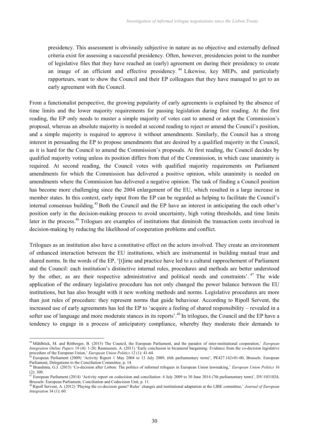presidency. This assessment is obviously subjective in nature as no objective and externally defined criteria exist for assessing a successful presidency. Often, however, presidencies point to the number of legislative files that they have reached an (early) agreement on during their presidency to create an image of an efficient and effective presidency. <sup>44</sup> Likewise, key MEPs, and particularly rapporteurs, want to show the Council and their EP colleagues that they have managed to get to an early agreement with the Council.

From a functionalist perspective, the growing popularity of early agreements is explained by the absence of time limits and the lower majority requirements for passing legislation during first reading. At the first reading, the EP only needs to muster a simple majority of votes cast to amend or adopt the Commission's proposal, whereas an absolute majority is needed at second reading to reject or amend the Council's position, and a simple majority is required to approve it without amendments. Similarly, the Council has a strong interest in persuading the EP to propose amendments that are desired by a qualified majority in the Council, as it is hard for the Council to amend the Commission's proposals. At first reading, the Council decides by qualified majority voting unless its position differs from that of the Commission, in which case unanimity is required. At second reading, the Council votes with qualified majority requirements on Parliament amendments for which the Commission has delivered a positive opinion, while unanimity is needed on amendments where the Commission has delivered a negative opinion. The task of finding a Council position has become more challenging since the 2004 enlargement of the EU, which resulted in a large increase in member states. In this context, early input from the EP can be regarded as helping to facilitate the Council's internal consensus building.<sup>45</sup>Both the Council and the EP have an interest in anticipating the each other's position early in the decision-making process to avoid uncertainty, high voting thresholds, and time limits later in the process.<sup>46</sup> Trilogues are examples of institutions that diminish the transaction costs involved in decision-making by reducing the likelihood of cooperation problems and conflict.

Trilogues as an institution also have a constitutive effect on the actors involved. They create an environment of enhanced interaction between the EU institutions, which are instrumental in building mutual trust and shared norms. In the words of the EP, '[t]ime and practice have led to a cultural rapprochement of Parliament and the Council: each institution's distinctive internal rules, procedures and methods are better understood by the other, as are their respective administrative and political needs and constraints'. <sup>47</sup> The wide application of the ordinary legislative procedure has not only changed the power balance between the EU institutions, but has also brought with it new working methods and norms. Legislative procedures are more than just rules of procedure: they represent norms that guide behaviour. According to Ripoll Servent, the increased use of early agreements has led the EP to 'acquire a feeling of shared responsibility – revealed in a softer use of language and more moderate stances in its reports'.<sup>48</sup> In trilogues, the Council and the EP have a tendency to engage in a process of anticipatory compliance, whereby they moderate their demands to

<sup>44</sup> Mühlböck, M. and Rittberger, B. (2015) The Council, the European Parliament, and the paradox of inter-institutional cooperation,' *European Integration Online Papers* 19 (4): 1-20; Rasmussen, A. (2011) 'Early conclusion in bicameral bargaining: Evidence from the co-decision legislative procedure of the European Union,' *European Union Politics* 12 (1): 41-64.

<sup>45</sup> European Parliament (2009) 'Activity Report 1 May 2004 to 13 July 2009, (6th parliamentary term)', PE427.162v01-00, Brussels: European Parliament, Delegations to the Conciliation Committee, p. 14.

<sup>46</sup> Brandsma, G.J. (2015) 'Co-decision after Lisbon: The politics of informal trilogues in European Union lawmaking,' *European Union Politics* 16  $(2)$ : 309.

<sup>47</sup> European Parliament (2014) 'Activity report on codecision and conciliation: 4 July 2009 to 30 June 2014 (7th parliamentary term)', DV\1031024, Brussels: European Parliament, Conciliation and Codecision Unit, p. 11.

<sup>48</sup>Ripoll Servent, A. (2012) 'Playing the co-decision game? Rules' changes and institutional adaptation at the LIBE committee,' *Journal of European Integration* 34 (1): 60.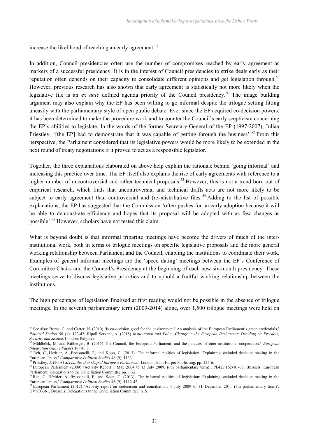increase the likelihood of reaching an early agreement.<sup>49</sup>

In addition, Council presidencies often use the number of compromises reached by early agreement as markers of a successful presidency. It is in the interest of Council presidencies to strike deals early as their reputation often depends on their capacity to consolidate different opinions and get legislation through.<sup>50</sup> However, previous research has also shown that early agreement is statistically not more likely when the legislative file is an *ex ante* defined agenda priority of the Council presidency.<sup>51</sup> The image building argument may also explain why the EP has been willing to go informal despite the trilogue setting fitting uneasily with the parliamentary style of open public debate. Ever since the EP acquired co-decision powers, it has been determined to make the procedure work and to counter the Council's early scepticism concerning the EP's abilities to legislate. In the words of the former Secretary-General of the EP (1997-2007), Julian Priestley, '[the EP] had to demonstrate that it was capable of getting through the business'.<sup>52</sup> From this perspective, the Parliament considered that its legislative powers would be more likely to be extended in the next round of treaty negotiations if it proved to act as a responsible legislator.

Together, the three explanations elaborated on above help explain the rationale behind 'going informal' and increasing this practice over time. The EP itself also explains the rise of early agreements with reference to a higher number of uncontroversial and rather technical proposals.<sup>53</sup> However, this is not a trend born out of empirical research, which finds that uncontroversial and technical drafts acts are not more likely to be subject to early agreement than controversial and (re-)distributive files.<sup>54</sup> Adding to the list of possible explanations, the EP has suggested that the Commission 'often pushes for an early adoption because it will be able to demonstrate efficiency and hopes that its proposal will be adopted with as few changes as possible'.<sup>55</sup> However, scholars have not tested this claim.

What is beyond doubt is that informal tripartite meetings have become the drivers of much of the interinstitutional work, both in terms of trilogue meetings on specific legislative proposals and the more general working relationship between Parliament and the Council, enabling the institutions to coordinate their work. Examples of general informal meetings are the 'speed dating' meetings between the EP's Conference of Committee Chairs and the Council's Presidency at the beginning of each new six-month presidency. These meetings serve to discuss legislative priorities and to uphold a fruitful working relationship between the institutions.

The high percentage of legislation finalised at first reading would not be possible in the absence of trilogue meetings. In the seventh parliamentary term (2009-2014) alone, over 1,500 trilogue meetings were held on

<sup>&</sup>lt;sup>49</sup> See also: Burns, C. and Carter, N. (2010) 'Is co-decision good for the environment? An analysis of the European Parliament's green credentials,' *Political Studies* 58 (1): 123-42; Ripoll Servent, A. (2015) *Institutional and Policy Change in the European Parliament: Deciding on Freedom, Security and Justice*, London: Palgrave.

<sup>50</sup> Mühlböck, M. and Rittberger, B. (2015) The Council, the European Parliament, and the paradox of inter-institutional cooperation,' *European Integration Online Papers* 19 (4): 8.

<sup>&</sup>lt;sup>51</sup> Reh, C., Héritier, A., Bressanelli, E, and Koop, C. (2013) 'The informal politics of legislation: Explaining secluded decision making in the European Union,' *Comparative Political Studies* 46 (9): 1133.

<sup>52</sup> Priestley, J. (2008) *Six battles that shaped Europe's Parliament*, London: John Harper Publishing, pp. 125-6.

<sup>&</sup>lt;sup>53</sup> European Parliament (2009) 'Activity Report 1 May 2004 to 13 July 2009, (6th parliamentary term)', PE427.162v01-00, Brussels: European Parliament, Delegations to the Conciliation Committee pp. 11-2.

<sup>&</sup>lt;sup>54</sup> Reh, C., Héritier, A., Bressanelli, E, and Koop, C. (2013) 'The informal politics of legislation: Explaining secluded decision making in the European Union,' *Comparative Political Studies* 46 (9): 1112-42.

<sup>55</sup> European Parliament (2012) 'Activity report on codecision and conciliation: 4 July 2009 to 31 December 2011 (7th parliamentary term)', DV\903361, Brussels: Delegations to the Conciliation Committee, p. 5.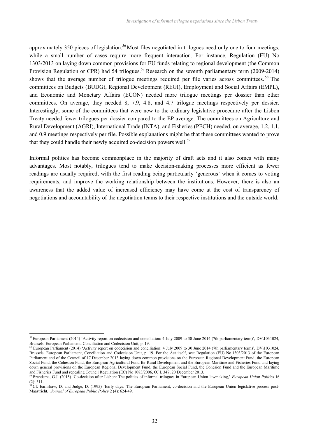approximately 350 pieces of legislation.<sup>56</sup> Most files negotiated in trilogues need only one to four meetings, while a small number of cases require more frequent interaction. For instance, Regulation (EU) No 1303/2013 on laying down common provisions for EU funds relating to regional development (the Common Provision Regulation or CPR) had 54 trilogues.<sup>57</sup> Research on the seventh parliamentary term (2009-2014) shows that the average number of trilogue meetings required per file varies across committees.<sup>58</sup> The committees on Budgets (BUDG), Regional Development (REGI), Employment and Social Affairs (EMPL), and Economic and Monetary Affairs (ECON) needed more trilogue meetings per dossier than other committees. On average, they needed 8, 7.9, 4.8, and 4.7 trilogue meetings respectively per dossier. Interestingly, some of the committees that were new to the ordinary legislative procedure after the Lisbon Treaty needed fewer trilogues per dossier compared to the EP average. The committees on Agriculture and Rural Development (AGRI), International Trade (INTA), and Fisheries (PECH) needed, on average, 1.2, 1.1, and 0.9 meetings respectively per file. Possible explanations might be that these committees wanted to prove that they could handle their newly acquired co-decision powers well.<sup>59</sup>

Informal politics has become commonplace in the majority of draft acts and it also comes with many advantages. Most notably, trilogues tend to make decision-making processes more efficient as fewer readings are usually required, with the first reading being particularly 'generous' when it comes to voting requirements, and improve the working relationship between the institutions. However, there is also an awareness that the added value of increased efficiency may have come at the cost of transparency of negotiations and accountability of the negotiation teams to their respective institutions and the outside world.

<sup>56</sup> European Parliament (2014) 'Activity report on codecision and conciliation: 4 July 2009 to 30 June 2014 (7th parliamentary term)', DV\1031024, Brussels: European Parliament, Conciliation and Codecision Unit, p. 19.

<sup>57</sup> European Parliament (2014) 'Activity report on codecision and conciliation: 4 July 2009 to 30 June 2014 (7th parliamentary term)', DV\1031024, Brussels: European Parliament, Conciliation and Codecision Unit, p. 19. For the Act itself, see: Regulation (EU) No 1303/2013 of the European Parliament and of the Council of 17 December 2013 laying down common provisions on the European Regional Development Fund, the European Social Fund, the Cohesion Fund, the European Agricultural Fund for Rural Development and the European Maritime and Fisheries Fund and laying down general provisions on the European Regional Development Fund, the European Social Fund, the Cohesion Fund and the European Maritime and Fisheries Fund and repealing Council Regulation (EC) No 1083/2006, OJ L 347, 20 December 2013.

<sup>58</sup>Brandsma, G.J. (2015) 'Co-decision after Lisbon: The politics of informal trilogues in European Union lawmaking,' *European Union Politics* 16 (2): 311.

<sup>&</sup>lt;sup>59</sup> Cf. Earnshaw, D. and Judge, D. (1995) 'Early days: The European Parliament, co-decision and the European Union legislative process post-Maastricht,' *Journal of European Public Policy* 2 (4): 624-49.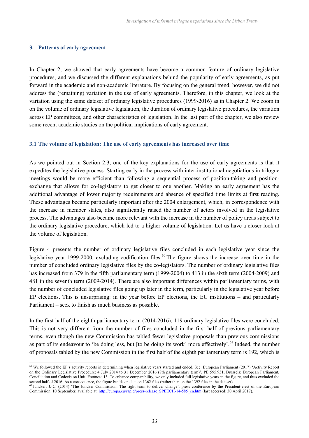## **3. Patterns of early agreement**

In Chapter 2, we showed that early agreements have become a common feature of ordinary legislative procedures, and we discussed the different explanations behind the popularity of early agreements, as put forward in the academic and non-academic literature. By focusing on the general trend, however, we did not address the (remaining) variation in the use of early agreements. Therefore, in this chapter, we look at the variation using the same dataset of ordinary legislative procedures (1999-2016) as in Chapter 2. We zoom in on the volume of ordinary legislative legislation, the duration of ordinary legislative procedures, the variation across EP committees, and other characteristics of legislation. In the last part of the chapter, we also review some recent academic studies on the political implications of early agreement.

## **3.1 The volume of legislation: The use of early agreements has increased over time**

As we pointed out in Section 2.3, one of the key explanations for the use of early agreements is that it expedites the legislative process. Starting early in the process with inter-institutional negotiations in trilogue meetings would be more efficient than following a sequential process of position-taking and positionexchange that allows for co-legislators to get closer to one another. Making an early agreement has the additional advantage of lower majority requirements and absence of specified time limits at first reading. These advantages became particularly important after the 2004 enlargement, which, in correspondence with the increase in member states, also significantly raised the number of actors involved in the legislative process. The advantages also became more relevant with the increase in the number of policy areas subject to the ordinary legislative procedure, which led to a higher volume of legislation. Let us have a closer look at the volume of legislation.

Figure 4 presents the number of ordinary legislative files concluded in each legislative year since the legislative year 1999-2000, excluding codification files.<sup>60</sup> The figure shows the increase over time in the number of concluded ordinary legislative files by the co-legislators. The number of ordinary legislative files has increased from 379 in the fifth parliamentary term (1999-2004) to 413 in the sixth term (2004-2009) and 481 in the seventh term (2009-2014). There are also important differences within parliamentary terms, with the number of concluded legislative files going up later in the term, particularly in the legislative year before EP elections. This is unsurprising: in the year before EP elections, the EU institutions – and particularly Parliament – seek to finish as much business as possible.

In the first half of the eighth parliamentary term (2014-2016), 119 ordinary legislative files were concluded. This is not very different from the number of files concluded in the first half of previous parliamentary terms, even though the new Commission has tabled fewer legislative proposals than previous commissions as part of its endeavour to 'be doing less, but [to be doing its work] more effectively'.<sup>61</sup> Indeed, the number of proposals tabled by the new Commission in the first half of the eighth parliamentary term is 192, which is

<sup>60</sup> We followed the EP's activity reports in determining when legislative years started and ended. See: European Parliament (2017) 'Activity Report on the Ordinary Legislative Procedure: 4 July 2014 to 31 December 2016 (8th parliamentary term)', PE 595.931, Brussels: European Parliament, Conciliation and Codecision Unit, Footnote 13. To enhance comparability, we only included full legislative years in the figure, and thus excluded the second half of 2016. As a consequence, the figure builds on data on 1362 files (rather than on the 1392 files in the dataset).

<sup>&</sup>lt;sup>61</sup> Juncker, J.-C. (2014) 'The Juncker Commission: The right team to deliver change', press conference by the President-elect of the European Commission, 10 September, available at: http://europa.eu/rapid/press-release\_SPEECH-14-585\_en.htm (last accessed: 30 April 2017).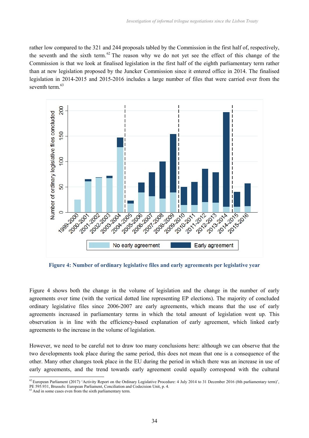rather low compared to the 321 and 244 proposals tabled by the Commission in the first half of, respectively, the seventh and the sixth term.  $62$  The reason why we do not yet see the effect of this change of the Commission is that we look at finalised legislation in the first half of the eighth parliamentary term rather than at new legislation proposed by the Juncker Commission since it entered office in 2014. The finalised legislation in 2014-2015 and 2015-2016 includes a large number of files that were carried over from the seventh term.<sup>63</sup>



**Figure 4: Number of ordinary legislative files and early agreements per legislative year**

Figure 4 shows both the change in the volume of legislation and the change in the number of early agreements over time (with the vertical dotted line representing EP elections). The majority of concluded ordinary legislative files since 2006-2007 are early agreements, which means that the use of early agreements increased in parliamentary terms in which the total amount of legislation went up. This observation is in line with the efficiency-based explanation of early agreement, which linked early agreements to the increase in the volume of legislation.

However, we need to be careful not to draw too many conclusions here: although we can observe that the two developments took place during the same period, this does not mean that one is a consequence of the other. Many other changes took place in the EU during the period in which there was an increase in use of early agreements, and the trend towards early agreement could equally correspond with the cultural

<sup>&</sup>lt;sup>62</sup> European Parliament (2017) 'Activity Report on the Ordinary Legislative Procedure: 4 July 2014 to 31 December 2016 (8th parliamentary term)', PE 595.931, Brussels: European Parliament, Conciliation and Codecision Unit, p. 4.

 $63$  And in some cases even from the sixth parliamentary term.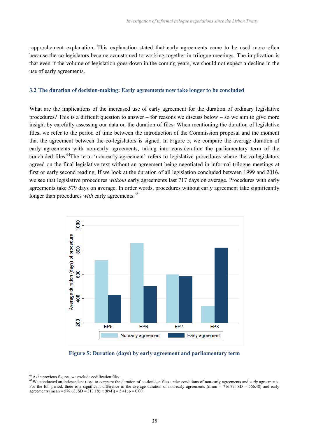rapprochement explanation. This explanation stated that early agreements came to be used more often because the co-legislators became accustomed to working together in trilogue meetings. The implication is that even if the volume of legislation goes down in the coming years, we should not expect a decline in the use of early agreements.

#### **3.2 The duration of decision-making: Early agreements now take longer to be concluded**

What are the implications of the increased use of early agreement for the duration of ordinary legislative procedures? This is a difficult question to answer – for reasons we discuss below – so we aim to give more insight by carefully assessing our data on the duration of files. When mentioning the duration of legislative files, we refer to the period of time between the introduction of the Commission proposal and the moment that the agreement between the co-legislators is signed. In Figure 5, we compare the average duration of early agreements with non-early agreements, taking into consideration the parliamentary term of the concluded files.<sup>64</sup>The term 'non-early agreement' refers to legislative procedures where the co-legislators agreed on the final legislative text without an agreement being negotiated in informal trilogue meetings at first or early second reading. If we look at the duration of all legislation concluded between 1999 and 2016, we see that legislative procedures *without* early agreements last 717 days on average. Procedures with early agreements take 579 days on average. In order words, procedures without early agreement take significantly longer than procedures *with* early agreements.<sup>65</sup>



### **Figure 5: Duration (days) by early agreement and parliamentary term**

<sup>64</sup> As in previous figures, we exclude codification files.

<sup>&</sup>lt;sup>65</sup> We conducted an independent t-test to compare the duration of co-decision files under conditions of non-early agreements and early agreements. For the full period, there is a significant difference in the average duration of non-early agreements (mean =  $716.79$ ; SD =  $566.48$ ) and early agreements (mean = 578.63; SD = 313.18): t (894)) = 5.41, p = 0.00.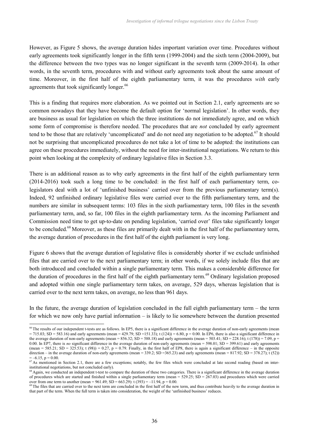However, as Figure 5 shows, the average duration hides important variation over time. Procedures without early agreements took significantly longer in the fifth term (1999-2004) and the sixth term (2004-2009), but the difference between the two types was no longer significant in the seventh term (2009-2014). In other words, in the seventh term, procedures with and without early agreements took about the same amount of time. Moreover, in the first half of the eighth parliamentary term, it was the procedures *with* early agreements that took significantly longer.<sup>66</sup>

This is a finding that requires more elaboration. As we pointed out in Section 2.1, early agreements are so common nowadays that they have become the default option for 'normal legislation'. In other words, they are business as usual for legislation on which the three institutions do not immediately agree, and on which some form of compromise is therefore needed. The procedures that are *not* concluded by early agreement tend to be those that are relatively 'uncomplicated' and do not need any negotiation to be adopted.<sup>67</sup> It should not be surprising that uncomplicated procedures do not take a lot of time to be adopted: the institutions can agree on these procedures immediately, without the need for inter-institutional negotiations. We return to this point when looking at the complexity of ordinary legislative files in Section 3.3.

There is an additional reason as to why early agreements in the first half of the eighth parliamentary term (2014-2016) took such a long time to be concluded: in the first half of each parliamentary term, colegislators deal with a lot of 'unfinished business' carried over from the previous parliamentary term(s). Indeed, 92 unfinished ordinary legislative files were carried over to the fifth parliamentary term, and the numbers are similar in subsequent terms: 103 files in the sixth parliamentary term, 100 files in the seventh parliamentary term, and, so far, 100 files in the eighth parliamentary term. As the incoming Parliament and Commission need time to get up-to-date on pending legislation, 'carried over' files take significantly longer to be concluded.<sup>68</sup> Moreover, as these files are primarily dealt with in the first half of the parliamentary term, the average duration of procedures in the first half of the eighth parliament is very long.

Figure 6 shows that the average duration of legislative files is considerably shorter if we exclude unfinished files that are carried over to the next parliamentary term; in other words, if we solely include files that are both introduced and concluded within a single parliamentary term. This makes a considerable difference for the duration of procedures in the first half of the eighth parliamentary term.<sup>69</sup> Ordinary legislation proposed and adopted within one single parliamentary term takes, on average, 529 days, whereas legislation that is carried over to the next term takes, on average, no less than 961 days.

In the future, the average duration of legislation concluded in the full eighth parliamentary term – the term for which we now only have partial information – is likely to lie somewhere between the duration presented

<sup>&</sup>lt;sup>66</sup> The results of our independent t-tests are as follows. In EP5, there is a significant difference in the average duration of non-early agreements (mean  $= 715.03$ ; SD = 583.16) and early agreements (mean = 429.79; SD = 151.33); t (124)) = 6.80, p = 0.00. In EP6, there is also a significant difference in the average duration of non-early agreements (mean = 856.32; SD = 588.18) and early agreements (mean = 503.41; SD = 228.16); t (178)) = 7.09, p = 0.00. In EP7, there is *no* significant difference in the average duration of non-early agreements (mean = 598.01; SD = 399.61) and early agreements (mean = 585.21; SD = 325.53); t (98)) = 0.27, p = 0.79. Finally, in the first half of EP8, there is again a significant difference – in the opposite direction – in the average duration of non-early agreements (mean =  $339.2$ ; SD =  $365.23$ ) and early agreements (mean =  $817.92$ ; SD =  $378.27$ ); t (52))  $=-6.15$ ,  $p = 0.00$ .

 $^{67}$ As mentioned in Section 2.1, there are a few exceptions; notably, the few files which were concluded at late second reading (based on interinstitutional negotiations, but not concluded early).

<sup>&</sup>lt;sup>68</sup> Again, we conducted an independent t-test to compare the duration of these two categories. There is a significant difference in the average duration of procedures which are started and finished within a single parliamentary term (mean =  $529.25$ ; SD =  $267.03$ ) and procedures which were carried over from one term to another (mean =  $961.49$ ; SD =  $663.29$ ): t (393) =  $-11.94$ , p = 0.00.

<sup>&</sup>lt;sup>69</sup> The files that are carried over to the next term are concluded in the first half of the new term, and thus contribute heavily to the average duration in that part of the term. When the full term is taken into consideration, the weight of the 'unfinished business' reduces.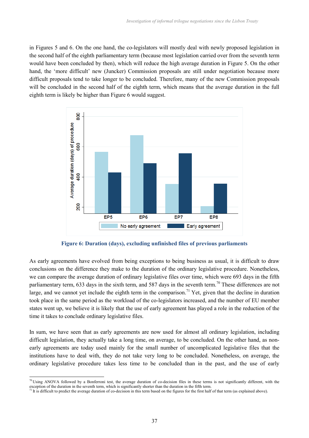in Figures 5 and 6. On the one hand, the co-legislators will mostly deal with newly proposed legislation in the second half of the eighth parliamentary term (because most legislation carried over from the seventh term would have been concluded by then), which will reduce the high average duration in Figure 5. On the other hand, the 'more difficult' new (Juncker) Commission proposals are still under negotiation because more difficult proposals tend to take longer to be concluded. Therefore, many of the new Commission proposals will be concluded in the second half of the eighth term, which means that the average duration in the full eighth term is likely be higher than Figure 6 would suggest.



**Figure 6: Duration (days), excluding unfinished files of previous parliaments**

As early agreements have evolved from being exceptions to being business as usual, it is difficult to draw conclusions on the difference they make to the duration of the ordinary legislative procedure. Nonetheless, we can compare the average duration of ordinary legislative files over time, which were 693 days in the fifth parliamentary term, 633 days in the sixth term, and 587 days in the seventh term.<sup>70</sup> These differences are not large, and we cannot yet include the eighth term in the comparison.<sup>71</sup> Yet, given that the decline in duration took place in the same period as the workload of the co-legislators increased, and the number of EU member states went up, we believe it is likely that the use of early agreement has played a role in the reduction of the time it takes to conclude ordinary legislative files.

In sum, we have seen that as early agreements are now used for almost all ordinary legislation, including difficult legislation, they actually take a long time, on average, to be concluded. On the other hand, as nonearly agreements are today used mainly for the small number of uncomplicated legislative files that the institutions have to deal with, they do not take very long to be concluded. Nonetheless, on average, the ordinary legislative procedure takes less time to be concluded than in the past, and the use of early

 $70$  Using ANOVA followed by a Bonferroni test, the average duration of co-decision files in these terms is not significantly different, with the exception of the duration in the seventh term, which is significantly shorter than the duration in the fifth term.

It is difficult to predict the average duration of co-decision in this term based on the figures for the first half of that term (as explained above).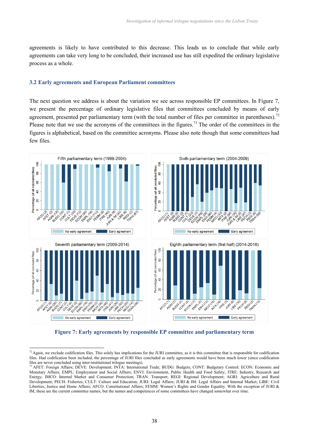agreements is likely to have contributed to this decrease. This leads us to conclude that while early agreements can take very long to be concluded, their increased use has still expedited the ordinary legislative process as a whole.

## **3.2 Early agreements and European Parliament committees**

The next question we address is about the variation we see across responsible EP committees. In Figure 7, we present the percentage of ordinary legislative files that committees concluded by means of early agreement, presented per parliamentary term (with the total number of files per committee in parentheses).<sup>72</sup> Please note that we use the acronyms of the committees in the figures.<sup>73</sup> The order of the committees in the figures is alphabetical, based on the committee acronyms. Please also note though that some committees had few files.



**Figure 7: Early agreements by responsible EP committee and parliamentary term**

 $^{72}$  Again, we exclude codification files. This solely has implications for the JURI committee, as it is this committee that is responsible for codification files. Had codification been included, the percentage of JURI files concluded as early agreements would have been much lower (since codification files are never concluded using inter-institutional trilogue meetings).

<sup>&</sup>lt;sup>73</sup> AFET: Foreign Affairs; DEVE: Development; INTA: International Trade; BUDG: Budgets; CONT: Budgetary Control; ECON: Economic and Monetary Affairs; EMPL: Employment and Social Affairs; ENVI: Environment, Public Health and Food Safety; ITRE: Industry, Research and Energy; IMCO: Internal Market and Consumer Protection; TRAN: Transport; REGI: Regional Development; AGRI: Agriculture and Rural Development; PECH: Fisheries; CULT: Culture and Education; JURI: Legal Affairs; JURI & IM: Legal Affairs and Internal Market; LIBE: Civil Liberties, Justice and Home Affairs; AFCO: Constitutional Affairs; FEMM: Women's Rights and Gender Equality. With the exception of JURI & IM, these are the current committee names, but the names and competences of some committees have changed somewhat over time.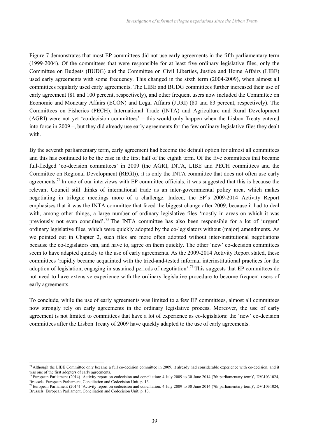Figure 7 demonstrates that most EP committees did not use early agreements in the fifth parliamentary term (1999-2004). Of the committees that were responsible for at least five ordinary legislative files, only the Committee on Budgets (BUDG) and the Committee on Civil Liberties, Justice and Home Affairs (LIBE) used early agreements with some frequency. This changed in the sixth term (2004-2009), when almost all committees regularly used early agreements. The LIBE and BUDG committees further increased their use of early agreement (81 and 100 percent, respectively), and other frequent users now included the Committee on Economic and Monetary Affairs (ECON) and Legal Affairs (JURI) (80 and 83 percent, respectively). The Committees on Fisheries (PECH), International Trade (INTA) and Agriculture and Rural Development (AGRI) were not yet 'co-decision committees' – this would only happen when the Lisbon Treaty entered into force in 2009 –, but they did already use early agreements for the few ordinary legislative files they dealt with.

By the seventh parliamentary term, early agreement had become the default option for almost all committees and this has continued to be the case in the first half of the eighth term. Of the five committees that became full-fledged 'co-decision committees' in 2009 (the AGRI, INTA, LIBE and PECH committees and the Committee on Regional Development (REGI)), it is only the INTA committee that does not often use early agreements.<sup>74</sup> In one of our interviews with EP committee officials, it was suggested that this is because the relevant Council still thinks of international trade as an inter-governmental policy area, which makes negotiating in trilogue meetings more of a challenge. Indeed, the EP's 2009-2014 Activity Report emphasises that it was the INTA committee that faced the biggest change after 2009, because it had to deal with, among other things, a large number of ordinary legislative files 'mostly in areas on which it was previously not even consulted'.<sup>75</sup> The INTA committee has also been responsible for a lot of 'urgent' ordinary legislative files, which were quickly adopted by the co-legislators without (major) amendments. As we pointed out in Chapter 2, such files are more often adopted without inter-institutional negotiations because the co-legislators can, and have to, agree on them quickly. The other 'new' co-decision committees seem to have adapted quickly to the use of early agreements. As the 2009-2014 Activity Report stated, these committees 'rapidly became acquainted with the tried-and-tested informal interinstitutional practices for the adoption of legislation, engaging in sustained periods of negotiation'.<sup>76</sup>This suggests that EP committees do not need to have extensive experience with the ordinary legislative procedure to become frequent users of early agreements.

To conclude, while the use of early agreements was limited to a few EP committees, almost all committees now strongly rely on early agreements in the ordinary legislative process. Moreover, the use of early agreement is not limited to committees that have a lot of experience as co-legislators: the 'new' co-decision committees after the Lisbon Treaty of 2009 have quickly adapted to the use of early agreements.

<sup>&</sup>lt;sup>74</sup> Although the LIBE Committee only became a full co-decision committee in 2009, it already had considerable experience with co-decision, and it was one of the first adopters of early agreements.

<sup>&</sup>lt;sup>75</sup> European Parliament (2014) 'Activity report on codecision and conciliation: 4 July 2009 to 30 June 2014 (7th parliamentary term)', DV\1031024, Brussels: European Parliament, Conciliation and Codecision Unit, p. 13.

<sup>&</sup>lt;sup>76</sup> European Parliament (2014) 'Activity report on codecision and conciliation: 4 July 2009 to 30 June 2014 (7th parliamentary term)', DV\1031024, Brussels: European Parliament, Conciliation and Codecision Unit, p. 13.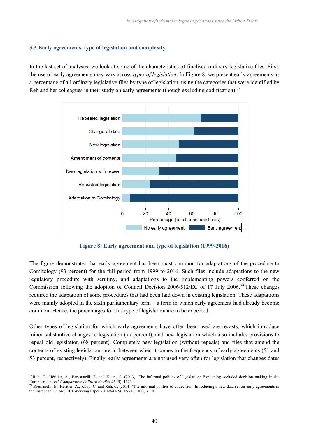# **3.3 Early agreements, type of legislation and complexity**

In the last set of analyses, we look at some of the characteristics of finalised ordinary legislative files. First, the use of early agreements may vary across *types of legislation*. In Figure 8, we present early agreements as a percentage of all ordinary legislative files by type of legislation, using the categories that were identified by Reh and her colleagues in their study on early agreements (though excluding codification).<sup>77</sup>



**Figure 8: Early agreement and type of legislation (1999-2016)**

The figure demonstrates that early agreement has been most common for adaptations of the procedure to Comitology (93 percent) for the full period from 1999 to 2016. Such files include adaptations to the new regulatory procedure with scrutiny, and adaptations to the implementing powers conferred on the Commission following the adoption of Council Decision 2006/512/EC of 17 July 2006.<sup>78</sup> These changes required the adaptation of some procedures that had been laid down in existing legislation. These adaptations were mainly adopted in the sixth parliamentary term – a term in which early agreement had already become common. Hence, the percentages for this type of legislation are to be expected.

Other types of legislation for which early agreements have often been used are recasts, which introduce minor substantive changes to legislation (77 percent), and new legislation which also includes provisions to repeal old legislation (68 percent). Completely new legislation (without repeals) and files that amend the contents of existing legislation, are in between when it comes to the frequency of early agreements (51 and 53 percent, respectively). Finally, early agreements are not used very often for legislation that changes dates

<sup>77</sup> Reh, C., Héritier, A., Bressanelli, E, and Koop, C. (2013) 'The informal politics of legislation: Explaining secluded decision making in the European Union,' *Comparative Political Studies* 46 (9): 1121.

<sup>&</sup>lt;sup>78</sup> Bressanelli, E., Héritier, A., Koop, C. and Reh, C. (2014) 'The informal politics of codecision: Introducing a new data set on early agreements in the European Union', EUI Working Paper 2014/64 RSCAS (EUDO), p. 10.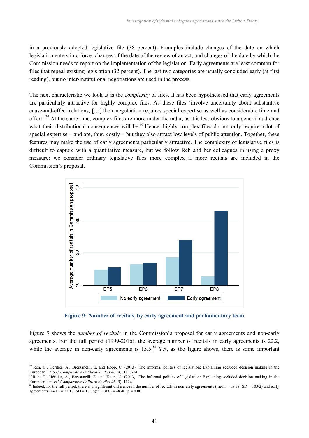in a previously adopted legislative file (38 percent). Examples include changes of the date on which legislation enters into force, changes of the date of the review of an act, and changes of the date by which the Commission needs to report on the implementation of the legislation. Early agreements are least common for files that repeal existing legislation (32 percent). The last two categories are usually concluded early (at first reading), but no inter-institutional negotiations are used in the process.

The next characteristic we look at is the *complexity* of files. It has been hypothesised that early agreements are particularly attractive for highly complex files. As these files 'involve uncertainty about substantive cause-and-effect relations, […] their negotiation requires special expertise as well as considerable time and effort'.<sup>79</sup> At the same time, complex files are more under the radar, as it is less obvious to a general audience what their distributional consequences will be.<sup>80</sup> Hence, highly complex files do not only require a lot of special expertise – and are, thus, costly – but they also attract low levels of public attention. Together, these features may make the use of early agreements particularly attractive. The complexity of legislative files is difficult to capture with a quantitative measure, but we follow Reh and her colleagues in using a proxy measure: we consider ordinary legislative files more complex if more recitals are included in the Commission's proposal.



**Figure 9: Number of recitals, by early agreement and parliamentary term**

Figure 9 shows the *number of recitals* in the Commission's proposal for early agreements and non-early agreements. For the full period (1999-2016), the average number of recitals in early agreements is 22.2, while the average in non-early agreements is  $15.5$ .<sup>81</sup> Yet, as the figure shows, there is some important

<sup>79</sup> Reh, C., Héritier, A., Bressanelli, E, and Koop, C. (2013) 'The informal politics of legislation: Explaining secluded decision making in the European Union,' *Comparative Political Studies* 46 (9): 1123-24.

<sup>80</sup> Reh, C., Héritier, A., Bressanelli, E, and Koop, C. (2013) 'The informal politics of legislation: Explaining secluded decision making in the European Union,' *Comparative Political Studies* 46 (9): 1124.

<sup>&</sup>lt;sup>81</sup> Indeed, for the full period, there is a significant difference in the number of recitals in non-early agreements (mean = 15.53; SD = 10.92) and early agreements (mean =  $22.18$ ; SD = 18.36); t (1306) = -8.40, p = 0.00.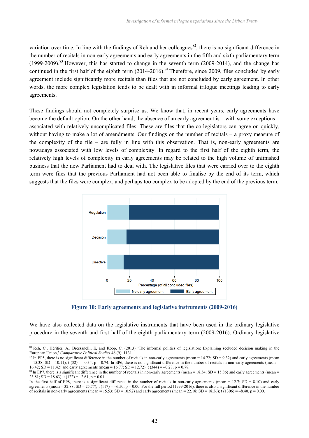variation over time. In line with the findings of Reh and her colleagues<sup>82</sup>, there is no significant difference in the number of recitals in non-early agreements and early agreements in the fifth and sixth parliamentary term (1999-2009).<sup>83</sup> However, this has started to change in the seventh term (2009-2014), and the change has continued in the first half of the eighth term  $(2014-2016)$ .<sup>84</sup> Therefore, since 2009, files concluded by early agreement include significantly more recitals than files that are not concluded by early agreement. In other words, the more complex legislation tends to be dealt with in informal trilogue meetings leading to early agreements.

These findings should not completely surprise us. We know that, in recent years, early agreements have become the default option. On the other hand, the absence of an early agreement is – with some exceptions – associated with relatively uncomplicated files. These are files that the co-legislators can agree on quickly, without having to make a lot of amendments. Our findings on the number of recitals – a proxy measure of the complexity of the file – are fully in line with this observation. That is, non-early agreements are nowadays associated with low levels of complexity. In regard to the first half of the eighth term, the relatively high levels of complexity in early agreements may be related to the high volume of unfinished business that the new Parliament had to deal with. The legislative files that were carried over to the eighth term were files that the previous Parliament had not been able to finalise by the end of its term, which suggests that the files were complex, and perhaps too complex to be adopted by the end of the previous term.



**Figure 10: Early agreements and legislative instruments (2009-2016)**

We have also collected data on the legislative instruments that have been used in the ordinary legislative procedure in the seventh and first half of the eighth parliamentary term (2009-2016). Ordinary legislative

 $83$  In EP5, there is no significant difference in the number of recitals in non-early agreements (mean = 14.72; SD = 9.32) and early agreements (mean  $= 15.38$ ; SD = 10.11); t (32) = -0.34, p = 0.74. In EP6, there is no significant difference in the number of recitals in non-early agreements (mean = 16.42; SD = 11.42) and early agreements (mean = 16.77; SD = 12.72); t (344) = -0.28, p = 0.78.

 $82$  Reh, C., Héritier, A., Bressanelli, E, and Koop, C. (2013) 'The informal politics of legislation: Explaining secluded decision making in the European Union,' *Comparative Political Studies* 46 (9): 1131.

 $84$  In EP7, there is a significant difference in the number of recitals in non-early agreements (mean = 18.54; SD = 15.86) and early agreements (mean = 23.81;  $SD = 18.63$ ; t (122) = -2.61, p = 0.01.

In the first half of EP8, there is a significant difference in the number of recitals in non-early agreements (mean = 12.7; SD = 8.10) and early agreements (mean = 32.88; SD = 25.77); t (117) = -6.50, p = 0.00. For the full period (1999-2016), there is also a significant difference in the number of recitals in non-early agreements (mean = 15.53; SD = 10.92) and early agreements (mean = 22.18; SD = 18.36); t (1306) = –8.40, p = 0.00.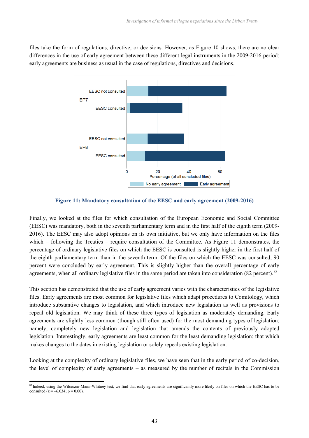files take the form of regulations, directive, or decisions. However, as Figure 10 shows, there are no clear differences in the use of early agreement between these different legal instruments in the 2009-2016 period: early agreements are business as usual in the case of regulations, directives and decisions.



**Figure 11: Mandatory consultation of the EESC and early agreement (2009-2016)**

Finally, we looked at the files for which consultation of the European Economic and Social Committee (EESC) was mandatory, both in the seventh parliamentary term and in the first half of the eighth term (2009- 2016). The EESC may also adopt opinions on its own initiative, but we only have information on the files which – following the Treaties – require consultation of the Committee. As Figure 11 demonstrates, the percentage of ordinary legislative files on which the EESC is consulted is slightly higher in the first half of the eighth parliamentary term than in the seventh term. Of the files on which the EESC was consulted, 90 percent were concluded by early agreement. This is slightly higher than the overall percentage of early agreements, when all ordinary legislative files in the same period are taken into consideration (82 percent).<sup>85</sup>

This section has demonstrated that the use of early agreement varies with the characteristics of the legislative files. Early agreements are most common for legislative files which adapt procedures to Comitology, which introduce substantive changes to legislation, and which introduce new legislation as well as provisions to repeal old legislation. We may think of these three types of legislation as moderately demanding. Early agreements are slightly less common (though still often used) for the most demanding types of legislation; namely, completely new legislation and legislation that amends the contents of previously adopted legislation. Interestingly, early agreements are least common for the least demanding legislation: that which makes changes to the dates in existing legislation or solely repeals existing legislation.

Looking at the complexity of ordinary legislative files, we have seen that in the early period of co-decision, the level of complexity of early agreements – as measured by the number of recitals in the Commission

<sup>&</sup>lt;sup>85</sup> Indeed, using the Wilcoxon-Mann-Whitney test, we find that early agreements are significantly more likely on files on which the EESC has to be consulted ( $z = -6.034$ ;  $p = 0.00$ ).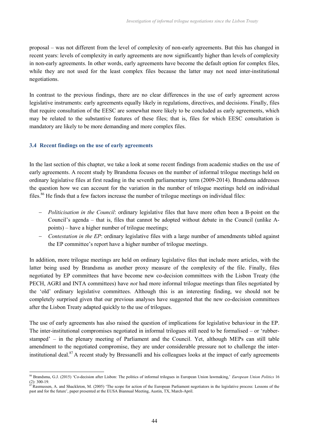proposal – was not different from the level of complexity of non-early agreements. But this has changed in recent years: levels of complexity in early agreements are now significantly higher than levels of complexity in non-early agreements. In other words, early agreements have become the default option for complex files, while they are not used for the least complex files because the latter may not need inter-institutional negotiations.

In contrast to the previous findings, there are no clear differences in the use of early agreement across legislative instruments: early agreements equally likely in regulations, directives, and decisions. Finally, files that require consultation of the EESC are somewhat more likely to be concluded as early agreements, which may be related to the substantive features of these files; that is, files for which EESC consultation is mandatory are likely to be more demanding and more complex files.

# **3.4 Recent findings on the use of early agreements**

In the last section of this chapter, we take a look at some recent findings from academic studies on the use of early agreements. A recent study by Brandsma focuses on the number of informal trilogue meetings held on ordinary legislative files at first reading in the seventh parliamentary term (2009-2014). Brandsma addresses the question how we can account for the variation in the number of trilogue meetings held on individual files.<sup>86</sup> He finds that a few factors increase the number of trilogue meetings on individual files:

- *Politicisation in the Council*: ordinary legislative files that have more often been a B-point on the Council's agenda – that is, files that cannot be adopted without debate in the Council (unlike Apoints) – have a higher number of trilogue meetings;
- *Contestation in the EP*: ordinary legislative files with a large number of amendments tabled against the EP committee's report have a higher number of trilogue meetings.

In addition, more trilogue meetings are held on ordinary legislative files that include more articles, with the latter being used by Brandsma as another proxy measure of the complexity of the file. Finally, files negotiated by EP committees that have become new co-decision committees with the Lisbon Treaty (the PECH, AGRI and INTA committees) have *not* had more informal trilogue meetings than files negotiated by the 'old' ordinary legislative committees. Although this is an interesting finding, we should not be completely surprised given that our previous analyses have suggested that the new co-decision committees after the Lisbon Treaty adapted quickly to the use of trilogues.

The use of early agreements has also raised the question of implications for legislative behaviour in the EP. The inter-institutional compromises negotiated in informal trilogues still need to be formalised – or 'rubberstamped' – in the plenary meeting of Parliament and the Council. Yet, although MEPs can still table amendment to the negotiated compromise, they are under considerable pressure not to challenge the interinstitutional deal.<sup>87</sup> A recent study by Bressanelli and his colleagues looks at the impact of early agreements

<sup>86</sup> Brandsma, G.J. (2015) 'Co-decision after Lisbon: The politics of informal trilogues in European Union lawmaking,' *European Union Politics* 16 (2): 300-19.

 $87$ Rasmussen, A. and Shackleton, M. (2005) 'The scope for action of the European Parliament negotiators in the legislative process: Lessons of the past and for the future', paper presented at the EUSA Biannual Meeting, Austin, TX, March-April.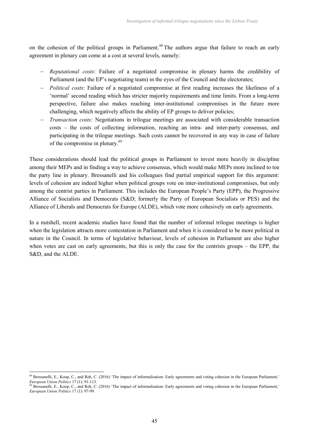on the cohesion of the political groups in Parliament.<sup>88</sup> The authors argue that failure to reach an early agreement in plenary can come at a cost at several levels, namely:

- *Reputational costs*: Failure of a negotiated compromise in plenary harms the credibility of Parliament (and the EP's negotiating team) in the eyes of the Council and the electorates;
- *Political costs*: Failure of a negotiated compromise at first reading increases the likeliness of a 'normal' second reading which has stricter majority requirements and time limits. From a long-term perspective, failure also makes reaching inter-institutional compromises in the future more challenging, which negatively affects the ability of EP groups to deliver policies;
- *Transaction costs:* Negotiations in trilogue meetings are associated with considerable transaction costs – the costs of collecting information, reaching an intra- and inter-party consensus, and participating in the trilogue meetings. Such costs cannot be recovered in any way in case of failure of the compromise in plenary.<sup>89</sup>

These considerations should lead the political groups in Parliament to invest more heavily in discipline among their MEPs and in finding a way to achieve consensus, which would make MEPs more inclined to toe the party line in plenary. Bressanelli and his colleagues find partial empirical support for this argument: levels of cohesion are indeed higher when political groups vote on inter-institutional compromises, but only among the centrist parties in Parliament. This includes the European People's Party (EPP), the Progressive Alliance of Socialists and Democrats (S&D; formerly the Party of European Socialists or PES) and the Alliance of Liberals and Democrats for Europe (ALDE), which vote more cohesively on early agreements.

In a nutshell, recent academic studies have found that the number of informal trilogue meetings is higher when the legislation attracts more contestation in Parliament and when it is considered to be more political in nature in the Council. In terms of legislative behaviour, levels of cohesion in Parliament are also higher when votes are cast on early agreements, but this is only the case for the centrists groups – the EPP, the S&D, and the ALDE.

<sup>&</sup>lt;sup>88</sup> Bressanelli, E., Koop, C., and Reh, C. (2016) 'The impact of informalisation: Early agreements and voting cohesion in the European Parliament,' *European Union Politics* 17 (1): 91-113.

Burbean Emon Points 17 (1), 21 112.<br><sup>89</sup> Bressanelli, E., Koop, C., and Reh, C. (2016) 'The impact of informalisation: Early agreements and voting cohesion in the European Parliament,' *European Union Politics* 17 (1): 97-99.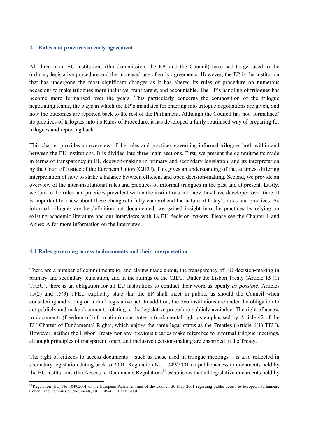### **4. Rules and practices in early agreement**

All three main EU institutions (the Commission, the EP, and the Council) have had to get used to the ordinary legislative procedure and the increased use of early agreements. However, the EP is the institution that has undergone the most significant changes as it has altered its rules of procedure on numerous occasions to make trilogues more inclusive, transparent, and accountable. The EP's handling of trilogues has become more formalised over the years. This particularly concerns the composition of the trilogue negotiating teams, the ways in which the EP's mandates for entering into trilogue negotiations are given, and how the outcomes are reported back to the rest of the Parliament. Although the Council has not 'formalised' its practices of trilogues into its Rules of Procedure, it has developed a fairly routinised way of preparing for trilogues and reporting back.

This chapter provides an overview of the rules and practices governing informal trilogues both within and between the EU institutions. It is divided into three main sections. First, we present the commitments made in terms of transparency in EU decision-making in primary and secondary legislation, and its interpretation by the Court of Justice of the European Union (CJEU). This gives an understanding of the, at times, differing interpretation of how to strike a balance between efficient and open decision-making. Second, we provide an overview of the inter-institutional rules and practices of informal trilogues in the past and at present. Lastly, we turn to the rules and practices prevalent within the institutions and how they have developed over time. It is important to know about these changes to fully comprehend the nature of today's rules and practices. As informal trilogues are by definition not documented, we gained insight into the practices by relying on existing academic literature and our interviews with 18 EU decision-makers. Please see the Chapter 1 and Annex A for more information on the interviews.

### **4.1 Rules governing access to documents and their interpretation**

There are a number of commitments to, and claims made about, the transparency of EU decision-making in primary and secondary legislation, and in the rulings of the CJEU. Under the Lisbon Treaty (Article 15 (1) TFEU), there is an obligation for all EU institutions to conduct their work as openly *as possible*. Articles 15(2) and 15(3) TFEU explicitly state that the EP shall meet in public, as should the Council when considering and voting on a draft legislative act. In addition, the two institutions are under the obligation to act publicly and make documents relating to the legislative procedure publicly available. The right of access to documents (freedom of information) constitutes a fundamental right as emphasised by Article 42 of the EU Charter of Fundamental Rights, which enjoys the same legal status as the Treaties (Article 6(1) TEU). However, neither the Lisbon Treaty nor any previous treaties make reference to informal trilogue meetings, although principles of transparent, open, and inclusive decision-making are enshrined in the Treaty.

The right of citizens to access documents – such as those used in trilogue meetings – is also reflected in secondary legislation dating back to 2001. Regulation No. 1049/2001 on public access to documents held by the EU institutions (the Access to Documents Regulation)<sup>90</sup> establishes that all legislative documents held by

<sup>90</sup> Regulation (EC) No 1049/2001 of the European Parliament and of the Council 30 May 2001 regarding public access to European Parliament, Council and Commission documents, OJ L 145/43, 31 May 2001.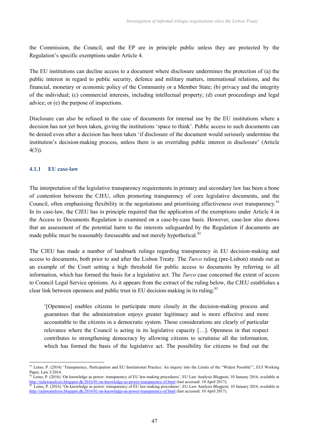the Commission, the Council, and the EP are in principle public unless they are protected by the Regulation's specific exemptions under Article 4.

The EU institutions can decline access to a document where disclosure undermines the protection of (a) the public interest in regard to public security, defence and military matters, international relations, and the financial, monetary or economic policy of the Community or a Member State; (b) privacy and the integrity of the individual; (c) commercial interests, including intellectual property; (d) court proceedings and legal advice; or (e) the purpose of inspections.

Disclosure can also be refused in the case of documents for internal use by the EU institutions where a decision has not yet been taken, giving the institutions 'space to think'. Public access to such documents can be denied even after a decision has been taken 'if disclosure of the document would seriously undermine the institution's decision-making process, unless there is an overriding public interest in disclosure' (Article 4(3)).

# **4.1.1 EU case-law**

The interpretation of the legislative transparency requirements in primary and secondary law has been a bone of contention between the CJEU, often promoting transparency of core legislative documents, and the Council, often emphasising flexibility in the negotiations and prioritising effectiveness over transparency.<sup>91</sup> In its case-law, the CJEU has in principle required that the application of the exemptions under Article 4 in the Access to Documents Regulation is examined on a case-by-case basis. However, case-law also shows that an assessment of the potential harm to the interests safeguarded by the Regulation if documents are made public must be reasonably foreseeable and not merely hypothetical.<sup>92</sup>

The CJEU has made a number of landmark rulings regarding transparency in EU decision-making and access to documents, both prior to and after the Lisbon Treaty. The *Turco* ruling (pre-Lisbon) stands out as an example of the Court setting a high threshold for public access to documents by referring to all information, which has formed the basis for a legislative act. The *Turco* case concerned the extent of access to Council Legal Service opinions. As it appears from the extract of the ruling below, the CJEU establishes a clear link between openness and public trust in EU decision-making in its ruling:<sup>93</sup>

'[Openness] enables citizens to participate more closely in the decision-making process and guarantees that the administration enjoys greater legitimacy and is more effective and more accountable to the citizens in a democratic system. Those considerations are clearly of particular relevance where the Council is acting in its legislative capacity […]. Openness in that respect contributes to strengthening democracy by allowing citizens to scrutinise all the information, which has formed the basis of the legislative act. The possibility for citizens to find out the

<sup>91</sup> Leino, P. (2014) 'Transparency, Participation and EU Institutional Practice: An inquiry into the Limits of the "Widest Possible"', EUI Working Paper, Law 3/2014.

Leino, P. (2016) 'On knowledge as power: transparency of EU law-making procedures', EU Law Analysis Blogpost, 10 January 2016, available at http://eulawanalysis.blogspot.dk/2016/01/on-knowledge-as-power-transparency-of.html (last accessed: 10 April 2017).

Leino, P. (2016) 'On knowledge as power: transparency of EU law-making procedures', EU Law Analysis Blogpost, 10 January 2016, available at http://eulawanalysis.blogspot.dk/2016/01/on-knowledge-as-power-transparency-of.html (last accessed: 10 April 2017).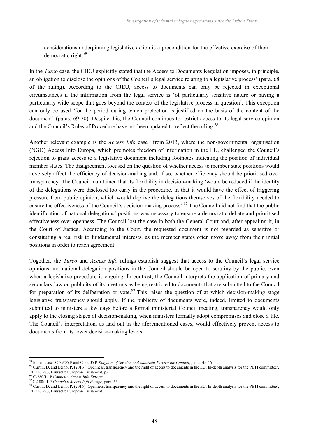considerations underpinning legislative action is a precondition for the effective exercise of their democratic right.'<sup>94</sup>

In the *Turco* case, the CJEU explicitly stated that the Access to Documents Regulation imposes, in principle, an obligation to disclose the opinions of the Council's legal service relating to a legislative process' (para. 68 of the ruling). According to the CJEU, access to documents can only be rejected in exceptional circumstances if the information from the legal service is 'of particularly sensitive nature or having a particularly wide scope that goes beyond the context of the legislative process in question'. This exception can only be used 'for the period during which protection is justified on the basis of the content of the document' (paras. 69-70). Despite this, the Council continues to restrict access to its legal service opinion and the Council's Rules of Procedure have not been updated to reflect the ruling.<sup>95</sup>

Another relevant example is the *Access Info* case<sup>96</sup> from 2013, where the non-governmental organisation (NGO) Access Info Europa, which promotes freedom of information in the EU, challenged the Council's rejection to grant access to a legislative document including footnotes indicating the position of individual member states. The disagreement focused on the question of whether access to member state positions would adversely affect the efficiency of decision-making and, if so, whether efficiency should be prioritised over transparency. The Council maintained that its flexibility in decision-making 'would be reduced if the identity of the delegations were disclosed too early in the procedure, in that it would have the effect of triggering pressure from public opinion, which would deprive the delegations themselves of the flexibility needed to ensure the effectiveness of the Council's decision-making process'.<sup>97</sup> The Council did not find that the public identification of national delegations' positions was necessary to ensure a democratic debate and prioritised effectiveness over openness. The Council lost the case in both the General Court and, after appealing it, in the Court of Justice. According to the Court, the requested document is not regarded as sensitive or constituting a real risk to fundamental interests, as the member states often move away from their initial positions in order to reach agreement.

Together, the *Turco* and *Access Info* rulings establish suggest that access to the Council's legal service opinions and national delegation positions in the Council should be open to scrutiny by the public, even when a legislative procedure is ongoing. In contrast, the Council interprets the application of primary and secondary law on publicity of its meetings as being restricted to documents that are submitted to the Council for preparation of its deliberation or vote.<sup>98</sup> This raises the question of at which decision-making stage legislative transparency should apply. If the publicity of documents were, indeed, limited to documents submitted to ministers a few days before a formal ministerial Council meeting, transparency would only apply to the closing stages of decision-making, when ministers formally adopt compromises and close a file. The Council's interpretation, as laid out in the aforementioned cases, would effectively prevent access to documents from its lower decision-making levels.

<sup>94</sup> Joined Cases C-39/05 P and C-52/05 P *Kingdom of Sweden and Maurizio Turco v the Council*, paras. 45-46

<sup>&</sup>lt;sup>95</sup> Curtin, D. and Leino, P. (2016) 'Openness, transparency and the right of access to documents in the EU: In-depth analysis for the PETI committee', PE 556.973, Brussels: European Parliament, p.6.

<sup>96</sup> C-280/11 P *Council v Access Info Europe*.

<sup>97</sup>C-280/11 P *Council v Access Info Europe,* para. 63.

<sup>&</sup>lt;sup>98</sup> Curtin, D. and Leino, P. (2016) 'Openness, transparency and the right of access to documents in the EU: In-depth analysis for the PETI committee', PE 556.973, Brussels: European Parliament.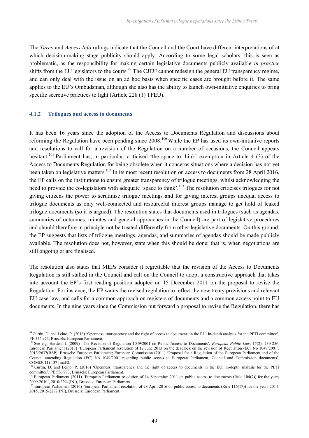The *Turco* and *Access Info* rulings indicate that the Council and the Court have different interpretations of at which decision-making stage publicity should apply. According to some legal scholars, this is seen as problematic, as the responsibility for making certain legislative documents publicly available *in practice* shifts from the EU legislators to the courts.<sup>99</sup> The CJEU cannot redesign the general EU transparency regime, and can only deal with the issue on an ad hoc basis when specific cases are brought before it. The same applies to the EU's Ombudsman, although she also has the ability to launch own-initiative enquiries to bring specific secretive practices to light (Article 228 (1) TFEU).

#### **4.1.2 Trilogues and access to documents**

It has been 16 years since the adoption of the Access to Documents Regulation and discussions about reforming the Regulation have been pending since 2008.<sup>100</sup> While the EP has used its own-initiative reports and resolutions to call for a revision of the Regulation on a number of occasions, the Council appears hesitant.<sup>101</sup> Parliament has, in particular, criticised 'the space to think' exemption in Article 4 (3) of the Access to Documents Regulation for being obsolete when it concerns situations where a decision has not yet been taken on legislative matters.<sup>102</sup> In its most recent resolution on access to documents from 28 April 2016, the EP calls on the institutions to ensure greater transparency of trilogue meetings, whilst acknowledging the need to provide the co-legislators with adequate 'space to think'.<sup>103</sup> The resolution criticises trilogues for not giving citizens the power to scrutinise trilogue meetings and for giving interest groups unequal access to trilogue documents as only well-connected and resourceful interest groups manage to get hold of leaked trilogue documents (so it is argued). The resolution states that documents used in trilogues (such as agendas, summaries of outcomes, minutes and general approaches in the Council) are part of legislative procedures and should therefore in principle not be treated differently from other legislative documents. On this ground, the EP suggests that lists of trilogue meetings, agendas, and summaries of agendas should be made publicly available. The resolution does not, however, state when this should be done; that is, when negotiations are still ongoing or are finalised.

The resolution also states that MEPs consider it regrettable that the revision of the Access to Documents Regulation is still stalled in the Council and call on the Council to adopt a constructive approach that takes into account the EP's first reading position adopted on 15 December 2011 on the proposal to revise the Regulation. For instance, the EP wants the revised regulation to reflect the new treaty provisions and relevant EU case-law, and calls for a common approach on registers of documents and a common access point to EU documents. In the nine years since the Commission put forward a proposal to revise the Regulation, there has

<sup>&</sup>lt;sup>99</sup> Curtin, D. and Leino, P. (2016) 'Openness, transparency and the right of access to documents in the EU: In-depth analysis for the PETI committee', PE 556.973, Brussels: European Parliament.

<sup>&</sup>lt;sup>100</sup> See e.g. Harden, I. (2009) 'The Revision of Regulation 1049/2001 on Public Access to Documents', *European Public Law*, 15(2): 239-256; European Parliament (2013) *'*European Parliament resolution of 12 June 2013 on the deadlock on the revision of Regulation (EC) No 1049/2001', 2013/2637(RSP), Brussels: European Parliament; European Commission (2011) 'Proposal for a Regulation of the European Parliament and of the Council amending Regulation (EC) No 1049/2001 regarding public access to European Parliament, Council and Commission documents', COM(2011) 137 final/2.

<sup>&</sup>lt;sup>101</sup> Curtin, D. and Leino, P. (2016) 'Openness, transparency and the right of access to documents in the EU: In-depth analysis for the PETI committee', PE 556.973, Brussels: European Parliament.

<sup>&</sup>lt;sup>102</sup> European Parliament (2011) *'*European Parliament resolution of 14 September 2011 on public access to documents (Rule 104(7)) for the years 2009-2010', 2010/2294(INI), Brussels: European Parliament.

<sup>&</sup>lt;sup>103</sup> European Parliament (2016) *'European Parliament resolution of 28 April 2016 on public access to documents (Rule 116(17))* for the years 2014-2015, 2015/2287(INI), Brussels: European Parliament.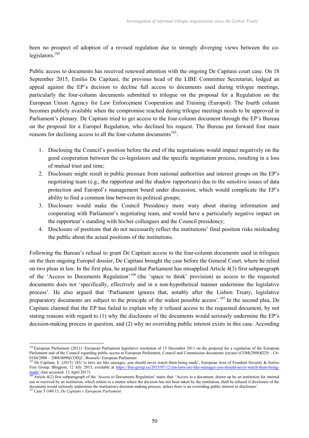been no prospect of adoption of a revised regulation due to strongly diverging views between the co $legislators.<sup>104</sup>$ 

Public access to documents has received renewed attention with the ongoing De Capitani court case. On 18 September 2015, Emilio De Capitani, the previous head of the LIBE Committee Secretariat, lodged an appeal against the EP's decision to decline full access to documents used during trilogue meetings, particularly the four-column documents submitted to trilogue on the proposal for a Regulation on the European Union Agency for Law Enforcement Cooperation and Training (Europol). The fourth column becomes publicly available when the compromise reached during trilogue meetings needs to be approved in Parliament's plenary. De Capitani tried to get access to the four-column document through the EP's Bureau on the proposal for a Europol Regulation, who declined his request. The Bureau put forward four main reasons for declining access to all the four-column documents<sup> $105$ </sup>:

- 1. Disclosing the Council's position before the end of the negotiations would impact negatively on the good cooperation between the co-legislators and the specific negotiation process, resulting in a loss of mutual trust and time;
- 2. Disclosure might result in public pressure from national authorities and interest groups on the EP's negotiating team (e.g., the rapporteur and the shadow rapporteurs) due to the sensitive issues of data protection and Europol's management board under discussion, which would complicate the EP's ability to find a common line between its political groups;
- 3. Disclosure would make the Council Presidency more wary about sharing information and cooperating with Parliament's negotiating team, and would have a particularly negative impact on the rapporteur's standing with his/her colleagues and the Council presidency;
- 4. Disclosure of positions that do not necessarily reflect the institutions' final position risks misleading the public about the actual positions of the institutions.

Following the Bureau's refusal to grant De Capitani access to the four-column documents used in trilogues on the then ongoing Europol dossier, De Capitani brought the case before the General Court, where he relied on two pleas in law. In the first plea, he argued that Parliament has misapplied Article 4(3) first subparagraph of the 'Access to Documents Regulation' <sup>106</sup> (the 'space to think' provision) as access to the requested documents does not 'specifically, effectively and in a non-hypothetical manner undermine the legislative process'. He also argued that 'Parliament ignores that, notably after the Lisbon Treaty, legislative preparatory documents are subject to the principle of the widest possible access'.<sup>107</sup> In the second plea, De Capitani claimed that the EP has failed to explain why it refused access to the requested document, by not stating reasons with regard to (1) why the disclosure of the documents would seriously undermine the EP's decision-making process in question, and (2) why no overriding public interest exists in this case. According

<sup>&</sup>lt;sup>104</sup> European Parliament (2011) 'European Parliament legislative resolution of 15 December 2011 on the proposal for a regulation of the European Parliament and of the Council regarding public access to European Parliament, Council and Commission documents (recast) (COM(2008)0229 – C6- 0184/2008 – 2008/0090(COD))', Brussels: European Parliament

<sup>&</sup>lt;sup>105</sup> De Capitani, E. (2015) '(EU's) laws are like sausages, you should never watch them being made', European Area of Freedom Security & Justice Free Group, Blogpost, 12 July 2015, available at https://free-group.eu/2015/07/12/eus-laws-are-like-sausages-you-should-never-watch-them-being- $\frac{\text{made}}{106}$  (last accessed: 12 April 2017).

Article 4(2) first subparagraph of the 'Access to Documents Regulation' states that: 'Access to a document, drawn up by an institution for internal use or received by an institution, which relates to a matter where the decision has not been taken by the institution, shall be refused if disclosure of the document would seriously undermine the institution's decision-making process, unless there is an overriding public interest in disclosure'.<br><sup>107</sup> Case T-540/15. De Capitani u Europe in Purities in disclosure'.

<sup>&</sup>lt;sup>7</sup> Case T-540/15, *De Capitani v European Parliament*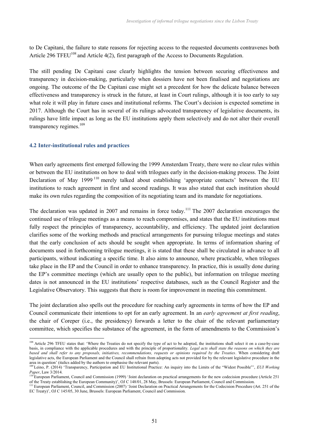to De Capitani, the failure to state reasons for rejecting access to the requested documents contravenes both Article 296 TFEU<sup>108</sup> and Article 4(2), first paragraph of the Access to Documents Regulation.

The still pending De Capitani case clearly highlights the tension between securing effectiveness and transparency in decision-making, particularly when dossiers have not been finalised and negotiations are ongoing. The outcome of the De Capitani case might set a precedent for how the delicate balance between effectiveness and transparency is struck in the future, at least in Court rulings, although it is too early to say what role it will play in future cases and institutional reforms. The Court's decision is expected sometime in 2017. Although the Court has in several of its rulings advocated transparency of legislative documents, its rulings have little impact as long as the EU institutions apply them selectively and do not alter their overall transparency regimes.<sup>109</sup>

### **4.2 Inter-institutional rules and practices**

When early agreements first emerged following the 1999 Amsterdam Treaty, there were no clear rules within or between the EU institutions on how to deal with trilogues early in the decision-making process. The Joint Declaration of May 1999<sup>110</sup> merely talked about establishing 'appropriate contacts' between the EU institutions to reach agreement in first and second readings. It was also stated that each institution should make its own rules regarding the composition of its negotiating team and its mandate for negotiations.

The declaration was updated in 2007 and remains in force today.<sup>111</sup> The 2007 declaration encourages the continued use of trilogue meetings as a means to reach compromises, and states that the EU institutions must fully respect the principles of transparency, accountability, and efficiency. The updated joint declaration clarifies some of the working methods and practical arrangements for pursuing trilogue meetings and states that the early conclusion of acts should be sought when appropriate. In terms of information sharing of documents used in forthcoming trilogue meetings, it is stated that these shall be circulated in advance to all participants, without indicating a specific time. It also aims to announce, where practicable, when trilogues take place in the EP and the Council in order to enhance transparency. In practice, this is usually done during the EP's committee meetings (which are usually open to the public), but information on trilogue meeting dates is not announced in the EU institutions' respective databases, such as the Council Register and the Legislative Observatory. This suggests that there is room for improvement in meeting this commitment.

The joint declaration also spells out the procedure for reaching early agreements in terms of how the EP and Council communicate their intentions to opt for an early agreement. In an *early agreement at first reading*, the chair of Coreper (i.e., the presidency) forwards a letter to the chair of the relevant parliamentary committee, which specifies the substance of the agreement, in the form of amendments to the Commission's

<sup>&</sup>lt;sup>108</sup> Article 296 TFEU states that: 'Where the Treaties do not specify the type of act to be adopted, the institutions shall select it on a case-by-case basis, in compliance with the applicable procedures and with the principle of proportionality. *Legal acts shall state the reasons on which they are based and shall refer to any proposals, initiatives, recommendations, requests or opinions required by the Treaties*. When considering draft legislative acts, the European Parliament and the Council shall refrain from adopting acts not provided for by the relevant legislative procedure in the area in question' (italics added by the authors to emphasise the relevant parts).

<sup>109</sup> Leino, P. (2014) 'Transparency, Participation and EU Institutional Practice: An inquiry into the Limits of the "Widest Possible"', *EUI Working Paper*, Law 3/2014.

<sup>&</sup>lt;sup>110</sup> European Parliament, Council and Commission (1999) 'Joint declaration on practical arrangements for the new codecision procedure (Article 251 of the Treaty establishing the European Community)', OJ C 148/01, 28 May, Brussels: European Parliament, Council and Commission.

<sup>&</sup>lt;sup>111</sup> European Parliament, Council, and Commission (2007) 'Joint Declaration on Practical Arrangements for the Codecision Procedure (Art. 251 of the EC Treaty)', OJ C 145/05, 30 June, Brussels: European Parliament, Council and Commission.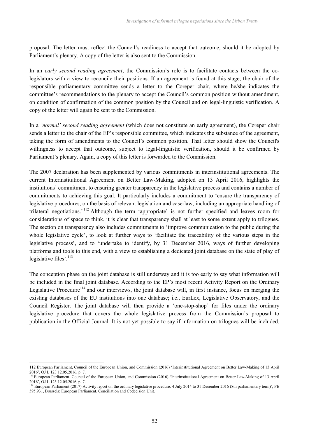proposal. The letter must reflect the Council's readiness to accept that outcome, should it be adopted by Parliament's plenary. A copy of the letter is also sent to the Commission.

In an *early second reading agreement*, the Commission's role is to facilitate contacts between the colegislators with a view to reconcile their positions. If an agreement is found at this stage, the chair of the responsible parliamentary committee sends a letter to the Coreper chair, where he/she indicates the committee's recommendations to the plenary to accept the Council's common position without amendment, on condition of confirmation of the common position by the Council and on legal-linguistic verification. A copy of the letter will again be sent to the Commission.

In a *'normal' second reading agreement* (which does not constitute an early agreement), the Coreper chair sends a letter to the chair of the EP's responsible committee, which indicates the substance of the agreement, taking the form of amendments to the Council's common position. That letter should show the Council's willingness to accept that outcome, subject to legal-linguistic verification, should it be confirmed by Parliament's plenary. Again, a copy of this letter is forwarded to the Commission.

The 2007 declaration has been supplemented by various commitments in interinstitutional agreements. The current Interinstitutional Agreement on Better Law-Making, adopted on 13 April 2016, highlights the institutions' commitment to ensuring greater transparency in the legislative process and contains a number of commitments to achieving this goal. It particularly includes a commitment to 'ensure the transparency of legislative procedures, on the basis of relevant legislation and case-law, including an appropriate handling of trilateral negotiations.' <sup>112</sup> Although the term 'appropriate' is not further specified and leaves room for considerations of space to think, it is clear that transparency shall at least to some extent apply to trilogues. The section on transparency also includes commitments to 'improve communication to the public during the whole legislative cycle', to look at further ways to 'facilitate the traceability of the various steps in the legislative process', and to 'undertake to identify, by 31 December 2016, ways of further developing platforms and tools to this end, with a view to establishing a dedicated joint database on the state of play of legislative files'.<sup>113</sup>

The conception phase on the joint database is still underway and it is too early to say what information will be included in the final joint database. According to the EP's most recent Activity Report on the Ordinary Legislative Procedure<sup>114</sup> and our interviews, the joint database will, in first instance, focus on merging the existing databases of the EU institutions into one database; i.e., EurLex, Legislative Observatory, and the Council Register. The joint database will then provide a 'one-stop-shop' for files under the ordinary legislative procedure that covers the whole legislative process from the Commission's proposal to publication in the Official Journal. It is not yet possible to say if information on trilogues will be included.

<sup>112</sup> European Parliament, Council of the European Union, and Commission (2016) 'Interinstitutional Agreement on Better Law-Making of 13 April 2016', OJ L 123 12.05.2016, p. 7.

<sup>&</sup>lt;sup>113</sup> European Parliament, Council of the European Union, and Commission (2016) 'Interinstitutional Agreement on Better Law-Making of 13 April 2016', OJ L 123 12.05.2016, p. 7.

<sup>114</sup> European Parliament (2017) Activity report on the ordinary legislative procedure: 4 July 2014 to 31 December 2016 (8th parliamentary term)', PE 595.931, Brussels: European Parliament, Conciliation and Codecision Unit.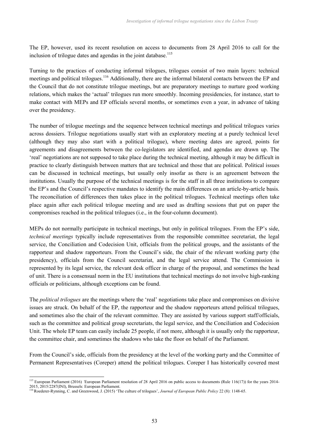The EP, however, used its recent resolution on access to documents from 28 April 2016 to call for the inclusion of trilogue dates and agendas in the joint database.<sup>115</sup>

Turning to the practices of conducting informal trilogues, trilogues consist of two main layers: technical meetings and political trilogues.<sup>116</sup> Additionally, there are the informal bilateral contacts between the EP and the Council that do not constitute trilogue meetings, but are preparatory meetings to nurture good working relations, which makes the 'actual' trilogues run more smoothly. Incoming presidencies, for instance, start to make contact with MEPs and EP officials several months, or sometimes even a year, in advance of taking over the presidency.

The number of trilogue meetings and the sequence between technical meetings and political trilogues varies across dossiers. Trilogue negotiations usually start with an exploratory meeting at a purely technical level (although they may also start with a political trilogue), where meeting dates are agreed, points for agreements and disagreements between the co-legislators are identified, and agendas are drawn up. The 'real' negotiations are not supposed to take place during the technical meeting, although it may be difficult in practice to clearly distinguish between matters that are technical and those that are political. Political issues can be discussed in technical meetings, but usually only insofar as there is an agreement between the institutions. Usually the purpose of the technical meetings is for the staff in all three institutions to compare the EP's and the Council's respective mandates to identify the main differences on an article-by-article basis. The reconciliation of differences then takes place in the political trilogues. Technical meetings often take place again after each political trilogue meeting and are used as drafting sessions that put on paper the compromises reached in the political trilogues (i.e., in the four-column document).

MEPs do not normally participate in technical meetings, but only in political trilogues. From the EP's side, *technical meetings* typically include representatives from the responsible committee secretariat, the legal service, the Conciliation and Codecision Unit, officials from the political groups, and the assistants of the rapporteur and shadow rapporteurs. From the Council's side, the chair of the relevant working party (the presidency), officials from the Council secretariat, and the legal service attend. The Commission is represented by its legal service, the relevant desk officer in charge of the proposal, and sometimes the head of unit. There is a consensual norm in the EU institutions that technical meetings do not involve high-ranking officials or politicians, although exceptions can be found.

The *political trilogues* are the meetings where the 'real' negotiations take place and compromises on divisive issues are struck. On behalf of the EP, the rapporteur and the shadow rapporteurs attend political trilogues, and sometimes also the chair of the relevant committee. They are assisted by various support staff/officials, such as the committee and political group secretariats, the legal service, and the Conciliation and Codecision Unit. The whole EP team can easily include 25 people, if not more, although it is usually only the rapporteur, the committee chair, and sometimes the shadows who take the floor on behalf of the Parliament.

From the Council's side, officials from the presidency at the level of the working party and the Committee of Permanent Representatives (Coreper) attend the political trilogues. Coreper I has historically covered most

<sup>&</sup>lt;sup>115</sup> European Parliament (2016) *'European Parliament resolution of 28 April 2016 on public access to documents (Rule 116(17))* for the years 2014-2015, 2015/2287(INI), Brussels: European Parliament.

<sup>&</sup>lt;sup>116</sup> Roederer-Rynning, C. and Greenwood, J. (2015) 'The culture of trilogues', *Journal of European Public Policy* 22 (8): 1148-65.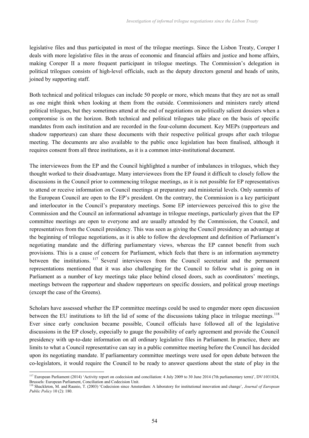legislative files and thus participated in most of the trilogue meetings. Since the Lisbon Treaty, Coreper I deals with more legislative files in the areas of economic and financial affairs and justice and home affairs, making Coreper II a more frequent participant in trilogue meetings. The Commission's delegation in political trilogues consists of high-level officials, such as the deputy directors general and heads of units, joined by supporting staff.

Both technical and political trilogues can include 50 people or more, which means that they are not as small as one might think when looking at them from the outside. Commissioners and ministers rarely attend political trilogues, but they sometimes attend at the end of negotiations on politically salient dossiers when a compromise is on the horizon. Both technical and political trilogues take place on the basis of specific mandates from each institution and are recorded in the four-column document. Key MEPs (rapporteurs and shadow rapporteurs) can share these documents with their respective political groups after each trilogue meeting. The documents are also available to the public once legislation has been finalised, although it requires consent from all three institutions, as it is a common inter-institutional document.

The interviewees from the EP and the Council highlighted a number of imbalances in trilogues, which they thought worked to their disadvantage. Many interviewees from the EP found it difficult to closely follow the discussions in the Council prior to commencing trilogue meetings, as it is not possible for EP representatives to attend or receive information on Council meetings at preparatory and ministerial levels. Only summits of the European Council are open to the EP's president. On the contrary, the Commission is a key participant and interlocutor in the Council's preparatory meetings. Some EP interviewees perceived this to give the Commission and the Council an informational advantage in trilogue meetings, particularly given that the EP committee meetings are open to everyone and are usually attended by the Commission, the Council, and representatives from the Council presidency. This was seen as giving the Council presidency an advantage at the beginning of trilogue negotiations, as it is able to follow the development and definition of Parliament's negotiating mandate and the differing parliamentary views, whereas the EP cannot benefit from such provisions. This is a cause of concern for Parliament, which feels that there is an information asymmetry between the institutions. <sup>117</sup> Several interviewees from the Council secretariat and the permanent representations mentioned that it was also challenging for the Council to follow what is going on in Parliament as a number of key meetings take place behind closed doors, such as coordinators' meetings, meetings between the rapporteur and shadow rapporteurs on specific dossiers, and political group meetings (except the case of the Greens).

Scholars have assessed whether the EP committee meetings could be used to engender more open discussion between the EU institutions to lift the lid of some of the discussions taking place in trilogue meetings.<sup>118</sup> Ever since early conclusion became possible, Council officials have followed all of the legislative discussions in the EP closely, especially to gauge the possibility of early agreement and provide the Council presidency with up-to-date information on all ordinary legislative files in Parliament. In practice, there are limits to what a Council representative can say in a public committee meeting before the Council has decided upon its negotiating mandate. If parliamentary committee meetings were used for open debate between the co-legislators, it would require the Council to be ready to answer questions about the state of play in the

<sup>&</sup>lt;sup>117</sup> European Parliament (2014) 'Activity report on codecision and conciliation: 4 July 2009 to 30 June 2014 (7th parliamentary term)', DV\1031024, Brussels: European Parliament, Conciliation and Codecision Unit.

<sup>118</sup> Shackleton, M. and Raunio, T. (2003) 'Codecision since Amsterdam: A laboratory for institutional innovation and change', *Journal of European Public Policy* 10 (2): 180.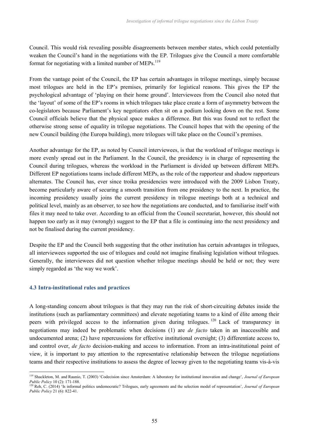Council. This would risk revealing possible disagreements between member states, which could potentially weaken the Council's hand in the negotiations with the EP. Trilogues give the Council a more comfortable format for negotiating with a limited number of MEPs. $^{119}$ 

From the vantage point of the Council, the EP has certain advantages in trilogue meetings, simply because most trilogues are held in the EP's premises, primarily for logistical reasons. This gives the EP the psychological advantage of 'playing on their home ground'. Interviewees from the Council also noted that the 'layout' of some of the EP's rooms in which trilogues take place create a form of asymmetry between the co-legislators because Parliament's key negotiators often sit on a podium looking down on the rest. Some Council officials believe that the physical space makes a difference. But this was found not to reflect the otherwise strong sense of equality in trilogue negotiations. The Council hopes that with the opening of the new Council building (the Europa building), more trilogues will take place on the Council's premises.

Another advantage for the EP, as noted by Council interviewees, is that the workload of trilogue meetings is more evenly spread out in the Parliament. In the Council, the presidency is in charge of representing the Council during trilogues, whereas the workload in the Parliament is divided up between different MEPs. Different EP negotiations teams include different MEPs, as the role of the rapporteur and shadow rapporteurs alternates. The Council has, ever since troika presidencies were introduced with the 2009 Lisbon Treaty, become particularly aware of securing a smooth transition from one presidency to the next. In practice, the incoming presidency usually joins the current presidency in trilogue meetings both at a technical and political level, mainly as an observer, to see how the negotiations are conducted, and to familiarise itself with files it may need to take over. According to an official from the Council secretariat, however, this should not happen too early as it may (wrongly) suggest to the EP that a file is continuing into the next presidency and not be finalised during the current presidency.

Despite the EP and the Council both suggesting that the other institution has certain advantages in trilogues, all interviewees supported the use of trilogues and could not imagine finalising legislation without trilogues. Generally, the interviewees did not question whether trilogue meetings should be held or not; they were simply regarded as 'the way we work'.

### **4.3 Intra-institutional rules and practices**

A long-standing concern about trilogues is that they may run the risk of short-circuiting debates inside the institutions (such as parliamentary committees) and elevate negotiating teams to a kind of élite among their peers with privileged access to the information given during trilogues.<sup>120</sup> Lack of transparency in negotiations may indeed be problematic when decisions (1) are *de facto* taken in an inaccessible and undocumented arena; (2) have repercussions for effective institutional oversight; (3) differentiate access to, and control over, *de facto* decision-making and access to information. From an intra-institutional point of view, it is important to pay attention to the representative relationship between the trilogue negotiations teams and their respective institutions to assess the degree of leeway given to the negotiating teams vis-à-vis

<sup>119</sup> Shackleton, M. and Raunio, T. (2003) 'Codecision since Amsterdam: A laboratory for institutional innovation and change', *Journal of European Public Policy* 10 (2): 171-188.

<sup>120</sup> Reh, C. (2014) 'Is informal politics undemocratic? Trilogues, early agreements and the selection model of representation', *Journal of European Public Policy* 21 (6): 822-41.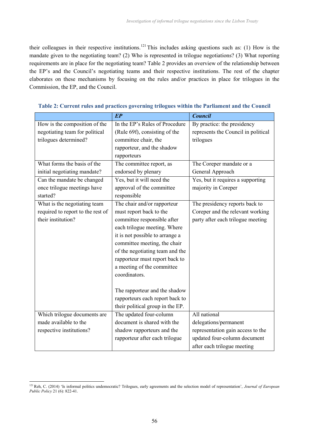their colleagues in their respective institutions.<sup>121</sup> This includes asking questions such as: (1) How is the mandate given to the negotiating team? (2) Who is represented in trilogue negotiations? (3) What reporting requirements are in place for the negotiating team? Table 2 provides an overview of the relationship between the EP's and the Council's negotiating teams and their respective institutions. The rest of the chapter elaborates on these mechanisms by focusing on the rules and/or practices in place for trilogues in the Commission, the EP, and the Council.

|                                   | $E$ $\overline{P}$               | <b>Council</b>                      |
|-----------------------------------|----------------------------------|-------------------------------------|
| How is the composition of the     | In the EP's Rules of Procedure   | By practice: the presidency         |
| negotiating team for political    | (Rule 69f), consisting of the    | represents the Council in political |
| trilogues determined?             | committee chair, the             | trilogues                           |
|                                   | rapporteur, and the shadow       |                                     |
|                                   | rapporteurs                      |                                     |
| What forms the basis of the       | The committee report, as         | The Coreper mandate or a            |
| initial negotiating mandate?      | endorsed by plenary              | General Approach                    |
| Can the mandate be changed        | Yes, but it will need the        | Yes, but it requires a supporting   |
| once trilogue meetings have       | approval of the committee        | majority in Coreper                 |
| started?                          | responsible                      |                                     |
| What is the negotiating team      | The chair and/or rapporteur      | The presidency reports back to      |
| required to report to the rest of | must report back to the          | Coreper and the relevant working    |
| their institution?                | committee responsible after      | party after each trilogue meeting   |
|                                   | each trilogue meeting. Where     |                                     |
|                                   | it is not possible to arrange a  |                                     |
|                                   | committee meeting, the chair     |                                     |
|                                   | of the negotiating team and the  |                                     |
|                                   | rapporteur must report back to   |                                     |
|                                   | a meeting of the committee       |                                     |
|                                   | coordinators.                    |                                     |
|                                   |                                  |                                     |
|                                   | The rapporteur and the shadow    |                                     |
|                                   | rapporteurs each report back to  |                                     |
|                                   | their political group in the EP. |                                     |
| Which trilogue documents are      | The updated four-column          | All national                        |
| made available to the             | document is shared with the      | delegations/permanent               |
| respective institutions?          | shadow rapporteurs and the       | representation gain access to the   |
|                                   | rapporteur after each trilogue   | updated four-column document        |
|                                   |                                  | after each trilogue meeting         |

|  |  |  | Table 2: Current rules and practices governing trilogues within the Parliament and the Council |  |
|--|--|--|------------------------------------------------------------------------------------------------|--|
|--|--|--|------------------------------------------------------------------------------------------------|--|

<sup>121</sup>Reh, C. (2014) 'Is informal politics undemocratic? Trilogues, early agreements and the selection model of representation', *Journal of European Public Policy* 21 (6): 822-41.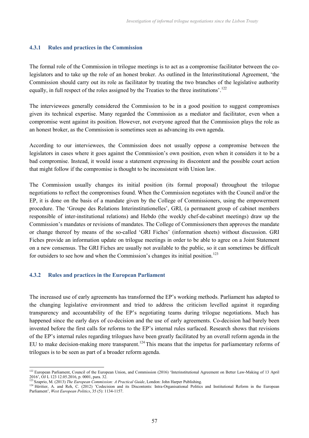## **4.3.1 Rules and practices in the Commission**

The formal role of the Commission in trilogue meetings is to act as a compromise facilitator between the colegislators and to take up the role of an honest broker. As outlined in the Interinstitutional Agreement, 'the Commission should carry out its role as facilitator by treating the two branches of the legislative authority equally, in full respect of the roles assigned by the Treaties to the three institutions'.<sup>122</sup>

The interviewees generally considered the Commission to be in a good position to suggest compromises given its technical expertise. Many regarded the Commission as a mediator and facilitator, even when a compromise went against its position. However, not everyone agreed that the Commission plays the role as an honest broker, as the Commission is sometimes seen as advancing its own agenda.

According to our interviewees, the Commission does not usually oppose a compromise between the legislators in cases where it goes against the Commission's own position, even when it considers it to be a bad compromise. Instead, it would issue a statement expressing its discontent and the possible court action that might follow if the compromise is thought to be inconsistent with Union law.

The Commission usually changes its initial position (its formal proposal) throughout the trilogue negotiations to reflect the compromises found. When the Commission negotiates with the Council and/or the EP, it is done on the basis of a mandate given by the College of Commissioners, using the empowerment procedure. The 'Groupe des Relations Interinstitutionelles', GRI, (a permanent group of cabinet members responsible of inter-institutional relations) and Hebdo (the weekly chef-de-cabinet meetings) draw up the Commission's mandates or revisions of mandates. The College of Commissioners then approves the mandate or change thereof by means of the so-called 'GRI Fiches' (information sheets) without discussion. GRI Fiches provide an information update on trilogue meetings in order to be able to agree on a Joint Statement on a new consensus. The GRI Fiches are usually not available to the public, so it can sometimes be difficult for outsiders to see how and when the Commission's changes its initial position.<sup>123</sup>

# **4.3.2 Rules and practices in the European Parliament**

The increased use of early agreements has transformed the EP's working methods. Parliament has adapted to the changing legislative environment and tried to address the criticism levelled against it regarding transparency and accountability of the EP's negotiating teams during trilogue negotiations. Much has happened since the early days of co-decision and the use of early agreements. Co-decision had barely been invented before the first calls for reforms to the EP's internal rules surfaced. Research shows that revisions of the EP's internal rules regarding trilogues have been greatly facilitated by an overall reform agenda in the EU to make decision-making more transparent.<sup>124</sup> This means that the impetus for parliamentary reforms of trilogues is to be seen as part of a broader reform agenda.

<sup>&</sup>lt;sup>122</sup> European Parliament, Council of the European Union, and Commission (2016) 'Interinstitutional Agreement on Better Law-Making of 13 April 2016', OJ L 123 12.05.2016, p. 0001, para. 32.

<sup>&</sup>lt;sup>123</sup> Szaprio, M. (2013) *The European Commission: A Practical Guide*, London: John Harper Publishing.

<sup>&</sup>lt;sup>124</sup> Héritier, A. and Reh, C. (2012) 'Codecision and its Discontents: Intra-Organisational Politics and Institutional Reform in the European Parliament', *West European Politics*, 35 (5): 1134-1157.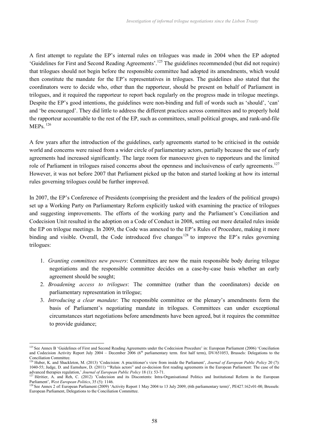A first attempt to regulate the EP's internal rules on trilogues was made in 2004 when the EP adopted 'Guidelines for First and Second Reading Agreements'.<sup>125</sup> The guidelines recommended (but did not require) that trilogues should not begin before the responsible committee had adopted its amendments, which would then constitute the mandate for the EP's representatives in trilogues. The guidelines also stated that the coordinators were to decide who, other than the rapporteur, should be present on behalf of Parliament in trilogues, and it required the rapporteur to report back regularly on the progress made in trilogue meetings. Despite the EP's good intentions, the guidelines were non-binding and full of words such as 'should', 'can' and 'be encouraged'. They did little to address the different practices across committees and to properly hold the rapporteur accountable to the rest of the EP, such as committees, small political groups, and rank-and-file  $MEPs$ <sup>126</sup>

A few years after the introduction of the guidelines, early agreements started to be criticised in the outside world and concerns were raised from a wider circle of parliamentary actors, partially because the use of early agreements had increased significantly. The large room for manoeuvre given to rapporteurs and the limited role of Parliament in trilogues raised concerns about the openness and inclusiveness of early agreements.<sup>127</sup> However, it was not before 2007 that Parliament picked up the baton and started looking at how its internal rules governing trilogues could be further improved.

In 2007, the EP's Conference of Presidents (comprising the president and the leaders of the political groups) set up a Working Party on Parliamentary Reform explicitly tasked with examining the practice of trilogues and suggesting improvements. The efforts of the working party and the Parliament's Conciliation and Codecision Unit resulted in the adoption on a Code of Conduct in 2008, setting out more detailed rules inside the EP on trilogue meetings. In 2009, the Code was annexed to the EP's Rules of Procedure, making it more binding and visible. Overall, the Code introduced five changes<sup>128</sup> to improve the EP's rules governing trilogues:

- 1. *Granting committees new powers*: Committees are now the main responsible body during trilogue negotiations and the responsible committee decides on a case-by-case basis whether an early agreement should be sought;
- 2. *Broadening access to trilogues*: The committee (rather than the coordinators) decide on parliamentary representation in trilogue;
- 3. *Introducing a clear mandate*: The responsible committee or the plenary's amendments form the basis of Parliament's negotiating mandate in trilogues. Committees can under exceptional circumstances start negotiations before amendments have been agreed, but it requires the committee to provide guidance;

<sup>&</sup>lt;sup>125</sup> See Annex B 'Guidelines of First and Second Reading Agreements under the Codecision Procedure' in: European Parliament (2006) 'Conciliation and Codecision Activity Report July 2004 – December 2006 (6<sup>th</sup> parliamentary term. first half term), DV/651053, Brussels: Delegations to the Conciliation Committee.

<sup>126</sup> Huber, K. and Shackleton, M. (2013) 'Codecision: A practitioner's view from inside the Parliament', *Journal of European Public Policy* 20 (7): 1040-55; Judge, D. and Earnshaw, D. (2011) '"Relais actors" and co-decision first reading agreements in the European Parliament: The case of the advanced therapies regulation,' *Journal of European Public Policy* 18 (1): 53-71.

Héritier, A. and Reh, C. (2012) 'Codecision and its Discontents: Intra-Organisational Politics and Institutional Reform in the European Parliament', *West European Politics*, 35 (5): 1146.

<sup>&</sup>lt;sup>128</sup> See Annex 2 of: European Parliament (2009) 'Activity Report 1 May 2004 to 13 July 2009, (6th parliamentary term)', PE427.162v01-00, Brussels: European Parliament, Delegations to the Conciliation Committee.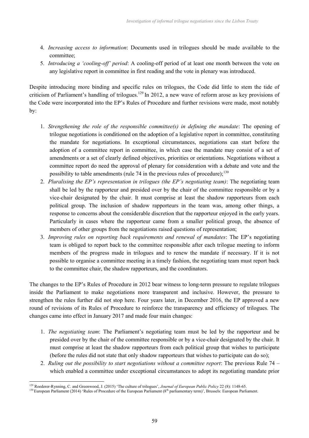- 4. *Increasing access to information*: Documents used in trilogues should be made available to the committee;
- 5. *Introducing a 'cooling-off' period*: A cooling-off period of at least one month between the vote on any legislative report in committee in first reading and the vote in plenary was introduced.

Despite introducing more binding and specific rules on trilogues, the Code did little to stem the tide of criticism of Parliament's handling of trilogues.<sup>129</sup> In 2012, a new wave of reform arose as key provisions of the Code were incorporated into the EP's Rules of Procedure and further revisions were made, most notably by:

- 1. *Strengthening the role of the responsible committee(s) in defining the mandate*: The opening of trilogue negotiations is conditioned on the adoption of a legislative report in committee, constituting the mandate for negotiations. In exceptional circumstances, negotiations can start before the adoption of a committee report in committee, in which case the mandate may consist of a set of amendments or a set of clearly defined objectives, priorities or orientations. Negotiations without a committee report do need the approval of plenary for consideration with a debate and vote and the possibility to table amendments (rule 74 in the previous rules of procedure); $^{130}$
- 2. *Pluralising the EP's representation in trilogues (the EP's negotiating team)*: The negotiating team shall be led by the rapporteur and presided over by the chair of the committee responsible or by a vice-chair designated by the chair. It must comprise at least the shadow rapporteurs from each political group. The inclusion of shadow rapporteurs in the team was, among other things, a response to concerns about the considerable discretion that the rapporteur enjoyed in the early years. Particularly in cases where the rapporteur came from a smaller political group, the absence of members of other groups from the negotiations raised questions of representation;
- 3. *Improving rules on reporting back requirements and renewal of mandates*: The EP's negotiating team is obliged to report back to the committee responsible after each trilogue meeting to inform members of the progress made in trilogues and to renew the mandate if necessary. If it is not possible to organise a committee meeting in a timely fashion, the negotiating team must report back to the committee chair, the shadow rapporteurs, and the coordinators.

The changes to the EP's Rules of Procedure in 2012 bear witness to long-term pressure to regulate trilogues inside the Parliament to make negotiations more transparent and inclusive. However, the pressure to strengthen the rules further did not stop here. Four years later, in December 2016, the EP approved a new round of revisions of its Rules of Procedure to reinforce the transparency and efficiency of trilogues. The changes came into effect in January 2017 and made four main changes:

- 1. *The negotiating team*: The Parliament's negotiating team must be led by the rapporteur and be presided over by the chair of the committee responsible or by a vice-chair designated by the chair. It must comprise at least the shadow rapporteurs from each political group that wishes to participate (before the rules did not state that only shadow rapporteurs that wishes to participate can do so);
- 2. *Ruling out the possibility to start negotiations without a committee report*: The previous Rule 74 which enabled a committee under exceptional circumstances to adopt its negotiating mandate prior

<sup>129</sup> Roederer-Rynning, C. and Greenwood, J. (2015) 'The culture of trilogues', *Journal of European Public Policy* 22 (8): 1148-65.

<sup>&</sup>lt;sup>130</sup> European Parliament (2014) 'Rules of Procedure of the European Parliament (8<sup>th</sup> parliamentary term)', Brussels: European Parliament.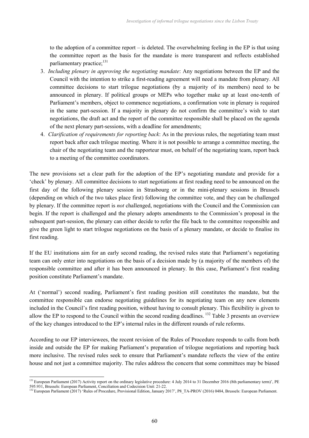to the adoption of a committee report – is deleted. The overwhelming feeling in the EP is that using the committee report as the basis for the mandate is more transparent and reflects established parliamentary practice; $^{131}$ 

- 3. *Including plenary in approving the negotiating mandate*: Any negotiations between the EP and the Council with the intention to strike a first-reading agreement will need a mandate from plenary. All committee decisions to start trilogue negotiations (by a majority of its members) need to be announced in plenary. If political groups or MEPs who together make up at least one-tenth of Parliament's members, object to commence negotiations, a confirmation vote in plenary is required in the same part-session. If a majority in plenary do not confirm the committee's wish to start negotiations, the draft act and the report of the committee responsible shall be placed on the agenda of the next plenary part-sessions, with a deadline for amendments;
- 4. *Clarification of requirements for reporting back*: As in the previous rules, the negotiating team must report back after each trilogue meeting. Where it is not possible to arrange a committee meeting, the chair of the negotiating team and the rapporteur must, on behalf of the negotiating team, report back to a meeting of the committee coordinators.

The new provisions set a clear path for the adoption of the EP's negotiating mandate and provide for a 'check' by plenary. All committee decisions to start negotiations at first reading need to be announced on the first day of the following plenary session in Strasbourg or in the mini-plenary sessions in Brussels (depending on which of the two takes place first) following the committee vote, and they can be challenged by plenary. If the committee report is *not* challenged, negotiations with the Council and the Commission can begin. If the report is challenged and the plenary adopts amendments to the Commission's proposal in the subsequent part-session, the plenary can either decide to refer the file back to the committee responsible and give the green light to start trilogue negotiations on the basis of a plenary mandate, or decide to finalise its first reading.

If the EU institutions aim for an early second reading, the revised rules state that Parliament's negotiating team can only enter into negotiations on the basis of a decision made by (a majority of the members of) the responsible committee and after it has been announced in plenary. In this case, Parliament's first reading position constitute Parliament's mandate.

At ('normal') second reading, Parliament's first reading position still constitutes the mandate, but the committee responsible can endorse negotiating guidelines for its negotiating team on any new elements included in the Council's first reading position, without having to consult plenary. This flexibility is given to allow the EP to respond to the Council within the second reading deadlines. <sup>132</sup> Table 3 presents an overview of the key changes introduced to the EP's internal rules in the different rounds of rule reforms.

According to our EP interviewees, the recent revision of the Rules of Procedure responds to calls from both inside and outside the EP for making Parliament's preparation of trilogue negotiations and reporting back more inclusive. The revised rules seek to ensure that Parliament's mandate reflects the view of the entire house and not just a committee majority. The rules address the concern that some committees may be biased

<sup>&</sup>lt;sup>131</sup> European Parliament (2017) Activity report on the ordinary legislative procedure: 4 July 2014 to 31 December 2016 (8th parliamentary term)', PE 595.931, Brussels: European Parliament, Conciliation and Codecision Unit: 21-22.

<sup>&</sup>lt;sup>132</sup> European Parliament (2017) 'Rules of Procedure, Provisional Edition, January 2017', P8\_TA-PROV (2016) 0484, Brussels: European Parliament.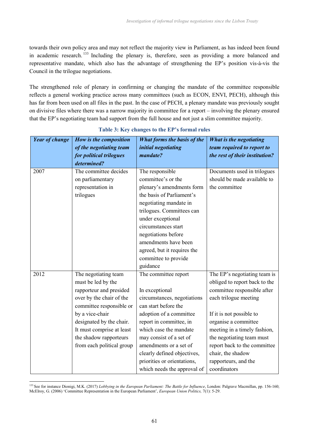towards their own policy area and may not reflect the majority view in Parliament, as has indeed been found in academic research. <sup>133</sup> Including the plenary is, therefore, seen as providing a more balanced and representative mandate, which also has the advantage of strengthening the EP's position vis-à-vis the Council in the trilogue negotiations.

The strengthened role of plenary in confirming or changing the mandate of the committee responsible reflects a general working practice across many committees (such as ECON, ENVI, PECH), although this has far from been used on all files in the past. In the case of PECH, a plenary mandate was previously sought on divisive files where there was a narrow majority in committee for a report – involving the plenary ensured that the EP's negotiating team had support from the full house and not just a slim committee majority.

| <b>Year of change</b> | How is the composition    | <b>What forms the basis of the</b> | What is the negotiating        |
|-----------------------|---------------------------|------------------------------------|--------------------------------|
|                       | of the negotiating team   | initial negotiating                | team required to report to     |
|                       | for political trilogues   | mandate?                           | the rest of their institution? |
|                       | determined?               |                                    |                                |
| 2007                  | The committee decides     | The responsible                    | Documents used in trilogues    |
|                       | on parliamentary          | committee's or the                 | should be made available to    |
|                       | representation in         | plenary's amendments form          | the committee                  |
|                       | trilogues                 | the basis of Parliament's          |                                |
|                       |                           | negotiating mandate in             |                                |
|                       |                           | trilogues. Committees can          |                                |
|                       |                           | under exceptional                  |                                |
|                       |                           | circumstances start                |                                |
|                       |                           | negotiations before                |                                |
|                       |                           | amendments have been               |                                |
|                       |                           | agreed, but it requires the        |                                |
|                       |                           | committee to provide               |                                |
|                       |                           | guidance                           |                                |
| 2012                  | The negotiating team      | The committee report               | The EP's negotiating team is   |
|                       | must be led by the        |                                    | obliged to report back to the  |
|                       | rapporteur and presided   | In exceptional                     | committee responsible after    |
|                       | over by the chair of the  | circumstances, negotiations        | each trilogue meeting          |
|                       | committee responsible or  | can start before the               |                                |
|                       | by a vice-chair           | adoption of a committee            | If it is not possible to       |
|                       | designated by the chair.  | report in committee, in            | organise a committee           |
|                       | It must comprise at least | which case the mandate             | meeting in a timely fashion,   |
|                       | the shadow rapporteurs    | may consist of a set of            | the negotiating team must      |
|                       | from each political group | amendments or a set of             | report back to the committee   |
|                       |                           | clearly defined objectives,        | chair, the shadow              |
|                       |                           | priorities or orientations,        | rapporteurs, and the           |
|                       |                           | which needs the approval of        | coordinators                   |

# **Table 3: Key changes to the EP's formal rules**

<sup>&</sup>lt;sup>133</sup> See for instance Dionigi, M.K. (2017) *Lobbying in the European Parliament: The Battle for Influence*, London: Palgrave Macmillan, pp. 156-160; McElroy, G. (2006) 'Committee Representation in the European Parliament', *European Union Politics,* 7(1): 5-29.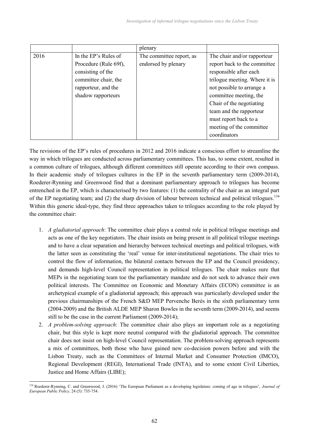|      |                       | plenary                  |                               |
|------|-----------------------|--------------------------|-------------------------------|
| 2016 | In the EP's Rules of  | The committee report, as | The chair and/or rapporteur   |
|      | Procedure (Rule 69f), | endorsed by plenary      | report back to the committee  |
|      | consisting of the     |                          | responsible after each        |
|      | committee chair, the  |                          | trilogue meeting. Where it is |
|      | rapporteur, and the   |                          | not possible to arrange a     |
|      | shadow rapporteurs    |                          | committee meeting, the        |
|      |                       |                          | Chair of the negotiating      |
|      |                       |                          | team and the rapporteur       |
|      |                       |                          | must report back to a         |
|      |                       |                          | meeting of the committee      |
|      |                       |                          | coordinators                  |

The revisions of the EP's rules of procedures in 2012 and 2016 indicate a conscious effort to streamline the way in which trilogues are conducted across parliamentary committees. This has, to some extent, resulted in a common culture of trilogues, although different committees still operate according to their own compass. In their academic study of trilogues cultures in the EP in the seventh parliamentary term (2009-2014), Roederer-Rynning and Greenwood find that a dominant parliamentary approach to trilogues has become entrenched in the EP, which is characterised by two features: (1) the centrality of the chair as an integral part of the EP negotiating team; and (2) the sharp division of labour between technical and political trilogues.<sup>134</sup> Within this generic ideal-type, they find three approaches taken to trilogues according to the role played by the committee chair:

- 1. *A gladiatorial approach*: The committee chair plays a central role in political trilogue meetings and acts as one of the key negotiators. The chair insists on being present in all political trilogue meetings and to have a clear separation and hierarchy between technical meetings and political trilogues, with the latter seen as constituting the 'real' venue for inter-institutional negotiations. The chair tries to control the flow of information, the bilateral contacts between the EP and the Council presidency, and demands high-level Council representation in political trilogues. The chair makes sure that MEPs in the negotiating team toe the parliamentary mandate and do not seek to advance their own political interests. The Committee on Economic and Monetary Affairs (ECON) committee is an archetypical example of a gladiatorial approach; this approach was particularly developed under the previous chairmanships of the French S&D MEP Pervenche Berès in the sixth parliamentary term (2004-2009) and the British ALDE MEP Sharon Bowles in the seventh term (2009-2014), and seems still to be the case in the current Parliament (2009-2014);
- 2. *A problem-solving approach*: The committee chair also plays an important role as a negotiating chair, but this style is kept more neutral compared with the gladiatorial approach. The committee chair does not insist on high-level Council representation. The problem-solving approach represents a mix of committees, both those who have gained new co-decision powers before and with the Lisbon Treaty, such as the Committees of Internal Market and Consumer Protection (IMCO), Regional Development (REGI), International Trade (INTA), and to some extent Civil Liberties, Justice and Home Affairs (LIBE);

<sup>134</sup> Roederer-Rynning, C. and Greenwood, J. (2016) 'The European Parliament as a developing legislature: coming of age in trilogues', *Journal of European Public Policy,* 24 (5): 735-754.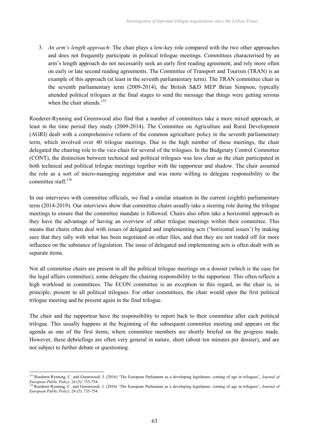3. *An arm's length approach*: The chair plays a low-key role compared with the two other approaches and does not frequently participate in political trilogue meetings. Committees characterised by an arm's length approach do not necessarily seek an early first reading agreement, and rely more often on early or late second reading agreements. The Committee of Transport and Tourism (TRAN) is an example of this approach (at least in the seventh parliamentary term). The TRAN committee chair in the seventh parliamentary term (2009-2014), the British S&D MEP Brian Simpson, typically attended political trilogues at the final stages to send the message that things were getting serious when the chair attends.<sup>135</sup>

Roederer-Rynning and Greenwood also find that a number of committees take a more mixed approach, at least in the time period they study (2009-2014). The Committee on Agriculture and Rural Development (AGRI) dealt with a comprehensive reform of the common agriculture policy in the seventh parliamentary term, which involved over 40 trilogue meetings. Due to the high number of these meetings, the chair delegated the chairing role to the vice-chair for several of the trilogues. In the Budgetary Control Committee (CONT), the distinction between technical and political trilogues was less clear as the chair participated in both technical and political trilogue meetings together with the rapporteur and shadow. The chair assumed the role as a sort of micro-managing negotiator and was more willing to delegate responsibility to the committee staff.<sup>136</sup>

In our interviews with committee officials, we find a similar situation in the current (eighth) parliamentary term (2014-2019). Our interviews show that committee chairs usually take a steering role during the trilogue meetings to ensure that the committee mandate is followed. Chairs also often take a horizontal approach as they have the advantage of having an overview of other trilogue meetings within their committee. This means that chairs often deal with issues of delegated and implementing acts ('horizontal issues') by making sure that they tally with what has been negotiated on other files, and that they are not traded off for more influence on the substance of legislation. The issue of delegated and implementing acts is often dealt with as separate items.

Not all committee chairs are present in all the political trilogue meetings on a dossier (which is the case for the legal affairs committee); some delegate the chairing responsibility to the rapporteur. This often reflects a high workload in committees. The ECON committee is an exception in this regard, as the chair is, in principle, present in all political trilogues. For other committees, the chair would open the first political trilogue meeting and be present again in the final trilogue.

The chair and the rapporteur have the responsibility to report back to their committee after each political trilogue. This usually happens at the beginning of the subsequent committee meeting and appears on the agenda as one of the first items, where committee members are shortly briefed on the progress made. However, these debriefings are often very general in nature, short (about ten minutes per dossier), and are not subject to further debate or questioning.

<sup>135</sup> Roederer-Rynning, C. and Greenwood, J. (2016) 'The European Parliament as a developing legislature: coming of age in trilogues', *Journal of European Public Policy,* 24 (5): 735-754.

<sup>&</sup>lt;sup>136</sup> Roederer-Rynning, C. and Greenwood, J. (2016) 'The European Parliament as a developing legislature: coming of age in trilogues', *Journal of European Public Policy,* 24 (5): 735-754.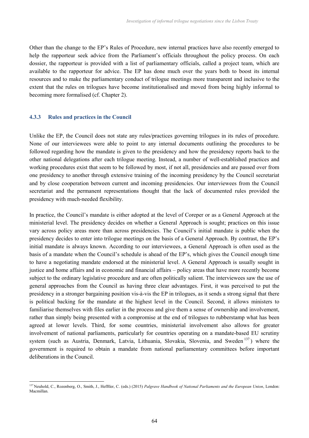Other than the change to the EP's Rules of Procedure, new internal practices have also recently emerged to help the rapporteur seek advice from the Parliament's officials throughout the policy process. On each dossier, the rapporteur is provided with a list of parliamentary officials, called a project team, which are available to the rapporteur for advice. The EP has done much over the years both to boost its internal resources and to make the parliamentary conduct of trilogue meetings more transparent and inclusive to the extent that the rules on trilogues have become institutionalised and moved from being highly informal to becoming more formalised (cf. Chapter 2).

## **4.3.3 Rules and practices in the Council**

Unlike the EP, the Council does not state any rules/practices governing trilogues in its rules of procedure. None of our interviewees were able to point to any internal documents outlining the procedures to be followed regarding how the mandate is given to the presidency and how the presidency reports back to the other national delegations after each trilogue meeting. Instead, a number of well-established practices and working procedures exist that seem to be followed by most, if not all, presidencies and are passed over from one presidency to another through extensive training of the incoming presidency by the Council secretariat and by close cooperation between current and incoming presidencies. Our interviewees from the Council secretariat and the permanent representations thought that the lack of documented rules provided the presidency with much-needed flexibility.

In practice, the Council's mandate is either adopted at the level of Coreper or as a General Approach at the ministerial level. The presidency decides on whether a General Approach is sought; practices on this issue vary across policy areas more than across presidencies. The Council's initial mandate is public when the presidency decides to enter into trilogue meetings on the basis of a General Approach. By contrast, the EP's initial mandate is always known. According to our interviewees, a General Approach is often used as the basis of a mandate when the Council's schedule is ahead of the EP's, which gives the Council enough time to have a negotiating mandate endorsed at the ministerial level. A General Approach is usually sought in justice and home affairs and in economic and financial affairs – policy areas that have more recently become subject to the ordinary legislative procedure and are often politically salient. The interviewees saw the use of general approaches from the Council as having three clear advantages. First, it was perceived to put the presidency in a stronger bargaining position vis-à-vis the EP in trilogues, as it sends a strong signal that there is political backing for the mandate at the highest level in the Council. Second, it allows ministers to familiarise themselves with files earlier in the process and give them a sense of ownership and involvement, rather than simply being presented with a compromise at the end of trilogues to rubberstamp what has been agreed at lower levels. Third, for some countries, ministerial involvement also allows for greater involvement of national parliaments, particularly for countries operating on a mandate-based EU scrutiny system (such as Austria, Denmark, Latvia, Lithuania, Slovakia, Slovenia, and Sweden<sup>137</sup>) where the government is required to obtain a mandate from national parliamentary committees before important deliberations in the Council.

<sup>137</sup> Neuhold, C., Rozenberg, O., Smith, J., Hefftler, C. (eds.) (2015) *Palgrave Handbook of National Parliaments and the European Union*, London: Macmillan.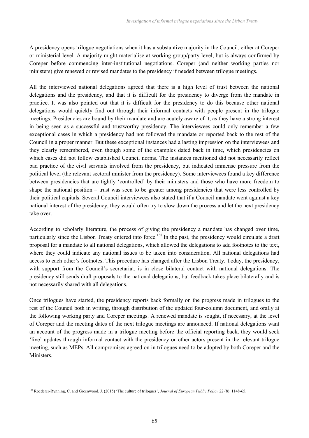A presidency opens trilogue negotiations when it has a substantive majority in the Council, either at Coreper or ministerial level. A majority might materialise at working group/party level, but is always confirmed by Coreper before commencing inter-institutional negotiations. Coreper (and neither working parties nor ministers) give renewed or revised mandates to the presidency if needed between trilogue meetings.

All the interviewed national delegations agreed that there is a high level of trust between the national delegations and the presidency, and that it is difficult for the presidency to diverge from the mandate in practice. It was also pointed out that it is difficult for the presidency to do this because other national delegations would quickly find out through their informal contacts with people present in the trilogue meetings. Presidencies are bound by their mandate and are acutely aware of it, as they have a strong interest in being seen as a successful and trustworthy presidency. The interviewees could only remember a few exceptional cases in which a presidency had not followed the mandate or reported back to the rest of the Council in a proper manner. But these exceptional instances had a lasting impression on the interviewees and they clearly remembered, even though some of the examples dated back in time, which presidencies on which cases did not follow established Council norms. The instances mentioned did not necessarily reflect bad practice of the civil servants involved from the presidency, but indicated immense pressure from the political level (the relevant sectoral minister from the presidency). Some interviewees found a key difference between presidencies that are tightly 'controlled' by their ministers and those who have more freedom to shape the national position – trust was seen to be greater among presidencies that were less controlled by their political capitals. Several Council interviewees also stated that if a Council mandate went against a key national interest of the presidency, they would often try to slow down the process and let the next presidency take over.

According to scholarly literature, the process of giving the presidency a mandate has changed over time, particularly since the Lisbon Treaty entered into force.<sup>138</sup> In the past, the presidency would circulate a draft proposal for a mandate to all national delegations, which allowed the delegations to add footnotes to the text, where they could indicate any national issues to be taken into consideration. All national delegations had access to each other's footnotes. This procedure has changed after the Lisbon Treaty. Today, the presidency, with support from the Council's secretariat, is in close bilateral contact with national delegations. The presidency still sends draft proposals to the national delegations, but feedback takes place bilaterally and is not necessarily shared with all delegations.

Once trilogues have started, the presidency reports back formally on the progress made in trilogues to the rest of the Council both in writing, through distribution of the updated four-column document, and orally at the following working party and Coreper meetings. A renewed mandate is sought, if necessary, at the level of Coreper and the meeting dates of the next trilogue meetings are announced. If national delegations want an account of the progress made in a trilogue meeting before the official reporting back, they would seek 'live' updates through informal contact with the presidency or other actors present in the relevant trilogue meeting, such as MEPs. All compromises agreed on in trilogues need to be adopted by both Coreper and the **Ministers** 

<sup>138</sup>Roederer-Rynning, C. and Greenwood, J. (2015) 'The culture of trilogues', *Journal of European Public Policy* 22 (8): 1148-65.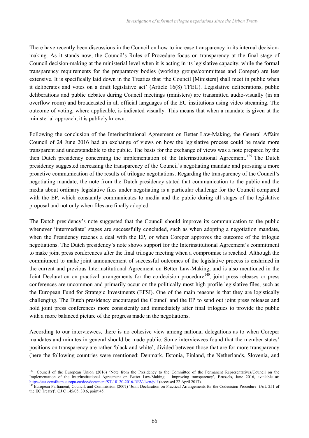There have recently been discussions in the Council on how to increase transparency in its internal decisionmaking. As it stands now, the Council's Rules of Procedure focus on transparency at the final stage of Council decision-making at the ministerial level when it is acting in its legislative capacity, while the formal transparency requirements for the preparatory bodies (working groups/committees and Coreper) are less extensive. It is specifically laid down in the Treaties that 'the Council [Ministers] shall meet in public when it deliberates and votes on a draft legislative act' (Article 16(8) TFEU). Legislative deliberations, public deliberations and public debates during Council meetings (ministers) are transmitted audio-visually (in an overflow room) and broadcasted in all official languages of the EU institutions using video streaming. The outcome of voting, where applicable, is indicated visually. This means that when a mandate is given at the ministerial approach, it is publicly known.

Following the conclusion of the Interinstitutional Agreement on Better Law-Making, the General Affairs Council of 24 June 2016 had an exchange of views on how the legislative process could be made more transparent and understandable to the public. The basis for the exchange of views was a note prepared by the then Dutch presidency concerning the implementation of the Interinstitutional Agreement. <sup>139</sup> The Dutch presidency suggested increasing the transparency of the Council's negotiating mandate and pursuing a more proactive communication of the results of trilogue negotiations. Regarding the transparency of the Council's negotiating mandate, the note from the Dutch presidency stated that communication to the public and the media about ordinary legislative files under negotiating is a particular challenge for the Council compared with the EP, which constantly communicates to media and the public during all stages of the legislative proposal and not only when files are finally adopted.

The Dutch presidency's note suggested that the Council should improve its communication to the public whenever 'intermediate' stages are successfully concluded, such as when adopting a negotiation mandate, when the Presidency reaches a deal with the EP, or when Coreper approves the outcome of the trilogue negotiations. The Dutch presidency's note shows support for the Interinstitutional Agreement's commitment to make joint press conferences after the final trilogue meeting when a compromise is reached. Although the commitment to make joint announcement of successful outcomes of the legislative process is enshrined in the current and previous Interinstitutional Agreement on Better Law-Making, and is also mentioned in the Joint Declaration on practical arrangements for the co-decision procedure<sup>140</sup>, joint press releases or press conferences are uncommon and primarily occur on the politically most high profile legislative files, such as the European Fund for Strategic Investments (EFSI). One of the main reasons is that they are logistically challenging. The Dutch presidency encouraged the Council and the EP to send out joint press releases and hold joint press conferences more consistently and immediately after final trilogues to provide the public with a more balanced picture of the progress made in the negotiations.

According to our interviewees, there is no cohesive view among national delegations as to when Coreper mandates and minutes in general should be made public. Some interviewees found that the member states' positions on transparency are rather 'black and white', divided between those that are for more transparency (here the following countries were mentioned: Denmark, Estonia, Finland, the Netherlands, Slovenia, and

<sup>&</sup>lt;sup>139</sup> Council of the European Union (2016) 'Note from the Presidency to the Committee of the Permanent Representatives/Council on the Implementation of the InterInstitutional Agreement on Better Law-Making – Improving transparency', Brussels, June 2016, available at: http://data.consilium.europa.eu/doc/document/ST-10120-2016-REV-1/en/pdf (accessed 22 April 2017).

<sup>140</sup> European Parliament, Council, and Commission (2007) 'Joint Declaration on Practical Arrangements for the Codecision Procedure (Art. 251 of the EC Treaty)', OJ C 145/05, 30.6, point 45.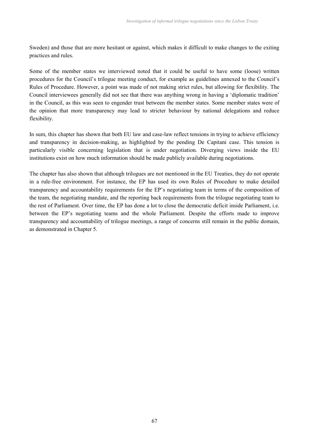Sweden) and those that are more hesitant or against, which makes it difficult to make changes to the exiting practices and rules.

Some of the member states we interviewed noted that it could be useful to have some (loose) written procedures for the Council's trilogue meeting conduct, for example as guidelines annexed to the Council's Rules of Procedure. However, a point was made of not making strict rules, but allowing for flexibility. The Council interviewees generally did not see that there was anything wrong in having a 'diplomatic tradition' in the Council, as this was seen to engender trust between the member states. Some member states were of the opinion that more transparency may lead to stricter behaviour by national delegations and reduce flexibility.

In sum, this chapter has shown that both EU law and case-law reflect tensions in trying to achieve efficiency and transparency in decision-making, as highlighted by the pending De Capitani case. This tension is particularly visible concerning legislation that is under negotiation. Diverging views inside the EU institutions exist on how much information should be made publicly available during negotiations.

The chapter has also shown that although trilogues are not mentioned in the EU Treaties, they do not operate in a rule-free environment. For instance, the EP has used its own Rules of Procedure to make detailed transparency and accountability requirements for the EP's negotiating team in terms of the composition of the team, the negotiating mandate, and the reporting back requirements from the trilogue negotiating team to the rest of Parliament. Over time, the EP has done a lot to close the democratic deficit inside Parliament, i.e. between the EP's negotiating teams and the whole Parliament. Despite the efforts made to improve transparency and accountability of trilogue meetings, a range of concerns still remain in the public domain, as demonstrated in Chapter 5.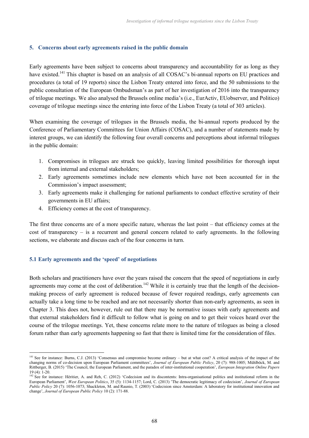## **5. Concerns about early agreements raised in the public domain**

Early agreements have been subject to concerns about transparency and accountability for as long as they have existed.<sup>141</sup> This chapter is based on an analysis of all COSAC's bi-annual reports on EU practices and procedures (a total of 19 reports) since the Lisbon Treaty entered into force, and the 50 submissions to the public consultation of the European Ombudsman's as part of her investigation of 2016 into the transparency of trilogue meetings. We also analysed the Brussels online media's (i.e., EurActiv, EUobserver, and Politico) coverage of trilogue meetings since the entering into force of the Lisbon Treaty (a total of 303 articles).

When examining the coverage of trilogues in the Brussels media, the bi-annual reports produced by the Conference of Parliamentary Committees for Union Affairs (COSAC), and a number of statements made by interest groups, we can identify the following four overall concerns and perceptions about informal trilogues in the public domain:

- 1. Compromises in trilogues are struck too quickly, leaving limited possibilities for thorough input from internal and external stakeholders;
- 2. Early agreements sometimes include new elements which have not been accounted for in the Commission's impact assessment;
- 3. Early agreements make it challenging for national parliaments to conduct effective scrutiny of their governments in EU affairs;
- 4. Efficiency comes at the cost of transparency.

The first three concerns are of a more specific nature, whereas the last point – that efficiency comes at the cost of transparency – is a recurrent and general concern related to early agreements. In the following sections, we elaborate and discuss each of the four concerns in turn.

## **5.1 Early agreements and the 'speed' of negotiations**

Both scholars and practitioners have over the years raised the concern that the speed of negotiations in early agreements may come at the cost of deliberation.<sup>142</sup> While it is certainly true that the length of the decisionmaking process of early agreement is reduced because of fewer required readings, early agreements can actually take a long time to be reached and are not necessarily shorter than non-early agreements, as seen in Chapter 3. This does not, however, rule out that there may be normative issues with early agreements and that external stakeholders find it difficult to follow what is going on and to get their voices heard over the course of the trilogue meetings. Yet, these concerns relate more to the nature of trilogues as being a closed forum rather than early agreements happening so fast that there is limited time for the consideration of files.

<sup>&</sup>lt;sup>141</sup> See for instance: Burns, C.J. (2013) 'Consensus and compromise become ordinary – but at what cost? A critical analysis of the impact of the changing norms of co-decision upon European Parliament committees', *Journal of European Public Policy*, 20 (7): 988-1005; Mühlböck, M. and Rittberger, B. (2015) 'The Council, the European Parliament, and the paradox of inter-institutional cooperation', *European Integration Online Papers* 19 (4): 1-20.

<sup>&</sup>lt;sup>142</sup> See for instance: Héritier, A. and Reh, C. (2012) 'Codecision and its discontents: Intra-organisational politics and institutional reform in the European Parliament', *West European Politics*, 35 (5): 1134-1157; Lord, C. (2013) 'The democratic legitimacy of codecision', *Journal of European Public Policy* 20 (7): 1056-1073; Shackleton, M. and Raunio, T. (2003) 'Codecision since Amsterdam: A laboratory for institutional innovation and change', *Journal of European Public Policy* 10 (2): 171-88.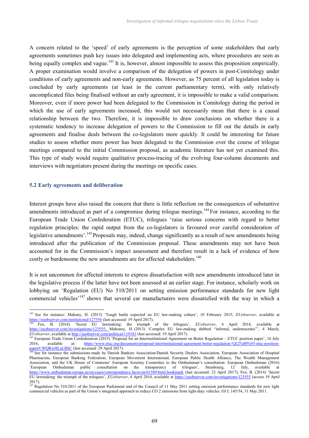A concern related to the 'speed' of early agreements is the perception of some stakeholders that early agreements sometimes push key issues into delegated and implementing acts, where procedures are seen as being equally complex and vague.<sup>143</sup> It is, however, almost impossible to assess this proposition empirically. A proper examination would involve a comparison of the delegation of powers in post-Comitology under conditions of early agreements and non-early agreements. However, as 75 percent of all legislation today is concluded by early agreements (at least in the current parliamentary term), with only relatively uncomplicated files being finalised without an early agreement, it is impossible to make a valid comparison. Moreover, even if more power had been delegated to the Commission in Comitology during the period in which the use of early agreements increased, this would not necessarily mean that there is a causal relationship between the two. Therefore, it is impossible to draw conclusions on whether there is a systematic tendency to increase delegation of powers to the Commission to fill out the details in early agreements and finalise deals between the co-legislators more quickly. It could be interesting for future studies to assess whether more power has been delegated to the Commission over the course of trilogue meetings compared to the initial Commission proposal, as academic literature has not yet examined this. This type of study would require qualitative process-tracing of the evolving four-column documents and interviews with negotiators present during the meetings on specific cases.

### **5.2 Early agreements and deliberation**

Interest groups have also raised the concern that there is little reflection on the consequences of substantive amendments introduced as part of a compromise during trilogue meetings.<sup>144</sup> For instance, according to the European Trade Union Confederation (ETUC), trilogues 'raise serious concerns with regard to better regulation principles: the rapid output from the co-legislators is favoured over careful consideration of legislative amendments'.<sup>145</sup> Proposals may, indeed, change significantly as a result of new amendments being introduced after the publication of the Commission proposal. These amendments may not have been accounted for in the Commission's impact assessment and therefore result in a lack of evidence of how costly or burdensome the new amendments are for affected stakeholders.<sup>146</sup>

It is not uncommon for affected interests to express dissatisfaction with new amendments introduced later in the legislative process if the latter have not been assessed at an earlier stage. For instance, scholarly work on lobbying on 'Regulation (EU) No 510/2011 on setting emission performance standards for new light commercial vehicles<sup>'147</sup> shows that several car manufacturers were dissatisfied with the way in which a

<sup>143</sup> See for instance: Mahony, H. (2015) 'Tough battle expected on EU law-making culture', 10 February 2015, *EUobserver*, available at https://euobserver.com/institutional/127556 (last accessed: 19 April 2017).<br><sup>144</sup> Fox, B. (2014) 'Secret EU lawmaking: the triumph 14<sub>4</sub> Fox, C2014) 'Secret EU lawmaking: the triumph of the trilogues', *EUobserver*, 4<sup>4</sup> April 2014, available at

https://euobserver.com/investigations/123555; Mahoney, H. (2013) 'Complex EU law-making dubbed "infernal, undemocratic"', 4 March, *EUobserver*, available at http://euobserver.com/political/119181 (last accessed: 19 April 2017).

<sup>&</sup>lt;sup>145</sup> European Trade Union Confederation (2015) 'Proposal for an Interinstitutional Agreement on Better Regulation – ETUC position paper', 16 July 2016, available at: https://www.etuc.org/documents/proposal-interinstitutional-agreement-better-regulation-%E2%80%93-etuc-positionpaper#.WQRwHLuLRhC (last accessed: 29 April 2017).

<sup>&</sup>lt;sup>146</sup> See for instance the submissions made by Danish Bankers Association/Danish Security Dealers Association, European Association of Hospital Pharmacists, European Banking Federation, European Movement International, European Public Health Alliance, The Wealth Management Association, and the UK House of Commons' European Scrutiny Committee to the Ombudsman's consultation: European Ombudsman (2016) 'European Ombudsman public consultation on the transparency of trilogues', Strasbourg, 12 July, available at https://www.ombudsman.europa.eu/en/cases/correspondence.faces/en/61589/html.bookmark (last accessed: 23 April 2017); Fox, B. (2014) 'Secret EU lawmaking: the triumph of the trilogues', *EUobserver*, 4 April 2014, available at https://euobserver.com/investigations/123555 (access 19 April 2017).

<sup>&</sup>lt;sup>147</sup> Regulation No 510/2011 of the European Parliament and of the Council of 11 May 2011 setting emission performance standards for new light commercial vehicles as part of the Union's integrated approach to reduce CO 2 emissions from light-duty vehicles. OJ L 145/54, 31 May 2011.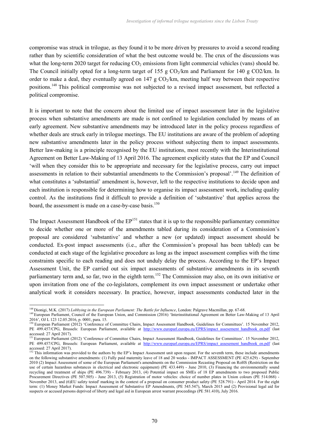compromise was struck in trilogue, as they found it to be more driven by pressures to avoid a second reading rather than by scientific consideration of what the best outcome would be. The crux of the discussions was what the long-term 2020 target for reducing  $CO<sub>2</sub>$  emissions from light commercial vehicles (vans) should be. The Council initially opted for a long-term target of 155 g  $CO<sub>2</sub>/km$  and Parliament for 140 g  $CO<sub>2</sub>/km$ . In order to make a deal, they eventually agreed on 147 g  $CO<sub>2</sub>/km$ , meeting half way between their respective positions.<sup>148</sup> This political compromise was not subjected to a revised impact assessment, but reflected a political compromise.

It is important to note that the concern about the limited use of impact assessment later in the legislative process when substantive amendments are made is not confined to legislation concluded by means of an early agreement. New substantive amendments may be introduced later in the policy process regardless of whether deals are struck early in trilogue meetings. The EU institutions are aware of the problem of adopting new substantive amendments later in the policy process without subjecting them to impact assessments. Better law-making is a principle recognised by the EU institutions, most recently with the Interinstitutional Agreement on Better Law-Making of 13 April 2016. The agreement explicitly states that the EP and Council 'will when they consider this to be appropriate and necessary for the legislative process, carry out impact assessments in relation to their substantial amendments to the Commission's proposal'.<sup>149</sup> The definition of what constitutes a 'substantial' amendment is, however, left to the respective institutions to decide upon and each institution is responsible for determining how to organise its impact assessment work, including quality control. As the institutions find it difficult to provide a definition of 'substantive' that applies across the board, the assessment is made on a case-by-case basis.<sup>150</sup>

The Impact Assessment Handbook of the  $EP^{151}$  states that it is up to the responsible parliamentary committee to decide whether one or more of the amendments tabled during its consideration of a Commission's proposal are considered 'substantive' and whether a new (or updated) impact assessment should be conducted. Ex-post impact assessments (i.e., after the Commission's proposal has been tabled) can be conducted at each stage of the legislative procedure as long as the impact assessment complies with the time constraints specific to each reading and does not unduly delay the process. According to the EP's Impact Assessment Unit, the EP carried out six impact assessments of substantive amendments in its seventh parliamentary term and, so far, two in the eighth term.<sup>152</sup> The Commission may also, on its own initiative or upon invitation from one of the co-legislators, complement its own impact assessment or undertake other analytical work it considers necessary. In practice, however, impact assessments conducted later in the

<sup>148</sup> Dionigi, M.K. (2017) *Lobbying in the European Parliament: The Battle for Influence*, London: Palgrave Macmillan, pp. 67-68.

<sup>&</sup>lt;sup>149</sup> European Parliament, Council of the European Union, and Commission (2016) 'Interinstitutional Agreement on Better Law-Making of 13 April 2016', OJ L 123 12.05.2016, p. 0001, para. 15.

<sup>&</sup>lt;sup>150</sup> European Parliament (2012) 'Conference of Committee Chairs, Impact Assessment Handbook, Guidelines for Committees'. 15 November 2012, PE 499.457/CPG, Brussels: European Parliament, available at http://www.europarl.europa.eu/EPRS/impact assesement handbook en.pdf (last accessed: 27 April 2017).

<sup>&</sup>lt;sup>151</sup> European Parliament (2012) 'Conference of Committee Chairs, Impact Assessment Handbook, Guidelines for Committees'. 15 November 2012, PE 499.457/CPG, Brussels: European Parliament, available at http://www.europarl.europa.eu/EPRS/impact\_assesement\_handbook\_en.pdf (last accessed: 27 April 2017).

<sup>&</sup>lt;sup>152</sup> This information was provided to the authors by the EP's Impact Assessment unit upon request. For the seventh term, these include amendments on the following substantive amendments: (1) Fully paid maternity leave of 18 and 20 weeks - IMPACT ASSESSMENT (PE 425.629) - September 2010 (2) Impact Assessment of some of the European Parliament's amendments on the Commission Recasting Proposal on RoHS (Restriction on the use of certain hazardous substances in electrical and electronic equipment) (PE 433.449) - June 2010, (3) Financing the environmentally sound recycling and treatment of ships (PE 496.739) - February 2013, (4) Potential impact on SMEs of 18 EP amendments to two proposed Public Procurement Directives (PE 507.505) - June 2013, (5) Registration of motor vehicles: choice of number plates in Union colours (PE 514.068) - November 2013, and (6)EU safety tested' marking in the context of a proposal on consumer product safety (PE 528.791) - April 2014. For the eight term: (1) Money Market Funds: Impact Assessment of Substantive EP Amendments, (PE 545.547), March 2015 and (2) Provisional legal aid for suspects or accused persons deprived of liberty and legal aid in European arrest warrant proceedings (PE 581.410), July 2016.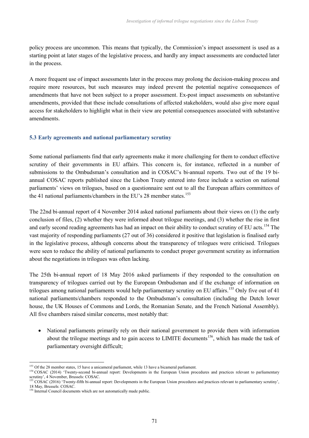policy process are uncommon. This means that typically, the Commission's impact assessment is used as a starting point at later stages of the legislative process, and hardly any impact assessments are conducted later in the process.

A more frequent use of impact assessments later in the process may prolong the decision-making process and require more resources, but such measures may indeed prevent the potential negative consequences of amendments that have not been subject to a proper assessment. Ex-post impact assessments on substantive amendments, provided that these include consultations of affected stakeholders, would also give more equal access for stakeholders to highlight what in their view are potential consequences associated with substantive amendments.

# **5.3 Early agreements and national parliamentary scrutiny**

Some national parliaments find that early agreements make it more challenging for them to conduct effective scrutiny of their governments in EU affairs. This concern is, for instance, reflected in a number of submissions to the Ombudsman's consultation and in COSAC's bi-annual reports. Two out of the 19 biannual COSAC reports published since the Lisbon Treaty entered into force include a section on national parliaments' views on trilogues, based on a questionnaire sent out to all the European affairs committees of the 41 national parliaments/chambers in the EU's 28 member states.<sup>153</sup>

The 22nd bi-annual report of 4 November 2014 asked national parliaments about their views on (1) the early conclusion of files, (2) whether they were informed about trilogue meetings, and (3) whether the rise in first and early second reading agreements has had an impact on their ability to conduct scrutiny of EU acts.<sup>154</sup> The vast majority of responding parliaments (27 out of 36) considered it positive that legislation is finalised early in the legislative process, although concerns about the transparency of trilogues were criticised. Trilogues were seen to reduce the ability of national parliaments to conduct proper government scrutiny as information about the negotiations in trilogues was often lacking.

The 25th bi-annual report of 18 May 2016 asked parliaments if they responded to the consultation on transparency of trilogues carried out by the European Ombudsman and if the exchange of information on trilogues among national parliaments would help parliamentary scrutiny on EU affairs.<sup>155</sup> Only five out of 41 national parliaments/chambers responded to the Ombudsman's consultation (including the Dutch lower house, the UK Houses of Commons and Lords, the Romanian Senate, and the French National Assembly). All five chambers raised similar concerns, most notably that:

 National parliaments primarily rely on their national government to provide them with information about the trilogue meetings and to gain access to LIMITE documents<sup>156</sup>, which has made the task of parliamentary oversight difficult;

<sup>&</sup>lt;sup>153</sup> Of the 28 member states, 15 have a unicameral parliament, while 13 have a bicameral parliament.

<sup>&</sup>lt;sup>154</sup> COSAC (2014) 'Twenty-second bi-annual report: Developments in the European Union procedures and practices relevant to parliamentary scrutiny', 4 November, Brussels: COSAC.

<sup>&</sup>lt;sup>155</sup> COSAC (2016) 'Twenty-fifth bi-annual report: Developments in the European Union procedures and practices relevant to parliamentary scrutiny', 18 May, Brussels: COSAC.

<sup>&</sup>lt;sup>156</sup> Internal Council documents which are not automatically made public.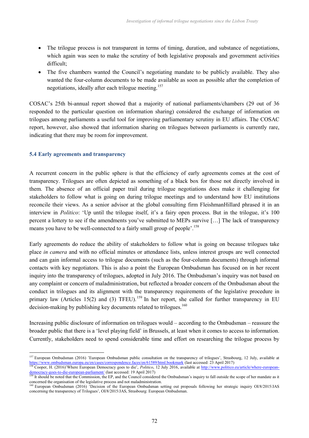- The trilogue process is not transparent in terms of timing, duration, and substance of negotiations, which again was seen to make the scrutiny of both legislative proposals and government activities difficult;
- The five chambers wanted the Council's negotiating mandate to be publicly available. They also wanted the four-column documents to be made available as soon as possible after the completion of negotiations, ideally after each trilogue meeting.<sup>157</sup>

COSAC's 25th bi-annual report showed that a majority of national parliaments/chambers (29 out of 36 responded to the particular question on information sharing) considered the exchange of information on trilogues among parliaments a useful tool for improving parliamentary scrutiny in EU affairs. The COSAC report, however, also showed that information sharing on trilogues between parliaments is currently rare, indicating that there may be room for improvement.

### **5.4 Early agreements and transparency**

A recurrent concern in the public sphere is that the efficiency of early agreements comes at the cost of transparency. Trilogues are often depicted as something of a black box for those not directly involved in them. The absence of an official paper trail during trilogue negotiations does make it challenging for stakeholders to follow what is going on during trilogue meetings and to understand how EU institutions reconcile their views. As a senior advisor at the global consulting firm FleishmanHillard phrased it in an interview in *Politico*: 'Up until the trilogue itself, it's a fairy open process. But in the trilogue, it's 100 percent a lottery to see if the amendments you've submitted to MEPs survive […] The lack of transparency means you have to be well-connected to a fairly small group of people<sup>'.158</sup>

Early agreements do reduce the ability of stakeholders to follow what is going on because trilogues take place *in camera* and with no official minutes or attendance lists, unless interest groups are well connected and can gain informal access to trilogue documents (such as the four-column documents) through informal contacts with key negotiators. This is also a point the European Ombudsman has focused on in her recent inquiry into the transparency of trilogues, adopted in July 2016. The Ombudsman's inquiry was not based on any complaint or concern of maladministration, but reflected a broader concern of the Ombudsman about the conduct in trilogues and its alignment with the transparency requirements of the legislative procedure in primary law (Articles 15(2) and (3) TFEU).<sup>159</sup> In her report, she called for further transparency in EU decision-making by publishing key documents related to trilogues.<sup>160</sup>

Increasing public disclosure of information on trilogues would – according to the Ombudsman – reassure the broader public that there is a 'level playing field' in Brussels, at least when it comes to access to information. Currently, stakeholders need to spend considerable time and effort on researching the trilogue process by

<sup>&</sup>lt;sup>157</sup> European Ombudsman (2016) 'European Ombudsman public consultation on the transparency of trilogues', Strasbourg, 12 July, available at https://www.ombudsman.europa.eu/en/cases/correspondence.faces/en/61589/html.bookmark (last accessed: 23 April 2017)

<sup>158</sup> Cooper, H. (2016)'Where European Democracy goes to die', *Politico*, 12 July 2016, available at http://www.politico.eu/article/where-europeandemocracy-goes-to-die-european-parliament/ (last accessed: 19 April 2017)

It should be noted that the Commission, the EP, and the Council considered the Ombudsman's inquiry to fall outside the scope of her mandate as it concerned the organisation of the legislative process and not maladministration.

<sup>&</sup>lt;sup>160</sup> European Ombudsman (2016) <sup>c</sup>Decision of the European Ombudsman setting out proposals following her strategic inquiry OI/8/2015/JAS concerning the transparency of Trilogues', OI/8/2015/JAS, Strasbourg: European Ombudsman.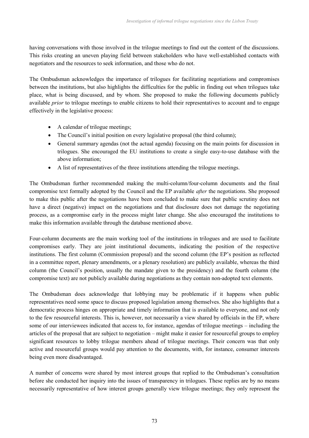having conversations with those involved in the trilogue meetings to find out the content of the discussions. This risks creating an uneven playing field between stakeholders who have well-established contacts with negotiators and the resources to seek information, and those who do not.

The Ombudsman acknowledges the importance of trilogues for facilitating negotiations and compromises between the institutions, but also highlights the difficulties for the public in finding out when trilogues take place, what is being discussed, and by whom. She proposed to make the following documents publicly available *prior* to trilogue meetings to enable citizens to hold their representatives to account and to engage effectively in the legislative process:

- A calendar of trilogue meetings;
- The Council's initial position on every legislative proposal (the third column);
- General summary agendas (not the actual agenda) focusing on the main points for discussion in trilogues. She encouraged the EU institutions to create a single easy-to-use database with the above information;
- A list of representatives of the three institutions attending the trilogue meetings.

The Ombudsman further recommended making the multi-column/four-column documents and the final compromise text formally adopted by the Council and the EP available *after* the negotiations. She proposed to make this public after the negotiations have been concluded to make sure that public scrutiny does not have a direct (negative) impact on the negotiations and that disclosure does not damage the negotiating process, as a compromise early in the process might later change. She also encouraged the institutions to make this information available through the database mentioned above.

Four-column documents are the main working tool of the institutions in trilogues and are used to facilitate compromises early. They are joint institutional documents, indicating the position of the respective institutions. The first column (Commission proposal) and the second column (the EP's position as reflected in a committee report, plenary amendments, or a plenary resolution) are publicly available, whereas the third column (the Council's position, usually the mandate given to the presidency) and the fourth column (the compromise text) are not publicly available during negotiations as they contain non-adopted text elements.

The Ombudsman does acknowledge that lobbying may be problematic if it happens when public representatives need some space to discuss proposed legislation among themselves. She also highlights that a democratic process hinges on appropriate and timely information that is available to everyone, and not only to the few resourceful interests. This is, however, not necessarily a view shared by officials in the EP, where some of our interviewees indicated that access to, for instance, agendas of trilogue meetings – including the articles of the proposal that are subject to negotiation – might make it easier for resourceful groups to employ significant resources to lobby trilogue members ahead of trilogue meetings. Their concern was that only active and resourceful groups would pay attention to the documents, with, for instance, consumer interests being even more disadvantaged.

A number of concerns were shared by most interest groups that replied to the Ombudsman's consultation before she conducted her inquiry into the issues of transparency in trilogues. These replies are by no means necessarily representative of how interest groups generally view trilogue meetings; they only represent the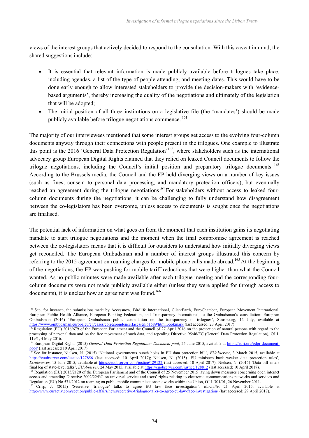views of the interest groups that actively decided to respond to the consultation. With this caveat in mind, the shared suggestions include:

- It is essential that relevant information is made publicly available before trilogues take place, including agendas, a list of the type of people attending, and meeting dates. This would have to be done early enough to allow interested stakeholders to provide the decision-makers with 'evidencebased arguments', thereby increasing the quality of the negotiations and ultimately of the legislation that will be adopted;
- The initial position of all three institutions on a legislative file (the 'mandates') should be made publicly available before trilogue negotiations commence. <sup>161</sup>

The majority of our interviewees mentioned that some interest groups get access to the evolving four-column documents anyway through their connections with people present in the trilogues. One example to illustrate this point is the 2016 'General Data Protection Regulation'<sup>162</sup>, where stakeholders such as the international advocacy group European Digital Rights claimed that they relied on leaked Council documents to follow the trilogue negotiations, including the Council's initial position and preparatory trilogue documents. <sup>163</sup> According to the Brussels media, the Council and the EP held diverging views on a number of key issues (such as fines, consent to personal data processing, and mandatory protection officers), but eventually reached an agreement during the trilogue negotiations<sup>164</sup> For stakeholders without access to leaked fourcolumn documents during the negotiations, it can be challenging to fully understand how disagreement between the co-legislators has been overcome, unless access to documents is sought once the negotiations are finalised.

The potential lack of information on what goes on from the moment that each institution gains its negotiating mandate to start trilogue negotiations and the moment when the final compromise agreement is reached between the co-legislators means that it is difficult for outsiders to understand how initially diverging views get reconciled. The European Ombudsman and a number of interest groups illustrated this concern by referring to the 2015 agreement on roaming charges for mobile phone calls made abroad.<sup>165</sup> At the beginning of the negotiations, the EP was pushing for mobile tariff reductions that were higher than what the Council wanted. As no public minutes were made available after each trilogue meeting and the corresponding fourcolumn documents were not made publicly available either (unless they were applied for through access to documents), it is unclear how an agreement was found.<sup>166</sup>

<sup>&</sup>lt;sup>161</sup> See, for instance, the submissions made by Accessnow, Birdlife International, ClientEarth, EuroChamber, European Movement International, European Public Health Alliance, European Banking Federation, and Transparency International, to the Ombudsman's consultation: European Ombudsman (2016) 'European Ombudsman public consultation on the transparency of trilogues', Strasbourg, 12 July, available at https://www.ombudsman.europa.eu/en/cases/correspondence.faces/en/61589/html.bookmark (last accessed: 23 April 2017)

<sup>&</sup>lt;sup>162</sup> Regulation (EU) 2016/679 of the European Parliament and the Council of 27 April 2016 on the protection of natural persons with regard to the processing of personal data and on the free movement of such data, and repealing Directive 95/46/EC (General Data Protection Regulation), OJ L 119/1, 4 May 2016.

<sup>163</sup> European Digital Rights (2015) *General Data Protection Regulation: Document pool*, 25 June 2015, available at https://edri.org/gdpr-document- $\frac{pool}{164 \Omega}$  (last accessed 10 April 2017).

<sup>164</sup> See for instance, Nielsen, N. (2015) 'National governments punch holes in EU data protection bill', *EUobserver*, 3 March 2015, available at https://euobserver.com/justice/127856 (last accessed: 10 April 2017); Nielsen, N. (2015) 'EU ministers back weaker data protection rules'*, EUobserver*, 15 June 2015, available at https://euobserver.com/justice/129122 (last accessed: 10 April 2017); Nielsen, N. (2015) 'Data bill enters final leg of state-level talks', *EUobserver*, 24 May 2015, available at https://euobserver.com/justice/128812 (last accessed: 10 April 2017).

<sup>&</sup>lt;sup>165</sup> Regulation (EU) 2015/2120 of the European Parliament and of the Council of 25 November 2015 laying down measures concerning open internet access and amending Directive 2002/22/EC on universal service and users' rights relating to electronic communications networks and services and Regulation (EU) No 531/2012 on roaming on public mobile communications networks within the Union, OJ L 301/01, 26 November 2011.

<sup>166</sup> Crisp, J, (2015) 'Secretive 'trialogue' talks to agree EU law face investigation', *EurActiv*, 21 April 2015, available at http://www.euractiv.com/section/public-affairs/news/secretive-trialogue-talks-to-agree-eu-law-face-investigation/ (last accessed: 29 April 2017).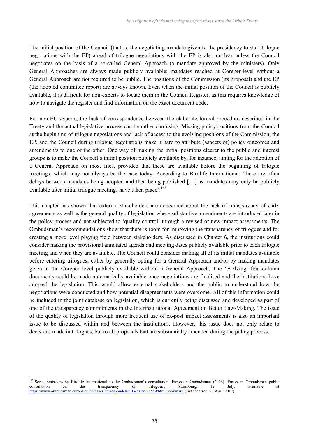The initial position of the Council (that is, the negotiating mandate given to the presidency to start trilogue negotiations with the EP) ahead of trilogue negotiations with the EP is also unclear unless the Council negotiates on the basis of a so-called General Approach (a mandate approved by the ministers). Only General Approaches are always made publicly available; mandates reached at Coreper-level without a General Approach are not required to be public. The positions of the Commission (its proposal) and the EP (the adopted committee report) are always known. Even when the initial position of the Council is publicly available, it is difficult for non-experts to locate them in the Council Register, as this requires knowledge of how to navigate the register and find information on the exact document code.

For non-EU experts, the lack of correspondence between the elaborate formal procedure described in the Treaty and the actual legislative process can be rather confusing. Missing policy positions from the Council at the beginning of trilogue negotiations and lack of access to the evolving positions of the Commission, the EP, and the Council during trilogue negotiations make it hard to attribute (aspects of) policy outcomes and amendments to one or the other. One way of making the initial positions clearer to the public and interest groups is to make the Council's initial position publicly available by, for instance, aiming for the adoption of a General Approach on most files, provided that these are available before the beginning of trilogue meetings, which may not always be the case today. According to Birdlife International, 'there are often delays between mandates being adopted and then being published […] as mandates may only be publicly available after initial trilogue meetings have taken place'.<sup>167</sup>

This chapter has shown that external stakeholders are concerned about the lack of transparency of early agreements as well as the general quality of legislation where substantive amendments are introduced later in the policy process and not subjected to 'quality control' through a revised or new impact assessments. The Ombudsman's recommendations show that there is room for improving the transparency of trilogues and for creating a more level playing field between stakeholders. As discussed in Chapter 6, the institutions could consider making the provisional annotated agenda and meeting dates publicly available prior to each trilogue meeting and when they are available. The Council could consider making all of its initial mandates available before entering trilogues, either by generally opting for a General Approach and/or by making mandates given at the Coreper level publicly available without a General Approach. The 'evolving' four-column documents could be made automatically available once negotiations are finalised and the institutions have adopted the legislation. This would allow external stakeholders and the public to understand how the negotiations were conducted and how potential disagreements were overcome. All of this information could be included in the joint database on legislation, which is currently being discussed and developed as part of one of the transparency commitments in the Interinstitutional Agreement on Better Law-Making. The issue of the quality of legislation through more frequent use of ex-post impact assessments is also an important issue to be discussed within and between the institutions. However, this issue does not only relate to decisions made in trilogues, but to all proposals that are substantially amended during the policy process.

<sup>&</sup>lt;sup>167</sup> See submissions by Birdlife International to the Ombudsman's consultation: European Ombudsman (2016) 'European Ombudsman public consultation on the transparency of trilogues', Strasbourg, 12 July, available at https://www.ombudsman.europa.eu/en/cases/correspondence.faces/en/61589/html.bookmark (last accessed: 23 April 2017)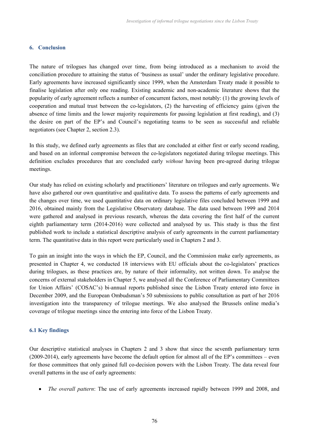#### **6. Conclusion**

The nature of trilogues has changed over time, from being introduced as a mechanism to avoid the conciliation procedure to attaining the status of 'business as usual' under the ordinary legislative procedure. Early agreements have increased significantly since 1999, when the Amsterdam Treaty made it possible to finalise legislation after only one reading. Existing academic and non-academic literature shows that the popularity of early agreement reflects a number of concurrent factors, most notably: (1) the growing levels of cooperation and mutual trust between the co-legislators, (2) the harvesting of efficiency gains (given the absence of time limits and the lower majority requirements for passing legislation at first reading), and (3) the desire on part of the EP's and Council's negotiating teams to be seen as successful and reliable negotiators (see Chapter 2, section 2.3).

In this study, we defined early agreements as files that are concluded at either first or early second reading, and based on an informal compromise between the co-legislators negotiated during trilogue meetings. This definition excludes procedures that are concluded early *without* having been pre-agreed during trilogue meetings.

Our study has relied on existing scholarly and practitioners' literature on trilogues and early agreements. We have also gathered our own quantitative and qualitative data. To assess the patterns of early agreements and the changes over time, we used quantitative data on ordinary legislative files concluded between 1999 and 2016, obtained mainly from the Legislative Observatory database. The data used between 1999 and 2014 were gathered and analysed in previous research, whereas the data covering the first half of the current eighth parliamentary term (2014-2016) were collected and analysed by us. This study is thus the first published work to include a statistical descriptive analysis of early agreements in the current parliamentary term. The quantitative data in this report were particularly used in Chapters 2 and 3.

To gain an insight into the ways in which the EP, Council, and the Commission make early agreements, as presented in Chapter 4, we conducted 18 interviews with EU officials about the co-legislators' practices during trilogues, as these practices are, by nature of their informality, not written down. To analyse the concerns of external stakeholders in Chapter 5, we analysed all the Conference of Parliamentary Committees for Union Affairs' (COSAC's) bi-annual reports published since the Lisbon Treaty entered into force in December 2009, and the European Ombudsman's 50 submissions to public consultation as part of her 2016 investigation into the transparency of trilogue meetings. We also analysed the Brussels online media's coverage of trilogue meetings since the entering into force of the Lisbon Treaty.

# **6.1 Key findings**

Our descriptive statistical analyses in Chapters 2 and 3 show that since the seventh parliamentary term (2009-2014), early agreements have become the default option for almost all of the EP's committees – even for those committees that only gained full co-decision powers with the Lisbon Treaty. The data reveal four overall patterns in the use of early agreements:

*The overall pattern*: The use of early agreements increased rapidly between 1999 and 2008, and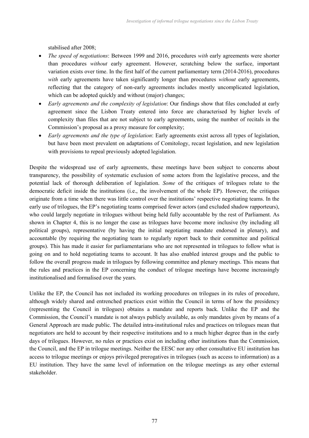stabilised after 2008;

- *The speed of negotiations*: Between 1999 and 2016, procedures *with* early agreements were shorter than procedures *without* early agreement. However, scratching below the surface, important variation exists over time. In the first half of the current parliamentary term (2014-2016), procedures *with* early agreements have taken significantly longer than procedures *without* early agreements, reflecting that the category of non-early agreements includes mostly uncomplicated legislation, which can be adopted quickly and without (major) changes;
- *Early agreements and the complexity of legislation*: Our findings show that files concluded at early agreement since the Lisbon Treaty entered into force are characterised by higher levels of complexity than files that are not subject to early agreements, using the number of recitals in the Commission's proposal as a proxy measure for complexity;
- *Early agreements and the type of legislation*: Early agreements exist across all types of legislation, but have been most prevalent on adaptations of Comitology, recast legislation, and new legislation with provisions to repeal previously adopted legislation.

Despite the widespread use of early agreements, these meetings have been subject to concerns about transparency, the possibility of systematic exclusion of some actors from the legislative process, and the potential lack of thorough deliberation of legislation. *Some* of the critiques of trilogues relate to the democratic deficit inside the institutions (i.e., the involvement of the whole EP). However, the critiques originate from a time when there was little control over the institutions' respective negotiating teams. In the early use of trilogues, the EP's negotiating teams comprised fewer actors (and excluded shadow rapporteurs), who could largely negotiate in trilogues without being held fully accountable by the rest of Parliament. As shown in Chapter 4, this is no longer the case as trilogues have become more inclusive (by including all political groups), representative (by having the initial negotiating mandate endorsed in plenary), and accountable (by requiring the negotiating team to regularly report back to their committee and political groups). This has made it easier for parliamentarians who are not represented in trilogues to follow what is going on and to hold negotiating teams to account. It has also enabled interest groups and the public to follow the overall progress made in trilogues by following committee and plenary meetings. This means that the rules and practices in the EP concerning the conduct of trilogue meetings have become increasingly institutionalised and formalised over the years.

Unlike the EP, the Council has not included its working procedures on trilogues in its rules of procedure, although widely shared and entrenched practices exist within the Council in terms of how the presidency (representing the Council in trilogues) obtains a mandate and reports back. Unlike the EP and the Commission, the Council's mandate is not always publicly available, as only mandates given by means of a General Approach are made public. The detailed intra-institutional rules and practices on trilogues mean that negotiators are held to account by their respective institutions and to a much higher degree than in the early days of trilogues. However, no rules or practices exist on including other institutions than the Commission, the Council, and the EP in trilogue meetings. Neither the EESC nor any other consultative EU institution has access to trilogue meetings or enjoys privileged prerogatives in trilogues (such as access to information) as a EU institution. They have the same level of information on the trilogue meetings as any other external stakeholder.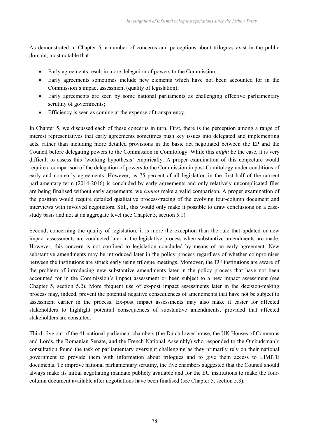As demonstrated in Chapter 5, a number of concerns and perceptions about trilogues exist in the public domain, most notable that:

- Early agreements result in more delegation of powers to the Commission;
- Early agreements sometimes include new elements which have not been accounted for in the Commission's impact assessment (quality of legislation);
- Early agreements are seen by some national parliaments as challenging effective parliamentary scrutiny of governments;
- Efficiency is seen as coming at the expense of transparency.

In Chapter 5, we discussed each of these concerns in turn. First, there is the perception among a range of interest representatives that early agreements sometimes push key issues into delegated and implementing acts, rather than including more detailed provisions in the basic act negotiated between the EP and the Council before delegating powers to the Commission in Comitology. While this *might* be the case, it is very difficult to assess this 'working hypothesis' empirically. A proper examination of this conjecture would require a comparison of the delegation of powers to the Commission in post-Comitology under conditions of early and non-early agreements. However, as 75 percent of all legislation in the first half of the current parliamentary term (2014-2016) is concluded by early agreements and only relatively uncomplicated files are being finalised without early agreements, we *cannot* make a valid comparison. A proper examination of the position would require detailed qualitative process-tracing of the evolving four-column document and interviews with involved negotiators. Still, this would only make it possible to draw conclusions on a casestudy basis and not at an aggregate level (see Chapter 5, section 5.1).

Second, concerning the quality of legislation, it is more the exception than the rule that updated or new impact assessments are conducted later in the legislative process when substantive amendments are made. However, this concern is not confined to legislation concluded by means of an early agreement. New substantive amendments may be introduced later in the policy process regardless of whether compromises between the institutions are struck early using trilogue meetings. Moreover, the EU institutions are aware of the problem of introducing new substantive amendments later in the policy process that have not been accounted for in the Commission's impact assessment or been subject to a new impact assessment (see Chapter 5, section 5.2). More frequent use of ex-post impact assessments later in the decision-making process may, indeed, prevent the potential negative consequences of amendments that have not be subject to assessment earlier in the process. Ex-post impact assessments may also make it easier for affected stakeholders to highlight potential consequences of substantive amendments, provided that affected stakeholders are consulted.

Third, five out of the 41 national parliament chambers (the Dutch lower house, the UK Houses of Commons and Lords, the Romanian Senate, and the French National Assembly) who responded to the Ombudsman's consultation found the task of parliamentary oversight challenging as they primarily rely on their national government to provide them with information about trilogues and to give them access to LIMITE documents. To improve national parliamentary scrutiny, the five chambers suggested that the Council should always make its initial negotiating mandate publicly available and for the EU institutions to make the fourcolumn document available after negotiations have been finalised (see Chapter 5, section 5.3).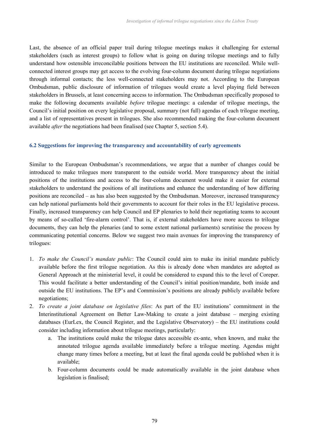Last, the absence of an official paper trail during trilogue meetings makes it challenging for external stakeholders (such as interest groups) to follow what is going on during trilogue meetings and to fully understand how ostensible irreconcilable positions between the EU institutions are reconciled. While wellconnected interest groups may get access to the evolving four-column document during trilogue negotiations through informal contacts; the less well-connected stakeholders may not. According to the European Ombudsman, public disclosure of information of trilogues would create a level playing field between stakeholders in Brussels, at least concerning access to information. The Ombudsman specifically proposed to make the following documents available *before* trilogue meetings: a calendar of trilogue meetings, the Council's initial position on every legislative proposal, summary (not full) agendas of each trilogue meeting, and a list of representatives present in trilogues. She also recommended making the four-column document available *after* the negotiations had been finalised (see Chapter 5, section 5.4).

# **6.2 Suggestions for improving the transparency and accountability of early agreements**

Similar to the European Ombudsman's recommendations, we argue that a number of changes could be introduced to make trilogues more transparent to the outside world. More transparency about the initial positions of the institutions and access to the four-column document would make it easier for external stakeholders to understand the positions of all institutions and enhance the understanding of how differing positions are reconciled – as has also been suggested by the Ombudsman. Moreover, increased transparency can help national parliaments hold their governments to account for their roles in the EU legislative process. Finally, increased transparency can help Council and EP plenaries to hold their negotiating teams to account by means of so-called 'fire-alarm control'. That is, if external stakeholders have more access to trilogue documents, they can help the plenaries (and to some extent national parliaments) scrutinise the process by communicating potential concerns. Below we suggest two main avenues for improving the transparency of trilogues:

- 1. *To make the Council's mandate public*: The Council could aim to make its initial mandate publicly available before the first trilogue negotiation. As this is already done when mandates are adopted as General Approach at the ministerial level, it could be considered to expand this to the level of Coreper. This would facilitate a better understanding of the Council's initial position/mandate, both inside and outside the EU institutions. The EP's and Commission's positions are already publicly available before negotiations;
- 2. *To create a joint database on legislative files*: As part of the EU institutions' commitment in the Interinstitutional Agreement on Better Law-Making to create a joint database – merging existing databases (EurLex, the Council Register, and the Legislative Observatory) – the EU institutions could consider including information about trilogue meetings, particularly:
	- a. The institutions could make the trilogue dates accessible ex-ante, when known, and make the annotated trilogue agenda available immediately before a trilogue meeting. Agendas might change many times before a meeting, but at least the final agenda could be published when it is available;
	- b. Four-column documents could be made automatically available in the joint database when legislation is finalised;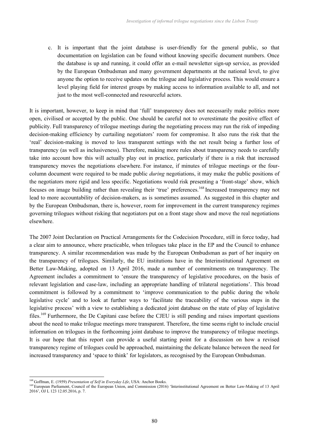c. It is important that the joint database is user-friendly for the general public, so that documentation on legislation can be found without knowing specific document numbers. Once the database is up and running, it could offer an e-mail newsletter sign-up service, as provided by the European Ombudsman and many government departments at the national level, to give anyone the option to receive updates on the trilogue and legislative process. This would ensure a level playing field for interest groups by making access to information available to all, and not just to the most well-connected and resourceful actors.

It is important, however, to keep in mind that 'full' transparency does not necessarily make politics more open, civilised or accepted by the public. One should be careful not to overestimate the positive effect of publicity. Full transparency of trilogue meetings during the negotiating process may run the risk of impeding decision-making efficiency by curtailing negotiators' room for compromise. It also runs the risk that the 'real' decision-making is moved to less transparent settings with the net result being a further loss of transparency (as well as inclusiveness). Therefore, making more rules about transparency needs to carefully take into account how this will actually play out in practice, particularly if there is a risk that increased transparency moves the negotiations elsewhere. For instance, if minutes of trilogue meetings or the fourcolumn document were required to be made public *during* negotiations, it may make the public positions of the negotiators more rigid and less specific. Negotiations would risk presenting a 'front-stage' show, which focuses on image building rather than revealing their 'true' preferences.<sup>168</sup> Increased transparency may not lead to more accountability of decision-makers, as is sometimes assumed. As suggested in this chapter and by the European Ombudsman, there is, however, room for improvement in the current transparency regimes governing trilogues without risking that negotiators put on a front stage show and move the real negotiations elsewhere.

The 2007 Joint Declaration on Practical Arrangements for the Codecision Procedure, still in force today, had a clear aim to announce, where practicable, when trilogues take place in the EP and the Council to enhance transparency. A similar recommendation was made by the European Ombudsman as part of her inquiry on the transparency of trilogues. Similarly, the EU institutions have in the Interinstitutional Agreement on Better Law-Making, adopted on 13 April 2016, made a number of commitments on transparency. The Agreement includes a commitment to 'ensure the transparency of legislative procedures, on the basis of relevant legislation and case-law, including an appropriate handling of trilateral negotiations'. This broad commitment is followed by a commitment to 'improve communication to the public during the whole legislative cycle' and to look at further ways to 'facilitate the traceability of the various steps in the legislative process' with a view to establishing a dedicated joint database on the state of play of legislative files.<sup>169</sup> Furthermore, the De Capitani case before the CJEU is still pending and raises important questions about the need to make trilogue meetings more transparent. Therefore, the time seems right to include crucial information on trilogues in the forthcoming joint database to improve the transparency of trilogue meetings. It is our hope that this report can provide a useful starting point for a discussion on how a revised transparency regime of trilogues could be approached, maintaining the delicate balance between the need for increased transparency and 'space to think' for legislators, as recognised by the European Ombudsman.

<sup>168</sup> Goffman, E. (1959) *Presentation of Self in Everyday Life*, USA: Anchor Books.

<sup>&</sup>lt;sup>169</sup> European Parliament, Council of the European Union, and Commission (2016) 'Interinstitutional Agreement on Better Law-Making of 13 April 2016', OJ L 123 12.05.2016, p. 7.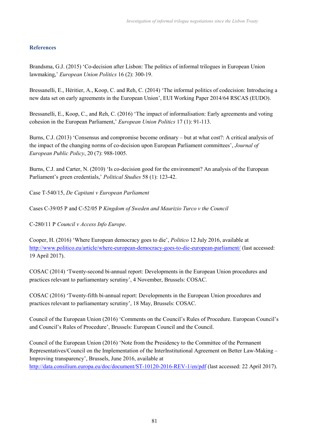## **References**

Brandsma, G.J. (2015) 'Co-decision after Lisbon: The politics of informal trilogues in European Union lawmaking,' *European Union Politics* 16 (2): 300-19.

Bressanelli, E., Héritier, A., Koop, C. and Reh, C. (2014) 'The informal politics of codecision: Introducing a new data set on early agreements in the European Union', EUI Working Paper 2014/64 RSCAS (EUDO).

Bressanelli, E., Koop, C., and Reh, C. (2016) 'The impact of informalisation: Early agreements and voting cohesion in the European Parliament,' *European Union Politics* 17 (1): 91-113.

Burns, C.J. (2013) 'Consensus and compromise become ordinary – but at what cost?: A critical analysis of the impact of the changing norms of co-decision upon European Parliament committees', *Journal of European Public Policy*, 20 (7): 988-1005.

Burns, C.J. and Carter, N. (2010) 'Is co-decision good for the environment? An analysis of the European Parliament's green credentials,' *Political Studies* 58 (1): 123-42.

Case T-540/15, *De Capitani v European Parliament*

Cases C-39/05 P and C-52/05 P *Kingdom of Sweden and Maurizio Turco v the Council*

C-280/11 P *Council v Access Info Europe*.

Cooper, H. (2016) 'Where European democracy goes to die', *Politico* 12 July 2016, available at http://www.politico.eu/article/where-european-democracy-goes-to-die-european-parliament/ (last accessed: 19 April 2017).

COSAC (2014) 'Twenty-second bi-annual report: Developments in the European Union procedures and practices relevant to parliamentary scrutiny', 4 November, Brussels: COSAC.

COSAC (2016) 'Twenty-fifth bi-annual report: Developments in the European Union procedures and practices relevant to parliamentary scrutiny', 18 May, Brussels: COSAC.

Council of the European Union (2016) 'Comments on the Council's Rules of Procedure. European Council's and Council's Rules of Procedure', Brussels: European Council and the Council.

Council of the European Union (2016) 'Note from the Presidency to the Committee of the Permanent Representatives/Council on the Implementation of the InterInstitutional Agreement on Better Law-Making – Improving transparency', Brussels, June 2016, available at http://data.consilium.europa.eu/doc/document/ST-10120-2016-REV-1/en/pdf (last accessed: 22 April 2017).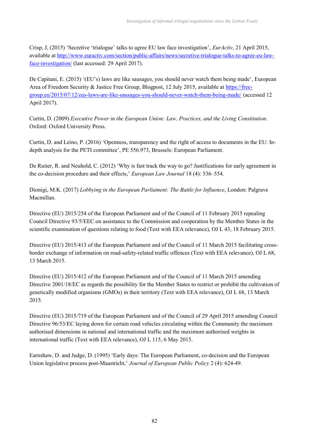Crisp, J, (2015) 'Secretive 'trialogue' talks to agree EU law face investigation', *EurActiv*, 21 April 2015, available at http://www.euractiv.com/section/public-affairs/news/secretive-trialogue-talks-to-agree-eu-lawface-investigation/ (last accessed: 29 April 2017).

De Capitani, E. (2015) '(EU's) laws are like sausages, you should never watch them being made', European Area of Freedom Security & Justice Free Group, Blogpost, 12 July 2015, available at https://freegroup.eu/2015/07/12/eus-laws-are-like-sausages-you-should-never-watch-them-being-made/ (accessed 12 April 2017).

Curtin, D. (2009) *Executive Power in the European Union: Law, Practices, and the Living Constitution*. Oxford: Oxford University Press.

Curtin, D. and Leino, P. (2016) 'Openness, transparency and the right of access to documents in the EU: Indepth analysis for the PETI committee', PE 556.973, Brussels: European Parliament.

De Ruiter, R. and Neuhold, C. (2012) 'Why is fast track the way to go? Justifications for early agreement in the co-decision procedure and their effects,' *European Law Journal* 18 (4): 536–554.

Dionigi, M.K. (2017) *Lobbying in the European Parliament: The Battle for Influence*, London: Palgrave Macmillan.

Directive (EU) 2015/254 of the European Parliament and of the Council of 11 February 2015 repealing Council Directive 93/5/EEC on assistance to the Commission and cooperation by the Member States in the scientific examination of questions relating to food (Text with EEA relevance), OJ L 43, 18 February 2015.

Directive (EU) 2015/413 of the European Parliament and of the Council of 11 March 2015 facilitating crossborder exchange of information on road-safety-related traffic offences (Text with EEA relevance), OJ L 68, 13 March 2015.

Directive (EU) 2015/412 of the European Parliament and of the Council of 11 March 2015 amending Directive 2001/18/EC as regards the possibility for the Member States to restrict or prohibit the cultivation of genetically modified organisms (GMOs) in their territory (Text with EEA relevance), OJ L 68, 13 March 2015.

Directive (EU) 2015/719 of the European Parliament and of the Council of 29 April 2015 amending Council Directive 96/53/EC laying down for certain road vehicles circulating within the Community the maximum authorised dimensions in national and international traffic and the maximum authorised weights in international traffic (Text with EEA relevance), OJ L 115, 6 May 2015.

Earnshaw, D. and Judge, D. (1995) 'Early days: The European Parliament, co-decision and the European Union legislative process post-Maastricht,' *Journal of European Public Policy* 2 (4): 624-49.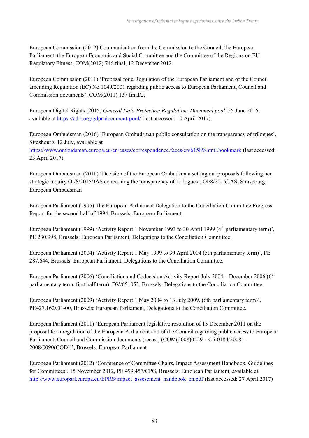European Commission (2012) Communication from the Commission to the Council, the European Parliament, the European Economic and Social Committee and the Committee of the Regions on EU Regulatory Fitness, COM(2012) 746 final, 12 December 2012.

European Commission (2011) 'Proposal for a Regulation of the European Parliament and of the Council amending Regulation (EC) No 1049/2001 regarding public access to European Parliament, Council and Commission documents', COM(2011) 137 final/2.

European Digital Rights (2015) *General Data Protection Regulation: Document pool*, 25 June 2015, available at https://edri.org/gdpr-document-pool/ (last accessed: 10 April 2017).

European Ombudsman (2016) 'European Ombudsman public consultation on the transparency of trilogues', Strasbourg, 12 July, available at

https://www.ombudsman.europa.eu/en/cases/correspondence.faces/en/61589/html.bookmark (last accessed: 23 April 2017).

European Ombudsman (2016) 'Decision of the European Ombudsman setting out proposals following her strategic inquiry OI/8/2015/JAS concerning the transparency of Trilogues', OI/8/2015/JAS, Strasbourg: European Ombudsman

European Parliament (1995) The European Parliament Delegation to the Conciliation Committee Progress Report for the second half of 1994, Brussels: European Parliament.

European Parliament (1999) 'Activity Report 1 November 1993 to 30 April 1999 (4<sup>th</sup> parliamentary term)', PE 230.998, Brussels: European Parliament, Delegations to the Conciliation Committee.

European Parliament (2004) 'Activity Report 1 May 1999 to 30 April 2004 (5th parliamentary term)', PE 287.644, Brussels: European Parliament, Delegations to the Conciliation Committee.

European Parliament (2006) 'Conciliation and Codecision Activity Report July 2004 – December 2006 ( $6<sup>th</sup>$ parliamentary term. first half term), DV/651053, Brussels: Delegations to the Conciliation Committee.

European Parliament (2009) 'Activity Report 1 May 2004 to 13 July 2009, (6th parliamentary term)', PE427.162v01-00, Brussels: European Parliament, Delegations to the Conciliation Committee.

European Parliament (2011) 'European Parliament legislative resolution of 15 December 2011 on the proposal for a regulation of the European Parliament and of the Council regarding public access to European Parliament, Council and Commission documents (recast) (COM(2008)0229 – C6-0184/2008 – 2008/0090(COD))', Brussels: European Parliament

European Parliament (2012) 'Conference of Committee Chairs, Impact Assessment Handbook, Guidelines for Committees'. 15 November 2012, PE 499.457/CPG, Brussels: European Parliament, available at http://www.europarl.europa.eu/EPRS/impact\_assesement\_handbook\_en.pdf (last accessed: 27 April 2017)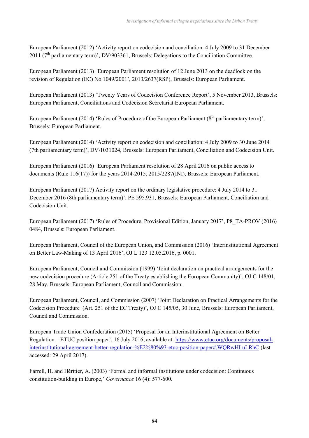European Parliament (2012) 'Activity report on codecision and conciliation: 4 July 2009 to 31 December  $2011$  ( $7<sup>th</sup>$  parliamentary term)', DV\903361, Brussels: Delegations to the Conciliation Committee.

European Parliament (2013) *'*European Parliament resolution of 12 June 2013 on the deadlock on the revision of Regulation (EC) No 1049/2001', 2013/2637(RSP), Brussels: European Parliament.

European Parliament (2013) 'Twenty Years of Codecision Conference Report', 5 November 2013, Brussels: European Parliament, Conciliations and Codecision Secretariat European Parliament.

European Parliament (2014) 'Rules of Procedure of the European Parliament (8<sup>th</sup> parliamentary term)', Brussels: European Parliament.

European Parliament (2014) 'Activity report on codecision and conciliation: 4 July 2009 to 30 June 2014 (7th parliamentary term)', DV\1031024, Brussels: European Parliament, Conciliation and Codecision Unit.

European Parliament (2016) *'*European Parliament resolution of 28 April 2016 on public access to documents (Rule 116(17)) for the years 2014-2015, 2015/2287(INI), Brussels: European Parliament.

European Parliament (2017) Activity report on the ordinary legislative procedure: 4 July 2014 to 31 December 2016 (8th parliamentary term)', PE 595.931, Brussels: European Parliament, Conciliation and Codecision Unit.

European Parliament (2017) 'Rules of Procedure, Provisional Edition, January 2017', P8\_TA-PROV (2016) 0484, Brussels: European Parliament.

European Parliament, Council of the European Union, and Commission (2016) 'Interinstitutional Agreement on Better Law-Making of 13 April 2016', OJ L 123 12.05.2016, p. 0001.

European Parliament, Council and Commission (1999) 'Joint declaration on practical arrangements for the new codecision procedure (Article 251 of the Treaty establishing the European Community)', OJ C 148/01, 28 May, Brussels: European Parliament, Council and Commission.

European Parliament, Council, and Commission (2007) 'Joint Declaration on Practical Arrangements for the Codecision Procedure (Art. 251 of the EC Treaty)', OJ C 145/05, 30 June, Brussels: European Parliament, Council and Commission.

European Trade Union Confederation (2015) 'Proposal for an Interinstitutional Agreement on Better Regulation – ETUC position paper', 16 July 2016, available at: https://www.etuc.org/documents/proposalinterinstitutional-agreement-better-regulation-%E2%80%93-etuc-position-paper#.WQRwHLuLRhC (last accessed: 29 April 2017).

Farrell, H. and Héritier, A. (2003) 'Formal and informal institutions under codecision: Continuous constitution-building in Europe,' *Governance* 16 (4): 577-600.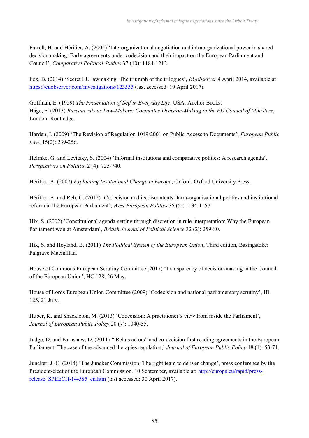Farrell, H. and Héritier, A. (2004) 'Interorganizational negotiation and intraorganizational power in shared decision making: Early agreements under codecision and their impact on the European Parliament and Council', *Comparative Political Studies* 37 (10): 1184-1212.

Fox, B. (2014) 'Secret EU lawmaking: The triumph of the trilogues', *EUobserver* 4 April 2014, available at https://euobserver.com/investigations/123555 (last accessed: 19 April 2017).

Goffman, E. (1959) *The Presentation of Self in Everyday Life*, USA: Anchor Books. Häge, F. (2013) *Bureaucrats as Law-Makers: Committee Decision-Making in the EU Council of Ministers*, London: Routledge.

Harden, I. (2009) 'The Revision of Regulation 1049/2001 on Public Access to Documents', *European Public Law*, 15(2): 239-256.

Helmke, G. and Levitsky, S. (2004) 'Informal institutions and comparative politics: A research agenda'. *Perspectives on Politics*, 2 (4): 725-740.

Héritier, A. (2007) *Explaining Institutional Change in Europe*, Oxford: Oxford University Press.

Héritier, A. and Reh, C. (2012) 'Codecision and its discontents: Intra-organisational politics and institutional reform in the European Parliament', *West European Politics* 35 (5): 1134-1157.

Hix, S. (2002) 'Constitutional agenda-setting through discretion in rule interpretation: Why the European Parliament won at Amsterdam', *British Journal of Political Science* 32 (2): 259-80.

Hix, S. and Høyland, B. (2011) *The Political System of the European Union*, Third edition, Basingstoke: Palgrave Macmillan.

House of Commons European Scrutiny Committee (2017) 'Transparency of decision-making in the Council of the European Union', HC 128, 26 May.

House of Lords European Union Committee (2009) 'Codecision and national parliamentary scrutiny', Hl 125, 21 July.

Huber, K. and Shackleton, M. (2013) 'Codecision: A practitioner's view from inside the Parliament', *Journal of European Public Policy* 20 (7): 1040-55.

Judge, D. and Earnshaw, D. (2011) '"Relais actors" and co-decision first reading agreements in the European Parliament: The case of the advanced therapies regulation,' *Journal of European Public Policy* 18 (1): 53-71.

Juncker, J.-C. (2014) 'The Juncker Commission: The right team to deliver change', press conference by the President-elect of the European Commission, 10 September, available at: http://europa.eu/rapid/pressrelease SPEECH-14-585 en.htm (last accessed: 30 April 2017).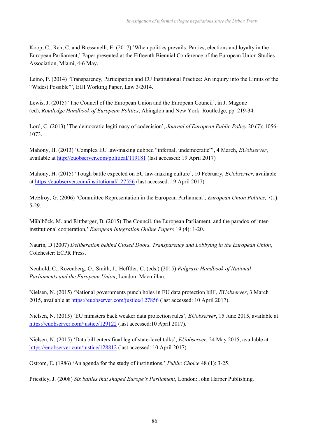Koop, C., Reh, C. and Bressanelli, E. (2017) 'When politics prevails: Parties, elections and loyalty in the European Parliament,' Paper presented at the Fifteenth Biennial Conference of the European Union Studies Association, Miami, 4-6 May.

Leino, P. (2014) 'Transparency, Participation and EU Institutional Practice: An inquiry into the Limits of the "Widest Possible"', EUI Working Paper, Law 3/2014.

Lewis, J. (2015) 'The Council of the European Union and the European Council', in J. Magone (ed), *Routledge Handbook of European Politics*, Abingdon and New York: Routledge, pp. 219-34.

Lord, C. (2013) 'The democratic legitimacy of codecision', *Journal of European Public Policy* 20 (7): 1056- 1073.

Mahony, H. (2013) 'Complex EU law-making dubbed "infernal, undemocratic"', 4 March, *EUobserver*, available at http://euobserver.com/political/119181 (last accessed: 19 April 2017)

Mahony, H. (2015) 'Tough battle expected on EU law-making culture', 10 February, *EUobserver*, available at https://euobserver.com/institutional/127556 (last accessed: 19 April 2017).

McElroy, G. (2006) 'Committee Representation in the European Parliament', *European Union Politics,* 7(1): 5-29.

Mühlböck, M. and Rittberger, B. (2015) The Council, the European Parliament, and the paradox of interinstitutional cooperation,' *European Integration Online Papers* 19 (4): 1-20.

Naurin, D (2007) *Deliberation behind Closed Doors. Transparency and Lobbying in the European Union*, Colchester: ECPR Press.

Neuhold, C., Rozenberg, O., Smith, J., Hefftler, C. (eds.) (2015) *Palgrave Handbook of National Parliaments and the European Union*, London: Macmillan.

Nielsen, N. (2015) 'National governments punch holes in EU data protection bill', *EUobserver*, 3 March 2015, available at https://euobserver.com/justice/127856 (last accessed: 10 April 2017).

Nielsen, N. (2015) 'EU ministers back weaker data protection rules'*, EUobserver*, 15 June 2015, available at https://euobserver.com/justice/129122 (last accessed:10 April 2017).

Nielsen, N. (2015) 'Data bill enters final leg of state-level talks', *EUobserver*, 24 May 2015, available at https://euobserver.com/justice/128812 (last accessed: 10 April 2017).

Ostrom, E. (1986) 'An agenda for the study of institutions,' *Public Choice* 48 (1): 3-25.

Priestley, J. (2008) *Six battles that shaped Europe's Parliament*, London: John Harper Publishing.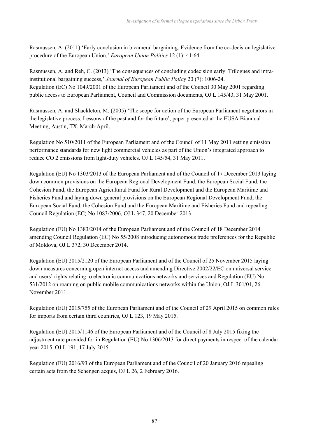Rasmussen, A. (2011) 'Early conclusion in bicameral bargaining: Evidence from the co-decision legislative procedure of the European Union,' *European Union Politics* 12 (1): 41-64.

Rasmussen, A. and Reh, C. (2013) 'The consequences of concluding codecision early: Trilogues and intrainstitutional bargaining success,' *Journal of European Public Polic*y 20 (7): 1006-24. Regulation (EC) No 1049/2001 of the European Parliament and of the Council 30 May 2001 regarding public access to European Parliament, Council and Commission documents, OJ L 145/43, 31 May 2001.

Rasmussen, A. and Shackleton, M. (2005) 'The scope for action of the European Parliament negotiators in the legislative process: Lessons of the past and for the future', paper presented at the EUSA Biannual Meeting, Austin, TX, March-April.

Regulation No 510/2011 of the European Parliament and of the Council of 11 May 2011 setting emission performance standards for new light commercial vehicles as part of the Union's integrated approach to reduce CO 2 emissions from light-duty vehicles. OJ L 145/54, 31 May 2011.

Regulation (EU) No 1303/2013 of the European Parliament and of the Council of 17 December 2013 laying down common provisions on the European Regional Development Fund, the European Social Fund, the Cohesion Fund, the European Agricultural Fund for Rural Development and the European Maritime and Fisheries Fund and laying down general provisions on the European Regional Development Fund, the European Social Fund, the Cohesion Fund and the European Maritime and Fisheries Fund and repealing Council Regulation (EC) No 1083/2006, OJ L 347, 20 December 2013.

Regulation (EU) No 1383/2014 of the European Parliament and of the Council of 18 December 2014 amending Council Regulation (EC) No 55/2008 introducing autonomous trade preferences for the Republic of Moldova, OJ L 372, 30 December 2014.

Regulation (EU) 2015/2120 of the European Parliament and of the Council of 25 November 2015 laying down measures concerning open internet access and amending Directive 2002/22/EC on universal service and users' rights relating to electronic communications networks and services and Regulation (EU) No 531/2012 on roaming on public mobile communications networks within the Union, OJ L 301/01, 26 November 2011.

Regulation (EU) 2015/755 of the European Parliament and of the Council of 29 April 2015 on common rules for imports from certain third countries, OJ L 123, 19 May 2015.

Regulation (EU) 2015/1146 of the European Parliament and of the Council of 8 July 2015 fixing the adjustment rate provided for in Regulation (EU) No 1306/2013 for direct payments in respect of the calendar year 2015, OJ L 191, 17 July 2015.

Regulation (EU) 2016/93 of the European Parliament and of the Council of 20 January 2016 repealing certain acts from the Schengen acquis, OJ L 26, 2 February 2016.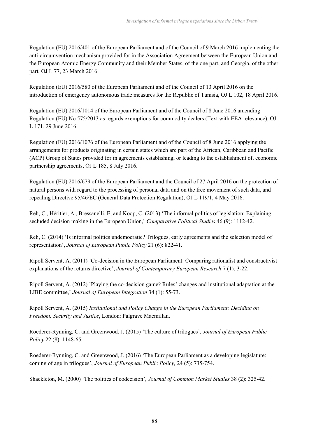Regulation (EU) 2016/401 of the European Parliament and of the Council of 9 March 2016 implementing the anti-circumvention mechanism provided for in the Association Agreement between the European Union and the European Atomic Energy Community and their Member States, of the one part, and Georgia, of the other part, OJ L 77, 23 March 2016.

Regulation (EU) 2016/580 of the European Parliament and of the Council of 13 April 2016 on the introduction of emergency autonomous trade measures for the Republic of Tunisia, OJ L 102, 18 April 2016.

Regulation (EU) 2016/1014 of the European Parliament and of the Council of 8 June 2016 amending Regulation (EU) No 575/2013 as regards exemptions for commodity dealers (Text with EEA relevance), OJ L 171, 29 June 2016.

Regulation (EU) 2016/1076 of the European Parliament and of the Council of 8 June 2016 applying the arrangements for products originating in certain states which are part of the African, Caribbean and Pacific (ACP) Group of States provided for in agreements establishing, or leading to the establishment of, economic partnership agreements, OJ L 185, 8 July 2016.

Regulation (EU) 2016/679 of the European Parliament and the Council of 27 April 2016 on the protection of natural persons with regard to the processing of personal data and on the free movement of such data, and repealing Directive 95/46/EC (General Data Protection Regulation), OJ L 119/1, 4 May 2016.

Reh, C., Héritier, A., Bressanelli, E, and Koop, C. (2013) 'The informal politics of legislation: Explaining secluded decision making in the European Union,' *Comparative Political Studies* 46 (9): 1112-42.

Reh, C. (2014) 'Is informal politics undemocratic? Trilogues, early agreements and the selection model of representation', *Journal of European Public Policy* 21 (6): 822-41.

Ripoll Servent, A. (2011) 'Co-decision in the European Parliament: Comparing rationalist and constructivist explanations of the returns directive', *Journal of Contemporary European Research* 7 (1): 3-22.

Ripoll Servent, A. (2012) 'Playing the co-decision game? Rules' changes and institutional adaptation at the LIBE committee,' *Journal of European Integration* 34 (1): 55-73.

Ripoll Servent, A. (2015) *Institutional and Policy Change in the European Parliament: Deciding on Freedom, Security and Justice*, London: Palgrave Macmillan.

Roederer-Rynning, C. and Greenwood, J. (2015) 'The culture of trilogues', *Journal of European Public Policy* 22 (8): 1148-65.

Roederer-Rynning, C. and Greenwood, J. (2016) 'The European Parliament as a developing legislature: coming of age in trilogues', *Journal of European Public Policy,* 24 (5): 735-754.

Shackleton, M. (2000) 'The politics of codecision', *Journal of Common Market Studies* 38 (2): 325-42.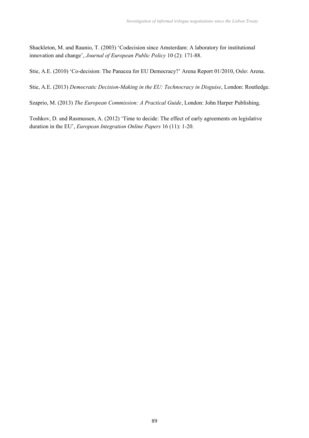Shackleton, M. and Raunio, T. (2003) 'Codecision since Amsterdam: A laboratory for institutional innovation and change', *Journal of European Public Policy* 10 (2): 171-88.

Stie, A.E. (2010) 'Co-decision: The Panacea for EU Democracy?' Arena Report 01/2010, Oslo: Arena.

Stie, A.E. (2013) *Democratic Decision-Making in the EU: Technocracy in Disguise*, London: Routledge.

Szaprio, M. (2013) *The European Commission: A Practical Guide*, London: John Harper Publishing.

Toshkov, D. and Rasmussen, A. (2012) 'Time to decide: The effect of early agreements on legislative duration in the EU', *European Integration Online Papers* 16 (11): 1-20.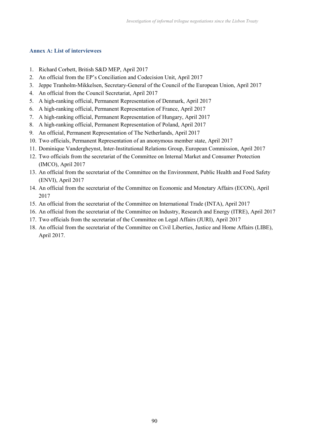### **Annex A: List of interviewees**

- 1. Richard Corbett, British S&D MEP, April 2017
- 2. An official from the EP's Conciliation and Codecision Unit, April 2017
- 3. Jeppe Tranholm-Mikkelsen, Secretary-General of the Council of the European Union, April 2017
- 4. An official from the Council Secretariat, April 2017
- 5. A high-ranking official, Permanent Representation of Denmark, April 2017
- 6. A high-ranking official, Permanent Representation of France, April 2017
- 7. A high-ranking official, Permanent Representation of Hungary, April 2017
- 8. A high-ranking official, Permanent Representation of Poland, April 2017
- 9. An official, Permanent Representation of The Netherlands, April 2017
- 10. Two officials, Permanent Representation of an anonymous member state, April 2017
- 11. Dominique Vandergheynst, Inter-Institutional Relations Group, European Commission, April 2017
- 12. Two officials from the secretariat of the Committee on Internal Market and Consumer Protection (IMCO), April 2017
- 13. An official from the secretariat of the Committee on the Environment, Public Health and Food Safety (ENVI), April 2017
- 14. An official from the secretariat of the Committee on Economic and Monetary Affairs (ECON), April 2017
- 15. An official from the secretariat of the Committee on International Trade (INTA), April 2017
- 16. An official from the secretariat of the Committee on Industry, Research and Energy (ITRE), April 2017
- 17. Two officials from the secretariat of the Committee on Legal Affairs (JURI), April 2017
- 18. An official from the secretariat of the Committee on Civil Liberties, Justice and Home Affairs (LIBE), April 2017.